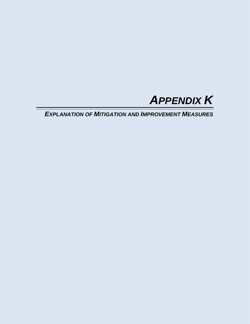

*EXPLANATION OF MITIGATION AND IMPROVEMENT MEASURES*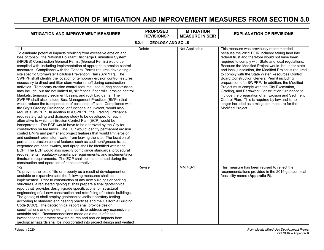## **EXPLANATION OF MITIGATION AND IMPROVEMENT MEASURES FROM SECTION 5.0**

| <b>MITIGATION AND IMPROVEMENT MEASURES</b>                                                                                                                                                                                                                                                                                                                                                                                                                                                                                                                                                                                                                                                                                                                                                                                                                                                                                                                                                                                                                                                                                                                                                                                                                                                                                                                                                                                                                                                                                                                                                                                                                                                                                                                                                                                                                                                                                                               | <b>PROPOSED</b><br><b>REVISIONS?</b> | <b>MITIGATION</b><br><b>MEASURE IN SEIR</b> | <b>EXPLANATION OF REVISIONS</b>                                                                                                                                                                                                                                                                                                                                                                                                                                                                                                                                                                                                                                                                                                                                             |
|----------------------------------------------------------------------------------------------------------------------------------------------------------------------------------------------------------------------------------------------------------------------------------------------------------------------------------------------------------------------------------------------------------------------------------------------------------------------------------------------------------------------------------------------------------------------------------------------------------------------------------------------------------------------------------------------------------------------------------------------------------------------------------------------------------------------------------------------------------------------------------------------------------------------------------------------------------------------------------------------------------------------------------------------------------------------------------------------------------------------------------------------------------------------------------------------------------------------------------------------------------------------------------------------------------------------------------------------------------------------------------------------------------------------------------------------------------------------------------------------------------------------------------------------------------------------------------------------------------------------------------------------------------------------------------------------------------------------------------------------------------------------------------------------------------------------------------------------------------------------------------------------------------------------------------------------------------|--------------------------------------|---------------------------------------------|-----------------------------------------------------------------------------------------------------------------------------------------------------------------------------------------------------------------------------------------------------------------------------------------------------------------------------------------------------------------------------------------------------------------------------------------------------------------------------------------------------------------------------------------------------------------------------------------------------------------------------------------------------------------------------------------------------------------------------------------------------------------------------|
|                                                                                                                                                                                                                                                                                                                                                                                                                                                                                                                                                                                                                                                                                                                                                                                                                                                                                                                                                                                                                                                                                                                                                                                                                                                                                                                                                                                                                                                                                                                                                                                                                                                                                                                                                                                                                                                                                                                                                          | <b>GEOLOGY AND SOILS</b><br>5.2.1    |                                             |                                                                                                                                                                                                                                                                                                                                                                                                                                                                                                                                                                                                                                                                                                                                                                             |
| $1 - 1$<br>To eliminate potential impacts resulting from excessive erosion and<br>loss of topsoil, the National Pollutant Discharge Elimination System<br>(NPDES) Construction General Permit (General Permit) would be<br>complied with, including implementation of appropriate erosion control<br>measures. Compliance with the General Permit requires developing a<br>site specific Stormwater Pollution Prevention Plan (SWPPP). The<br>SWPPP shall identify the location of temporary erosion control features<br>necessary to direct and filter stormwater runoff during construction<br>activities. Temporary erosion control features used during construction<br>may include, but are not limited to, silt fences, fiber rolls, erosion control<br>blankets, temporary sediment basins, and rock bag dams. The<br>SWPPP shall also include Best Management Practices (BMPs) that<br>would reduce the transportation of pollutants off-site. Compliance with<br>the City's Grading Ordinance, or functional equivalent, would also<br>require a SWPPP. In addition to a SWPPP, the Grading Ordinance<br>requires a grading and drainage study to be developed for each<br>alternative to which an Erosion Control Plan (ECP) would be<br>incorporated. The ECP would have to be approved by the City for<br>construction on fee lands. The ECP would identify permanent erosion<br>control BMPs and permanent project features that would limit erosion<br>and sediment-laden stormwater from leaving the site. The location of<br>permanent erosion control features such as sediment/grease traps,<br>vegetated drainage swales, and riprap shall be identified within the<br>ECP. The ECP would also specify compliance standards, procedural<br>requirements, regulatory compliance requirements, and implementation<br>timeframe requirements. The ECP shall be implemented during the<br>construction and operation of each alternative. | Delete                               | Not Applicable                              | This measure was previously recommended<br>because the 2011 FEIR included taking land into<br>federal trust and therefore would not have been<br>required to comply with State and local regulations.<br>Because the Modified Project would be under state<br>and local jurisdiction, the Modified Project is required<br>to comply with the State Water Resources Control<br><b>Board Construction General Permit including</b><br>preparation of a SWPPP. In addition, the Modified<br>Project must comply with the City Excavation,<br>Grading, and Earthwork Construction Ordinance to<br>include the preparation of an Erosion and Sediment<br>Control Plan. This is required by law and is no<br>longer included as a mitigation measure for the<br>Modified Project. |
| $1 - 2$<br>To prevent the loss of life or property as a result of development on<br>unstable or expansive soils the following measures shall be<br>implemented. Prior to construction of any new buildings or parking<br>structures, a registered geologist shall prepare a final geotechnical<br>report that provides design-grade specifications for structural<br>engineering of all new construction and retrofitting of historic buildings.<br>The geologist shall employ geotechnical/soils laboratory testing<br>according to standard engineering practices and the California Building<br>Code (CBC). The geotechnical report shall provide design<br>specifications and engineering standards to address any expansive or<br>unstable soils. Recommendations made as a result of these<br>investigations to protect new structures and reduce impacts from<br>geological hazards shall be incorporated into project design and verified                                                                                                                                                                                                                                                                                                                                                                                                                                                                                                                                                                                                                                                                                                                                                                                                                                                                                                                                                                                                        | Revise                               | MM 4.6-1                                    | This measure has been revised to reflect the<br>recommendations provided in the 2019 geotechnical<br>feasibility memo (Appendix R).                                                                                                                                                                                                                                                                                                                                                                                                                                                                                                                                                                                                                                         |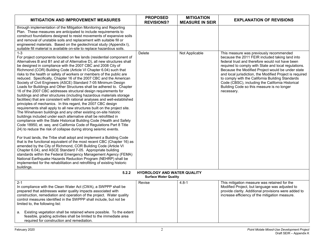| <b>MITIGATION AND IMPROVEMENT MEASURES</b>                                                                                                                                                                                                                                                                                                                                                                                                                                                                                                                                                                                                                                                                                                                                                                                                                                                                                                                                                                                                                                                                                                                                                                                                                                                                                                                                                                                                                                                                                                                                                                                                                                                                                                                                                                                                           | <b>PROPOSED</b><br><b>REVISIONS?</b>                               | <b>MITIGATION</b><br><b>MEASURE IN SEIR</b> | <b>EXPLANATION OF REVISIONS</b>                                                                                                                                                                                                                                                                                                                                                                                                                                                            |
|------------------------------------------------------------------------------------------------------------------------------------------------------------------------------------------------------------------------------------------------------------------------------------------------------------------------------------------------------------------------------------------------------------------------------------------------------------------------------------------------------------------------------------------------------------------------------------------------------------------------------------------------------------------------------------------------------------------------------------------------------------------------------------------------------------------------------------------------------------------------------------------------------------------------------------------------------------------------------------------------------------------------------------------------------------------------------------------------------------------------------------------------------------------------------------------------------------------------------------------------------------------------------------------------------------------------------------------------------------------------------------------------------------------------------------------------------------------------------------------------------------------------------------------------------------------------------------------------------------------------------------------------------------------------------------------------------------------------------------------------------------------------------------------------------------------------------------------------------|--------------------------------------------------------------------|---------------------------------------------|--------------------------------------------------------------------------------------------------------------------------------------------------------------------------------------------------------------------------------------------------------------------------------------------------------------------------------------------------------------------------------------------------------------------------------------------------------------------------------------------|
| through implementation of the Mitigation Monitoring and Reporting<br>Plan. These measures are anticipated to include requirements to<br>construct foundations designed to resist movements of expansive soils<br>and removal of unstable soils and replacement with suitable fill or<br>engineered materials. Based on the geotechnical study (Appendix I),<br>suitable fill material is available on-site to replace hazardous soils.                                                                                                                                                                                                                                                                                                                                                                                                                                                                                                                                                                                                                                                                                                                                                                                                                                                                                                                                                                                                                                                                                                                                                                                                                                                                                                                                                                                                               |                                                                    |                                             |                                                                                                                                                                                                                                                                                                                                                                                                                                                                                            |
| $1 - 3$<br>For project components located on fee lands (residential component of<br>Alternatives B and B1 and all of Alternative D), all new structures shall<br>be designed in compliance with the 2007 CBC and 2008 City of<br>Richmond (COR) Building Code (Article VI Chapter 6.04) such that<br>risks to the health or safety of workers or members of the public are<br>reduced. Specifically, Chapter 16 of the 2007 CBC and the American<br>Society of Civil Engineers (ASCE) Standard 7-05 Minimum Design<br>Loads for Buildings and Other Structures shall be adhered to. Chapter<br>16 of the 2007 CBC addresses structural design requirements for<br>buildings and other structures (including hazardous materials storage<br>facilities) that are consistent with rational analyses and well-established<br>principles of mechanics. In this regard, the 2007 CBC design<br>requirements shall apply to all new structures built on the project site.<br>The Winehaven buildings and any other existing on-site historic<br>buildings included under each alternative shall be retrofitted in<br>compliance with the State Historical Building Code (Health and Safety<br>Code 18950, et. seq. and California Code of Regulations Part 8 Title<br>24) to reduce the risk of collapse during strong seismic events.<br>For trust lands, the Tribe shall adopt and implement a Building Code<br>that is the functional equivalent of the most recent CBC (Chapter 16) as<br>amended by the City of Richmond, COR Building Code (Article VI<br>Chapter 6.04), and ASCE Standard 7-05. Appropriate building<br>standards within the Federal Emergency Management Agency (FEMA)<br>National Earthquake Hazards Reduction Program (NEHRP) shall be<br>implemented for the rehabilitation and retrofitting of existing historic<br>buildings. | Delete                                                             | Not Applicable                              | This measure was previously recommended<br>because the 2011 FEIR included taking land into<br>federal trust and therefore would not have been<br>required to comply with State and local regulations.<br>Because the Modified Project would be under state<br>and local jurisdiction, the Modified Project is required<br>to comply with the California Building Standards<br>Code (CBSC), including the California Historical<br>Building Code so this measure is no longer<br>necessary. |
| 5.2.2                                                                                                                                                                                                                                                                                                                                                                                                                                                                                                                                                                                                                                                                                                                                                                                                                                                                                                                                                                                                                                                                                                                                                                                                                                                                                                                                                                                                                                                                                                                                                                                                                                                                                                                                                                                                                                                | <b>HYDROLOGY AND WATER QUALITY</b><br><b>Surface Water Quality</b> |                                             |                                                                                                                                                                                                                                                                                                                                                                                                                                                                                            |
| $2 - 1$<br>In compliance with the Clean Water Act (CWA), a SWPPP shall be<br>prepared that addresses water quality impacts associated with<br>construction, remediation and operation of the project. Water quality<br>control measures identified in the SWPPP shall include, but not be<br>limited to, the following list:                                                                                                                                                                                                                                                                                                                                                                                                                                                                                                                                                                                                                                                                                                                                                                                                                                                                                                                                                                                                                                                                                                                                                                                                                                                                                                                                                                                                                                                                                                                         | Revise                                                             | $4.8 - 1$                                   | This mitigation measure was retained for the<br>Modified Project, but language was adjusted to<br>provide clarity. Additional provisions were added to<br>increase efficiency of the mitigation measure.                                                                                                                                                                                                                                                                                   |
| Existing vegetation shall be retained where possible. To the extent<br>а.<br>feasible, grading activities shall be limited to the immediate area<br>required for construction and remediation.                                                                                                                                                                                                                                                                                                                                                                                                                                                                                                                                                                                                                                                                                                                                                                                                                                                                                                                                                                                                                                                                                                                                                                                                                                                                                                                                                                                                                                                                                                                                                                                                                                                       |                                                                    |                                             |                                                                                                                                                                                                                                                                                                                                                                                                                                                                                            |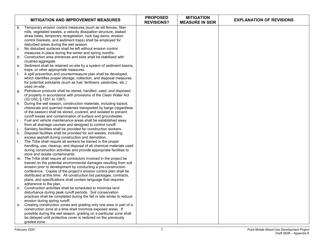|    | <b>MITIGATION AND IMPROVEMENT MEASURES</b>                                                                                          | <b>PROPOSED</b><br><b>REVISIONS?</b> | <b>MITIGATION</b><br><b>MEASURE IN SEIR</b> | <b>EXPLANATION OF REVISIONS</b> |
|----|-------------------------------------------------------------------------------------------------------------------------------------|--------------------------------------|---------------------------------------------|---------------------------------|
| b. | Temporary erosion control measures (such as silt fences, fiber<br>rolls, vegetated swales, a velocity dissipation structure, staked |                                      |                                             |                                 |
|    | straw bales, temporary revegetation, rock bag dams, erosion<br>control blankets, and sediment traps) shall be employed for          |                                      |                                             |                                 |
|    | disturbed areas during the wet season.                                                                                              |                                      |                                             |                                 |
| C. | No disturbed surfaces shall be left without erosion control                                                                         |                                      |                                             |                                 |
|    | measures in place during the winter and spring months.                                                                              |                                      |                                             |                                 |
| d. | Construction area entrances and exits shall be stabilized with                                                                      |                                      |                                             |                                 |
| е. | crushed aggregate.<br>Sediment shall be retained on-site by a system of sediment basins,                                            |                                      |                                             |                                 |
|    | traps, or other appropriate measures.                                                                                               |                                      |                                             |                                 |
| f. | A spill prevention and countermeasure plan shall be developed,                                                                      |                                      |                                             |                                 |
|    | which identifies proper storage, collection, and disposal measures                                                                  |                                      |                                             |                                 |
|    | for potential pollutants (such as fuel, fertilizers, pesticides, etc.)<br>used on-site.                                             |                                      |                                             |                                 |
| g. | Petroleum products shall be stored, handled, used, and disposed                                                                     |                                      |                                             |                                 |
|    | of properly in accordance with provisions of the Clean Water Act<br>(33 USC § 1251 to 1387).                                        |                                      |                                             |                                 |
| h. | During the wet season, construction materials, including topsoil,                                                                   |                                      |                                             |                                 |
|    | chemicals and quarried materials transported by barge (regardless                                                                   |                                      |                                             |                                 |
|    | of the season) shall be stored, covered, and isolated to prevent<br>runoff losses and contamination of surface and groundwater.     |                                      |                                             |                                 |
| i. | Fuel and vehicle maintenance areas shall be established away                                                                        |                                      |                                             |                                 |
|    | from all drainage courses and designed to control runoff.                                                                           |                                      |                                             |                                 |
| j. | Sanitary facilities shall be provided for construction workers.                                                                     |                                      |                                             |                                 |
| k. | Disposal facilities shall be provided for soil wastes, including                                                                    |                                      |                                             |                                 |
| L. | excess asphalt during construction and demolition.<br>The Tribe shall require all workers be trained in the proper                  |                                      |                                             |                                 |
|    | handling, use, cleanup, and disposal of all chemical materials used                                                                 |                                      |                                             |                                 |
|    | during construction activities and provide appropriate facilities to                                                                |                                      |                                             |                                 |
|    | store and isolate contaminants.                                                                                                     |                                      |                                             |                                 |
| m. | The Tribe shall require all contractors involved in the project be                                                                  |                                      |                                             |                                 |
|    | trained on the potential environmental damages resulting from soil<br>erosion prior to development by conducting a pre-construction |                                      |                                             |                                 |
|    | conference. Copies of the project's erosion control plan shall be                                                                   |                                      |                                             |                                 |
|    | distributed at this time. All construction bid packages, contracts,                                                                 |                                      |                                             |                                 |
|    | plans, and specifications shall contain language that requires                                                                      |                                      |                                             |                                 |
|    | adherence to the plan.                                                                                                              |                                      |                                             |                                 |
| n. | Construction activities shall be scheduled to minimize land<br>disturbance during peak runoff periods. Soil conservation            |                                      |                                             |                                 |
|    | practices shall be completed during the fall or late winter to reduce                                                               |                                      |                                             |                                 |
|    | erosion during spring runoff.                                                                                                       |                                      |                                             |                                 |
| о. | Creating construction zones and grading only one area or part of a                                                                  |                                      |                                             |                                 |
|    | construction zone at a time shall minimize exposed areas. If                                                                        |                                      |                                             |                                 |
|    | possible during the wet season, grading on a particular zone shall                                                                  |                                      |                                             |                                 |
|    | be delayed until protective cover is restored on the previously<br>graded zone.                                                     |                                      |                                             |                                 |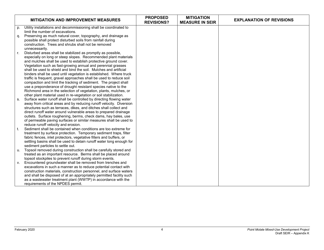|             | <b>MITIGATION AND IMPROVEMENT MEASURES</b>                           | <b>PROPOSED</b><br><b>REVISIONS?</b> | <b>MITIGATION</b><br><b>MEASURE IN SEIR</b> | <b>EXPLANATION OF REVISIONS</b> |
|-------------|----------------------------------------------------------------------|--------------------------------------|---------------------------------------------|---------------------------------|
| p.          | Utility installations and decommissioning shall be coordinated to    |                                      |                                             |                                 |
|             | limit the number of excavations.                                     |                                      |                                             |                                 |
| q.          | Preserving as much natural cover, topography, and drainage as        |                                      |                                             |                                 |
|             | possible shall protect disturbed soils from rainfall during          |                                      |                                             |                                 |
|             | construction. Trees and shrubs shall not be removed                  |                                      |                                             |                                 |
|             | unnecessarily.                                                       |                                      |                                             |                                 |
| $r_{\rm{}}$ | Disturbed areas shall be stabilized as promptly as possible,         |                                      |                                             |                                 |
|             | especially on long or steep slopes. Recommended plant materials      |                                      |                                             |                                 |
|             | and mulches shall be used to establish protective ground cover.      |                                      |                                             |                                 |
|             | Vegetation such as fast-growing annual and perennial grasses         |                                      |                                             |                                 |
|             | shall be used to shield and bind the soil. Mulches and artificial    |                                      |                                             |                                 |
|             | binders shall be used until vegetation is established. Where truck   |                                      |                                             |                                 |
|             | traffic is frequent, gravel approaches shall be used to reduce soil  |                                      |                                             |                                 |
|             | compaction and limit the tracking of sediment. The project shall     |                                      |                                             |                                 |
|             | use a preponderance of drought resistant species native to the       |                                      |                                             |                                 |
|             | Richmond area in the selection of vegetation, plants, mulches, or    |                                      |                                             |                                 |
|             | other plant material used in re-vegetation or soil stabilization.    |                                      |                                             |                                 |
| S.          | Surface water runoff shall be controlled by directing flowing water  |                                      |                                             |                                 |
|             | away from critical areas and by reducing runoff velocity. Diversion  |                                      |                                             |                                 |
|             | structures such as terraces, dikes, and ditches shall collect and    |                                      |                                             |                                 |
|             | direct runoff water around vulnerable areas to prepared drainage     |                                      |                                             |                                 |
|             | outlets. Surface roughening, berms, check dams, hay bales, use       |                                      |                                             |                                 |
|             | of permeable paving surfaces or similar measures shall be used to    |                                      |                                             |                                 |
|             | reduce runoff velocity and erosion.                                  |                                      |                                             |                                 |
| t.          | Sediment shall be contained when conditions are too extreme for      |                                      |                                             |                                 |
|             | treatment by surface protection. Temporary sediment traps, filter    |                                      |                                             |                                 |
|             | fabric fences, inlet protectors, vegetative filters and buffers, or  |                                      |                                             |                                 |
|             | settling basins shall be used to detain runoff water long enough for |                                      |                                             |                                 |
|             | sediment particles to settle out.                                    |                                      |                                             |                                 |
| u.          | Topsoil removed during construction shall be carefully stored and    |                                      |                                             |                                 |
|             | treated as an important resource. Berms shall be placed around       |                                      |                                             |                                 |
|             | topsoil stockpiles to prevent runoff during storm events.            |                                      |                                             |                                 |
| V.          | Encountered groundwater shall be removed from trenches and           |                                      |                                             |                                 |
|             | excavations in such a manner as to reduce potential contact with     |                                      |                                             |                                 |
|             | construction materials, construction personnel, and surface waters   |                                      |                                             |                                 |
|             | and shall be disposed of at an appropriately permitted facility such |                                      |                                             |                                 |
|             | as a wastewater treatment plant (WWTP) in accordance with the        |                                      |                                             |                                 |
|             | requirements of the NPDES permit.                                    |                                      |                                             |                                 |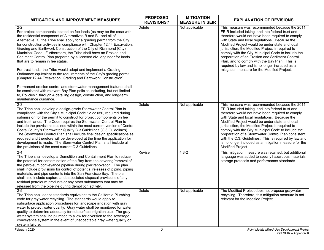| <b>MITIGATION AND IMPROVEMENT MEASURES</b>                                                                                                                                                                                                                                                                                                                                                                                                                                                                                                                                                                                                                                                                                                                                                                                                                                                                                                                                                                                         | <b>PROPOSED</b><br><b>REVISIONS?</b> | <b>MITIGATION</b><br><b>MEASURE IN SEIR</b> | <b>EXPLANATION OF REVISIONS</b>                                                                                                                                                                                                                                                                                                                                                                                                                                                                                                                                            |
|------------------------------------------------------------------------------------------------------------------------------------------------------------------------------------------------------------------------------------------------------------------------------------------------------------------------------------------------------------------------------------------------------------------------------------------------------------------------------------------------------------------------------------------------------------------------------------------------------------------------------------------------------------------------------------------------------------------------------------------------------------------------------------------------------------------------------------------------------------------------------------------------------------------------------------------------------------------------------------------------------------------------------------|--------------------------------------|---------------------------------------------|----------------------------------------------------------------------------------------------------------------------------------------------------------------------------------------------------------------------------------------------------------------------------------------------------------------------------------------------------------------------------------------------------------------------------------------------------------------------------------------------------------------------------------------------------------------------------|
| $2 - 2$<br>For project components located on fee lands (as may be the case with<br>the residential component of Alternatives B and B1 and all of<br>Alternative D), the Tribe shall apply for a grading permit from the City<br>for construction activities in compliance with Chapter 12.44 Excavation,<br>Grading and Earthwork Construction of the City of Richmond (City)<br>Municipal Code. Furthermore, the Tribe shall have an Erosion and<br>Sediment Control Plan prepared by a licensed civil engineer for lands<br>that are to remain in fee status.<br>For trust lands, the Tribe would adopt and implement a Grading<br>Ordinance equivalent to the requirements of the City's grading permit<br>(Chapter 12.44 Excavation, Grading and Earthwork Construction).<br>Permanent erosion control and stormwater management features shall<br>be consistent with relevant Bay Plan policies including, but not limited<br>to, Policies 1 through 4 detailing design, construction, and long-term<br>maintenance guidance. | Delete                               | Not applicable                              | This measure was recommended because the 2011<br>FEIR included taking land into federal trust and<br>therefore would not have been required to comply<br>with State and local regulations. Because the<br>Modified Project would be under state and local<br>jurisdiction, the Modified Project is required to<br>comply with the City Municipal Code to include the<br>preparation of an Erosion and Sediment Control<br>Plan, and to comply with the Bay Plan. This is<br>required by law and is no longer included as a<br>mitigation measure for the Modified Project. |
| $2 - 3$<br>The Tribe shall develop a design-grade Stormwater Control Plan in<br>compliance with the City's Municipal Code 12.22.050, required during<br>submission for the permit to construct for project components on fee<br>and trust lands. The Code requires the Stormwater Control Plan to<br>include the provisions outlined within the most current version of Contra<br>Costa County's Stormwater Quality C.3 Guidelines (C.3 Guidelines).<br>The Stormwater Control Plan shall include final design specifications as<br>required and therefore will be developed at the time the application for<br>development is made. The Stormwater Control Plan shall include all<br>the provisions of the most current C.3 Guidelines.                                                                                                                                                                                                                                                                                           | <b>Delete</b>                        | Not applicable                              | This measure was recommended because the 2011<br>FEIR included taking land into federal trust and<br>therefore would not have been required to comply<br>with State and local regulations. Because the<br>Modified Project would be under state and local<br>jurisdiction, the Modified Project is required to<br>comply with the City Municipal Code to include the<br>preparation of a Stormwater Control Plan consistent<br>with the C.3. Guidelines. This is required by law and<br>is no longer included as a mitigation measure for the<br>Modified Project.         |
| $2 - 4$<br>The Tribe shall develop a Demolition and Containment Plan to reduce<br>the potential for contamination of the Bay from the covering/removal of<br>the petroleum conveyance pipeline during pier renovation. The plan<br>shall include provisions for control of potential releases of piping, piping<br>materials, and pipe contents into the San Francisco Bay. The plan<br>shall also include capture and associated disposal provisions of any<br>residual petroleum products or any other substances that may be<br>released from the pipeline during demolition activity.                                                                                                                                                                                                                                                                                                                                                                                                                                          | Revise                               | $4.8 - 2$                                   | This mitigation measure was retained, but additional<br>language was added to specify hazardous materials<br>storage protocols and performance standards.                                                                                                                                                                                                                                                                                                                                                                                                                  |
| $2 - 5$<br>The Tribe shall adopt standards equivalent to the California Plumbing<br>code for gray water recycling. The standards would apply to<br>subsurface application procedures for landscape irrigation with gray<br>water to protect water quality. Gray water shall be monitored for water<br>quality to determine adequacy for subsurface irrigation use. The gray<br>water system shall be plumbed to allow for diversion to the sewerage<br>conveyance system in the event of unacceptable gray water quality or<br>system failure.                                                                                                                                                                                                                                                                                                                                                                                                                                                                                     | <b>Delete</b>                        | Not applicable                              | The Modified Project does not propose graywater<br>recycling. Therefore, this mitigation measure is not<br>relevant for the Modified Project.                                                                                                                                                                                                                                                                                                                                                                                                                              |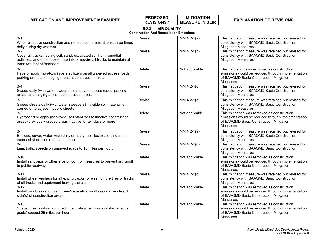| <b>MITIGATION AND IMPROVEMENT MEASURES</b>                                                                                                                                               | <b>PROPOSED</b><br><b>REVISIONS?</b>                                         | <b>MITIGATION</b><br><b>MEASURE IN SEIR</b> | <b>EXPLANATION OF REVISIONS</b>                                                                                                                          |
|------------------------------------------------------------------------------------------------------------------------------------------------------------------------------------------|------------------------------------------------------------------------------|---------------------------------------------|----------------------------------------------------------------------------------------------------------------------------------------------------------|
|                                                                                                                                                                                          | <b>AIR QUALITY</b><br>5.2.3<br><b>Construction And Remediation Emissions</b> |                                             |                                                                                                                                                          |
| $3 - 1$<br>Water all active construction and remediation areas at least three times<br>daily during dry weather.                                                                         | Revise                                                                       | MM 4.2-1(a)                                 | This mitigation measure was retained but revised for<br>consistency with BAAQMD Basic Construction<br>Mitigation Measures.                               |
| $3-2$<br>Cover all trucks hauling soil, sand, excavated soil from remedial<br>activities, and other loose materials or require all trucks to maintain at<br>least two feet of freeboard. | Revise                                                                       | $MM4.2-1(b)$                                | This mitigation measure was retained but revised for<br>consistency with BAAQMD Basic Construction<br>Mitigation Measures.                               |
| $3-3$<br>Pave or apply (non-toxic) soil stabilizers on all unpaved access roads,<br>parking areas and staging areas at construction sites.                                               | Delete                                                                       | Not applicable                              | This mitigation was removed as construction<br>emissions would be reduced through implementation<br>of BAAQMD Basic Construction Mitigation<br>Measures. |
| $3-4$<br>Sweep daily (with water sweepers) all paved access roads, parking<br>areas, and staging areas at construction sites.                                                            | Revise                                                                       | $MM4.2-1(c)$                                | This mitigation measure was retained but revised for<br>consistency with BAAQMD Basic Construction<br>Mitigation Measures.                               |
| $3-5$<br>Sweep streets daily (with water sweepers) if visible soil material is<br>carried onto adjacent public streets                                                                   | Revise                                                                       | $MM4.2-1(c)$                                | This mitigation measure was retained but revised for<br>consistency with BAAQMD Basic Construction<br><b>Mitigation Measures.</b>                        |
| $3-6$<br>Hydroseed or apply (non-toxic) soil stabilizes to inactive construction<br>areas (previously graded areas inactive for ten days or more).                                       | Delete                                                                       | Not applicable                              | This mitigation was removed as construction<br>emissions would be reduced through implementation<br>of BAAQMD Basic Construction Mitigation<br>Measures. |
| $3 - 7$<br>Enclose, cover, water twice daily or apply (non-toxic) soil binders to<br>exposed stockpiles (dirt, sand, etc.).                                                              | Revise                                                                       | $MM4.2-1(a)$                                | This mitigation measure was retained but revised for<br>consistency with BAAQMD Basic Construction<br>Mitigation Measures.                               |
| $3 - 8$<br>Limit traffic speeds on unpaved roads to 15 miles per hour.                                                                                                                   | Revise                                                                       | $MM4.2-1(d)$                                | This mitigation measure was retained but revised for<br>consistency with BAAQMD Basic Construction<br><b>Mitigation Measures.</b>                        |
| $3 - 10$<br>Install sandbags or other erosion control measures to prevent silt runoff<br>to public roadways.                                                                             | Delete                                                                       | Not applicable                              | This mitigation was removed as construction<br>emissions would be reduced through implementation<br>of BAAQMD Basic Construction Mitigation<br>Measures. |
| $3 - 11$<br>Install wheel washers for all exiting trucks, or wash off the tires or tracks<br>of all trucks and equipment leaving the site.                                               | Revise                                                                       | $MM4.2-1(c)$                                | This mitigation measure was retained but revised for<br>consistency with BAAQMD Basic Construction<br><b>Mitigation Measures.</b>                        |
| $3 - 12$<br>Install windbreaks, or plant trees/vegetative windbreaks at windward<br>side(s) of construction areas.                                                                       | Delete                                                                       | Not applicable                              | This mitigation was removed as construction<br>emissions would be reduced through implementation<br>of BAAQMD Basic Construction Mitigation<br>Measures. |
| $3 - 13$<br>Suspend excavation and grading activity when winds (instantaneous<br>gusts) exceed 25 miles per hour.                                                                        | Delete                                                                       | Not applicable                              | This mitigation was removed as construction<br>emissions would be reduced through implementation<br>of BAAQMD Basic Construction Mitigation<br>Measures. |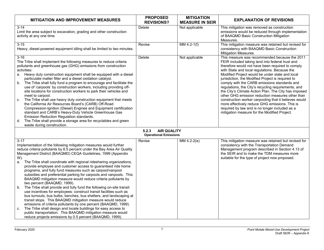| <b>MITIGATION AND IMPROVEMENT MEASURES</b>                                                                                                                                                                                                                                                                                                                                                                                                                                                                                                                                                                                                                                                                                                                                                                                                                                                                                                                                                                                                                                                                                                                                     | <b>PROPOSED</b>                                             | <b>MITIGATION</b>      | <b>EXPLANATION OF REVISIONS</b>                                                                                                                                                                                                                                                                                                                                                                                                                                                                                                                                                                                                                                                                                                                |
|--------------------------------------------------------------------------------------------------------------------------------------------------------------------------------------------------------------------------------------------------------------------------------------------------------------------------------------------------------------------------------------------------------------------------------------------------------------------------------------------------------------------------------------------------------------------------------------------------------------------------------------------------------------------------------------------------------------------------------------------------------------------------------------------------------------------------------------------------------------------------------------------------------------------------------------------------------------------------------------------------------------------------------------------------------------------------------------------------------------------------------------------------------------------------------|-------------------------------------------------------------|------------------------|------------------------------------------------------------------------------------------------------------------------------------------------------------------------------------------------------------------------------------------------------------------------------------------------------------------------------------------------------------------------------------------------------------------------------------------------------------------------------------------------------------------------------------------------------------------------------------------------------------------------------------------------------------------------------------------------------------------------------------------------|
|                                                                                                                                                                                                                                                                                                                                                                                                                                                                                                                                                                                                                                                                                                                                                                                                                                                                                                                                                                                                                                                                                                                                                                                | <b>REVISIONS?</b>                                           | <b>MEASURE IN SEIR</b> |                                                                                                                                                                                                                                                                                                                                                                                                                                                                                                                                                                                                                                                                                                                                                |
| $3 - 14$<br>Limit the area subject to excavation, grading and other construction<br>activity at any one time.                                                                                                                                                                                                                                                                                                                                                                                                                                                                                                                                                                                                                                                                                                                                                                                                                                                                                                                                                                                                                                                                  | Delete                                                      | Not applicable         | This mitigation was removed as construction<br>emissions would be reduced through implementation<br>of BAAQMD Basic Construction Mitigation<br>Measures.                                                                                                                                                                                                                                                                                                                                                                                                                                                                                                                                                                                       |
| $3 - 15$<br>Heavy, diesel-powered equipment idling shall be limited to two minutes.                                                                                                                                                                                                                                                                                                                                                                                                                                                                                                                                                                                                                                                                                                                                                                                                                                                                                                                                                                                                                                                                                            | Revise                                                      | $MM4.2-1(f)$           | This mitigation measure was retained but revised for<br>consistency with BAAQMD Basic Construction<br>Mitigation Measures.                                                                                                                                                                                                                                                                                                                                                                                                                                                                                                                                                                                                                     |
| $3 - 16$<br>The Tribe shall implement the following measures to reduce criteria<br>pollutants and greenhouse gas (GHG) emissions from construction<br>activities:<br>Heavy duty construction equipment shall be equipped with a diesel<br>а.<br>particulate matter filter and a diesel oxidation catalyst.<br>The Tribe shall fully fund a program to encourage and facilitate the<br>b.<br>use of 'carpools' by construction workers, including providing off-<br>site locations for construction workers to park their vehicles and<br>meet to carpool.<br>The Tribe shall use heavy duty construction equipment that meets<br>C.<br>the California Air Resources Board's (CARB) Off-Road<br>Compression-Ignition (Diesel) Engines and Equipment certification<br>standard and CARB's Heavy-Duty Vehicle Greenhouse Gas<br>Emission Reduction Regulation standards.<br>The Tribe shall provide a storage area for recyclables and green<br>d.<br>waste during construction.                                                                                                                                                                                                  | Delete                                                      | Not applicable         | This measure was recommended because the 2011<br>FEIR included taking land into federal trust and<br>therefore would not have been required to comply<br>with State and local regulations. Because the<br>Modified Project would be under state and local<br>jurisdiction, the Modified Project is required to<br>comply with the CARB emissions standards and<br>regulations, the City's recycling requirements, and<br>the City's Climate Action Plan. The City has imposed<br>other GHG emission reduction measures other than<br>construction worker carpooling that it believes would<br>more effectively reduce GHG emissions. This is<br>required by law and is no longer included as a<br>mitigation measure for the Modified Project. |
|                                                                                                                                                                                                                                                                                                                                                                                                                                                                                                                                                                                                                                                                                                                                                                                                                                                                                                                                                                                                                                                                                                                                                                                | <b>AIR QUALITY</b><br>5.2.3<br><b>Operational Emissions</b> |                        |                                                                                                                                                                                                                                                                                                                                                                                                                                                                                                                                                                                                                                                                                                                                                |
| $3 - 17$<br>Implementation of the following mitigation measures would further<br>reduce criteria pollutants by 6.5 percent under the Bay Area Air Quality<br>Management District (BAAQMD) CEQA Guidelines, 1999 (Appendix<br>W).<br>The Tribe shall coordinate with regional ridesharing organizations,<br>а.<br>provide employee and customer access to guaranteed ride home<br>programs, and fully fund measures such as carpool/vanpool<br>subsidies and preferential parking for carpools and vanpools. This<br>BAAQMD mitigation measure would reduce criteria pollutants by<br>two percent (BAAQMD, 1999).<br>The Tribe shall provide and fully fund the following on-site transit<br>b.<br>use incentives for employees: construct transit facilities such as<br>bus turnouts, bus bulbs, benches, bus shelters, and landscaping at<br>transit stops. This BAAQMD mitigation measure would reduce<br>emissions of criteria pollutants by one percent (BAAQMD, 1999).<br>The Tribe shall design and locate buildings for easy access to<br>C.<br>public transportation. This BAAQMD mitigation measure would<br>reduce projects emissions by 0.5 percent (BAAQMD, 1999). | Revise                                                      | MM 4.2-2(e)            | This mitigation measure was retained but revised for<br>consistency with the Transportation Demand<br>Management program described in Section 4.13 of<br>the SEIR and to make the TDM measures more<br>suitable for the type of project now proposed.                                                                                                                                                                                                                                                                                                                                                                                                                                                                                          |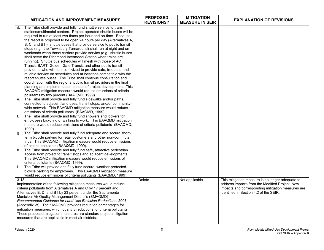|          | <b>MITIGATION AND IMPROVEMENT MEASURES</b>                                                                                                                                                                                                                                                                                                                                                                                                                                                                                                                                                                                                                                                                                                                                                                                                                                                                      | <b>PROPOSED</b><br><b>REVISIONS?</b> | <b>MITIGATION</b><br><b>MEASURE IN SEIR</b> | <b>EXPLANATION OF REVISIONS</b>                                                                                                                                                                   |
|----------|-----------------------------------------------------------------------------------------------------------------------------------------------------------------------------------------------------------------------------------------------------------------------------------------------------------------------------------------------------------------------------------------------------------------------------------------------------------------------------------------------------------------------------------------------------------------------------------------------------------------------------------------------------------------------------------------------------------------------------------------------------------------------------------------------------------------------------------------------------------------------------------------------------------------|--------------------------------------|---------------------------------------------|---------------------------------------------------------------------------------------------------------------------------------------------------------------------------------------------------|
| d.       | The Tribe shall provide and fully fund shuttle service to transit<br>stations/multimodal centers. Project-operated shuttle buses will be<br>required to run at least two times per hour and on-time. Because<br>the resort is proposed to be open 24 hours per day (Alternatives A,<br>B, C, and B1), shuttle buses that provide service to public transit<br>stops (e.g., the Tewksbury Turnaround) shall run at night and on<br>weekends when those carriers provide service (e.g., shuttle buses<br>shall serve the Richmond Intermodal Station when trains are<br>running). Shuttle bus schedules will mesh with those of AC<br>Transit, BART, Golden Gate Transit, and other public transit<br>providers, who will be incentivized to provide safe, frequent, and<br>reliable service on schedules and at locations compatible with the<br>resort shuttle buses. The Tribe shall continue consultation and |                                      |                                             |                                                                                                                                                                                                   |
|          | coordination with the regional public transit providers in the final<br>planning and implementation phases of project development. This<br>BAAQMD mitigation measure would reduce emissions of criteria<br>pollutants by two percent (BAAQMD, 1999).                                                                                                                                                                                                                                                                                                                                                                                                                                                                                                                                                                                                                                                            |                                      |                                             |                                                                                                                                                                                                   |
| e.       | The Tribe shall provide and fully fund sidewalks and/or paths,<br>connected to adjacent land uses, transit stops, and/or community-<br>wide network. This BAAQMD mitigation measure would reduce<br>emissions of criteria pollutants (BAAQMD, 1999).                                                                                                                                                                                                                                                                                                                                                                                                                                                                                                                                                                                                                                                            |                                      |                                             |                                                                                                                                                                                                   |
| f.       | The Tribe shall provide and fully fund showers and lockers for<br>employees bicycling or walking to work. This BAAQMD mitigation<br>measure would reduce emissions of criteria pollutants (BAAQMD,<br>1999).                                                                                                                                                                                                                                                                                                                                                                                                                                                                                                                                                                                                                                                                                                    |                                      |                                             |                                                                                                                                                                                                   |
| g.       | The Tribe shall provide and fully fund adequate and secure short-<br>term bicycle parking for retail customers and other non-commute<br>trips. This BAAQMD mitigation measure would reduce emissions<br>of criteria pollutants (BAAQMD, 1999).                                                                                                                                                                                                                                                                                                                                                                                                                                                                                                                                                                                                                                                                  |                                      |                                             |                                                                                                                                                                                                   |
| h.       | The Tribe shall provide and fully fund safe, attractive pedestrian<br>access from project to transit stops and adjacent developments.<br>This BAAQMD mitigation measure would reduce emissions of<br>criteria pollutants (BAAQMD, 1999).                                                                                                                                                                                                                                                                                                                                                                                                                                                                                                                                                                                                                                                                        |                                      |                                             |                                                                                                                                                                                                   |
| i.       | The Tribe will provide and fully fund secure, weather-protected<br>bicycle parking for employees. This BAAQMD mitigation measure<br>would reduce emissions of criteria pollutants (BAAQMD, 1999)                                                                                                                                                                                                                                                                                                                                                                                                                                                                                                                                                                                                                                                                                                                |                                      |                                             |                                                                                                                                                                                                   |
| $3 - 18$ | Implementation of the following mitigation measures would reduce<br>criteria pollutants from Alternatives A and C by 17 percent and<br>Alternatives B, D, and B1 by 23 percent under the Sacramento<br>Municipal Air Quality Management District's (SMAQMD)<br>Recommended Guidance for Land Use Emission Reductions, 2007<br>(Appendix W). The SMAQMD provides reduction percentages for<br>mitigation measures, which quantify reductions for criteria pollutants.<br>These proposed mitigation measures are standard project mitigation<br>measures that are applicable in most air districts.                                                                                                                                                                                                                                                                                                               | Delete                               | Not applicable.                             | This mitigation measure is no longer adequate to<br>address impacts from the Modified Project. New<br>impacts and corresponding mitigation measures are<br>identified in Section 4.2 of the SEIR. |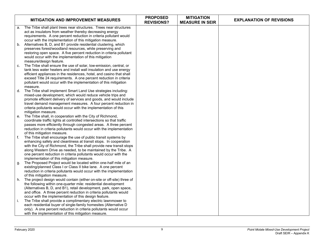|    | <b>MITIGATION AND IMPROVEMENT MEASURES</b>                                                                                            | <b>PROPOSED</b><br><b>REVISIONS?</b> | <b>MITIGATION</b><br><b>MEASURE IN SEIR</b> | <b>EXPLANATION OF REVISIONS</b> |
|----|---------------------------------------------------------------------------------------------------------------------------------------|--------------------------------------|---------------------------------------------|---------------------------------|
| a. | The Tribe shall plant trees near structures. Trees near structures                                                                    |                                      |                                             |                                 |
|    | act as insulators from weather thereby decreasing energy                                                                              |                                      |                                             |                                 |
|    | requirements. A one percent reduction in criteria pollutant would                                                                     |                                      |                                             |                                 |
|    | occur with the implementation of this mitigation measure.                                                                             |                                      |                                             |                                 |
| b. | Alternatives B, D, and B1 provide residential clustering, which                                                                       |                                      |                                             |                                 |
|    | preserves forest/woodland resources, while preserving and<br>restoring open space. A five percent reduction in criteria pollutant     |                                      |                                             |                                 |
|    | would occur with the implementation of this mitigation                                                                                |                                      |                                             |                                 |
|    | measure/design feature.                                                                                                               |                                      |                                             |                                 |
| C. | The Tribe shall ensure the use of solar, low-emission, central, or                                                                    |                                      |                                             |                                 |
|    | tank less water heaters and install wall insulation and use energy                                                                    |                                      |                                             |                                 |
|    | efficient appliances in the residences, hotel, and casino that shall                                                                  |                                      |                                             |                                 |
|    | exceed Title 24 requirements. A one percent reduction in criteria                                                                     |                                      |                                             |                                 |
|    | pollutant would occur with the implementation of this mitigation                                                                      |                                      |                                             |                                 |
|    | measure.                                                                                                                              |                                      |                                             |                                 |
| d. | The Tribe shall implement Smart Land Use strategies including:                                                                        |                                      |                                             |                                 |
|    | mixed-use development, which would reduce vehicle trips and                                                                           |                                      |                                             |                                 |
|    | promote efficient delivery of services and goods, and would include                                                                   |                                      |                                             |                                 |
|    | travel demand management measures. A four percent reduction in                                                                        |                                      |                                             |                                 |
|    | criteria pollutants would occur with the implementation of this<br>mitigation measure.                                                |                                      |                                             |                                 |
| е. | The Tribe shall, in cooperation with the City of Richmond,                                                                            |                                      |                                             |                                 |
|    | coordinate traffic lights at controlled intersections so that traffic                                                                 |                                      |                                             |                                 |
|    | passes more efficiently through congested areas. A three percent                                                                      |                                      |                                             |                                 |
|    | reduction in criteria pollutants would occur with the implementation                                                                  |                                      |                                             |                                 |
|    | of this mitigation measure.                                                                                                           |                                      |                                             |                                 |
| f. | The Tribe shall encourage the use of public transit systems by                                                                        |                                      |                                             |                                 |
|    | enhancing safety and cleanliness at transit stops. In cooperation                                                                     |                                      |                                             |                                 |
|    | with the City of Richmond, the Tribe shall provide new transit stops                                                                  |                                      |                                             |                                 |
|    | along Western Drive as needed, to be maintained by the Tribe. A                                                                       |                                      |                                             |                                 |
|    | one percent reduction in criteria pollutants would occur with the                                                                     |                                      |                                             |                                 |
| g. | implementation of this mitigation measure.<br>The Proposed Project would be located within one-half mile of an                        |                                      |                                             |                                 |
|    | existing/planned Class I or Class II bike lane. A one percent                                                                         |                                      |                                             |                                 |
|    | reduction in criteria pollutants would occur with the implementation                                                                  |                                      |                                             |                                 |
|    | of this mitigation measure.                                                                                                           |                                      |                                             |                                 |
| h. | The project design would contain (either on-site or off-site) three of                                                                |                                      |                                             |                                 |
|    | the following within one-quarter mile: residential development                                                                        |                                      |                                             |                                 |
|    | (Alternatives B, D, and B1), retail development, park, open space,                                                                    |                                      |                                             |                                 |
|    | and office. A three percent reduction in criteria pollutants would                                                                    |                                      |                                             |                                 |
|    | occur with the implementation of this design feature.                                                                                 |                                      |                                             |                                 |
| j. | The Tribe shall provide a complimentary electric lawnmower to                                                                         |                                      |                                             |                                 |
|    | each residential buyer of single-family homesites (Alternative D<br>only). A one percent reduction in criteria pollutants would occur |                                      |                                             |                                 |
|    | with the implementation of this mitigation measure.                                                                                   |                                      |                                             |                                 |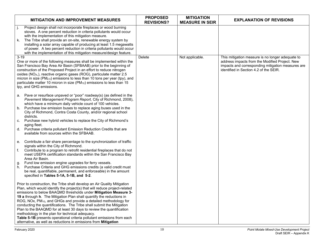|                | <b>MITIGATION AND IMPROVEMENT MEASURES</b>                                                                                                                                                                                                                                                                                                                                                                                                                                                                                                                                                                                                                                                                                          | <b>PROPOSED</b><br><b>REVISIONS?</b> | <b>MITIGATION</b><br><b>MEASURE IN SEIR</b> | <b>EXPLANATION OF REVISIONS</b>                                                                                                                                                                   |
|----------------|-------------------------------------------------------------------------------------------------------------------------------------------------------------------------------------------------------------------------------------------------------------------------------------------------------------------------------------------------------------------------------------------------------------------------------------------------------------------------------------------------------------------------------------------------------------------------------------------------------------------------------------------------------------------------------------------------------------------------------------|--------------------------------------|---------------------------------------------|---------------------------------------------------------------------------------------------------------------------------------------------------------------------------------------------------|
| j.<br>k.       | Project design shall not incorporate fireplaces or wood burning<br>stoves. A one percent reduction in criteria pollutants would occur<br>with the implementation of this mitigation measure.<br>The Tribe shall provide an on-site, renewable energy system by<br>installing a solar array capable of producing at least 1.5 megawatts<br>of power. A two percent reduction in criteria pollutants would occur<br>with the implementation of this mitigation measure/design feature.                                                                                                                                                                                                                                                |                                      |                                             |                                                                                                                                                                                                   |
| $3 - 19$       | One or more of the following measures shall be implemented within the<br>San Francisco Bay Area Air Basin (SFBAAB) prior to the beginning of<br>construction of the Proposed Project in an effort to reduce nitrogen<br>oxides (NO <sub>x</sub> ,), reactive organic gases (ROG), particulate matter 2.5<br>micron in size (PM <sub>2.5</sub> ) emissions to less than 10 tons per year (tpy), and<br>particulate matter 10 micron in size (PM <sub>10</sub> ) emissions to less than 15<br>tpy, and GHG emissions.                                                                                                                                                                                                                 | <b>Delete</b>                        | Not applicable.                             | This mitigation measure is no longer adequate to<br>address impacts from the Modified Project. New<br>impacts and corresponding mitigation measures are<br>identified in Section 4.2 of the SEIR. |
| C.             | a. Pave or resurface unpaved or "poor" roadway(s) (as defined in the<br>Pavement Management Program Report, City of Richmond, 2008),<br>which have a minimum daily vehicle count of 100 vehicles.<br>b. Purchase low emission buses to replace aging buses used in the<br>City of Richmond, Contra Costa County, and/or regional school<br>districts.<br>Purchase new hybrid vehicles to replace the City of Richmond's<br>aging fleet.<br>d. Purchase criteria pollutant Emission Reduction Credits that are<br>available from sources within the SFBAAB.                                                                                                                                                                          |                                      |                                             |                                                                                                                                                                                                   |
| f.<br>g.<br>h. | e. Contribute a fair share percentage to the synchronization of traffic<br>signals within the City of Richmond.<br>Contribute to a program to retrofit residential fireplaces that do not<br>meet USEPA certification standards within the San Francisco Bay<br>Area Air Basin.<br>Fund low emission engine upgrades for ferry vessels.<br>Purchase Criteria and GHG emissions credits (a valid credit must<br>be real, quantifiable, permanent, and enforceable) in the amount<br>specified in Tables 5-1A, 5-1B, and 5-2.                                                                                                                                                                                                         |                                      |                                             |                                                                                                                                                                                                   |
|                | Prior to construction, the Tribe shall develop an Air Quality Mitigation<br>Plan, which would identify the project(s) that will reduce project-related<br>emissions to below BAAQMD thresholds under Mitigation Measure 3-<br>19 a through h. The Mitigation Plan shall quantify the reductions in<br>ROG, NOx, PM <sub>10</sub> , and GHGs and provide a detailed methodology for<br>conducting the quantifications. The Tribe shall submit the Mitigation<br>Plan to the BAAQMD for at least 30 days to review the quantification<br>methodology in the plan for technical adequacy.<br>Table 5-1B presents operational criteria pollutant emissions from each<br>alternative, as well as reductions in emissions from Mitigation |                                      |                                             |                                                                                                                                                                                                   |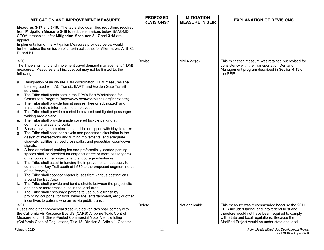| <b>MITIGATION AND IMPROVEMENT MEASURES</b>                                                                                                                                                                                                                                                                                                                                                                                                                                                                                                                                                                                                                                                                                                                                                                                                                                                                                                                                                                                                                                                                                                                                                                                                   | <b>PROPOSED</b><br><b>REVISIONS?</b> | <b>MITIGATION</b><br><b>MEASURE IN SEIR</b> | <b>EXPLANATION OF REVISIONS</b>                                                                                                                                                                        |
|----------------------------------------------------------------------------------------------------------------------------------------------------------------------------------------------------------------------------------------------------------------------------------------------------------------------------------------------------------------------------------------------------------------------------------------------------------------------------------------------------------------------------------------------------------------------------------------------------------------------------------------------------------------------------------------------------------------------------------------------------------------------------------------------------------------------------------------------------------------------------------------------------------------------------------------------------------------------------------------------------------------------------------------------------------------------------------------------------------------------------------------------------------------------------------------------------------------------------------------------|--------------------------------------|---------------------------------------------|--------------------------------------------------------------------------------------------------------------------------------------------------------------------------------------------------------|
| Measures 3-17 and 3-18. The table also quantifies reductions required<br>from Mitigation Measure 3-19 to reduce emissions below BAAQMD<br>CEQA thresholds, after Mitigation Measures 3-17 and 3-18 are<br>applied.<br>Implementation of the Mitigation Measures provided below would<br>further reduce the emission of criteria pollutants for Alternatives A, B, C,<br>$D$ , and $B1$ .                                                                                                                                                                                                                                                                                                                                                                                                                                                                                                                                                                                                                                                                                                                                                                                                                                                     |                                      |                                             |                                                                                                                                                                                                        |
| $3 - 20$<br>The Tribe shall fund and implement travel demand management (TDM)<br>measures. Measures shall include, but may not be limited to, the<br>following:<br>Designation of an on-site TDM coordinator. TDM measures shall<br>а.<br>be integrated with AC Transit, BART, and Golden Gate Transit<br>services.<br>b.<br>The Tribe shall participate in the EPA's Best Workplaces for<br>Commuters Program (http://www.bestworkplaces.org/index.htm).<br>The Tribe shall provide transit passes (free or subsidized) and<br>C.<br>transit schedule information to employees.<br>The Tribe shall provide a curbside covered and lighted passenger<br>d.<br>waiting area on-site.<br>The Tribe shall provide ample covered bicycle parking at<br>e.<br>commercial areas and parks.<br>f.<br>Buses serving the project site shall be equipped with bicycle racks.<br>The Tribe shall consider bicycle and pedestrian circulation in the<br>g.<br>design of intersections and turning movements, and adequate<br>sidewalk facilities, striped crosswalks, and pedestrian countdown<br>signals.<br>A free or reduced parking fee and preferentially located parking<br>h.<br>spaces shall be provided for carpools (three or more passengers) | Revise                               | $MM4.2-2(e)$                                | This mitigation measure was retained but revised for<br>consistency with the Transportation Demand<br>Management program described in Section 4.13 of<br>the SEIR.                                     |
| or vanpools at the project site to encourage ridesharing.<br>i.<br>The Tribe shall assist in funding the improvements necessary to<br>connect the Bay Trail south of I-580 to the proposed segment north<br>of the freeway.<br>j.<br>The Tribe shall sponsor charter buses from various destinations<br>around the Bay Area.<br>The Tribe shall provide and fund a shuttle between the project site<br>k.<br>and one or more transit hubs in the local area.<br>L.<br>The Tribe shall encourage patrons to use public transit by<br>providing coupons (for food, beverage, entertainment, etc.) or other<br>incentives to patrons who arrive via public transit.                                                                                                                                                                                                                                                                                                                                                                                                                                                                                                                                                                             |                                      |                                             |                                                                                                                                                                                                        |
| $3 - 21$<br>Buses and other commercial diesel-fueled vehicles shall comply with<br>the California Air Resource Board's (CARB) Airborne Toxic Control<br>Measure to Limit Diesel-Fueled Commercial Motor Vehicle Idling                                                                                                                                                                                                                                                                                                                                                                                                                                                                                                                                                                                                                                                                                                                                                                                                                                                                                                                                                                                                                       | Delete                               | Not applicable.                             | This measure was recommended because the 2011<br>FEIR included taking land into federal trust and<br>therefore would not have been required to comply<br>with State and local regulations. Because the |
| (California Code of Regulations, Title 13, Division 3, Article 1, Chapter                                                                                                                                                                                                                                                                                                                                                                                                                                                                                                                                                                                                                                                                                                                                                                                                                                                                                                                                                                                                                                                                                                                                                                    |                                      |                                             | Modified Project would be under state and local                                                                                                                                                        |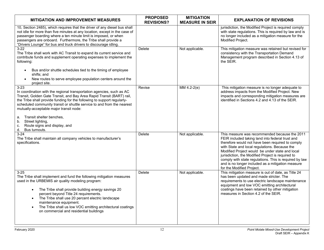| <b>MITIGATION AND IMPROVEMENT MEASURES</b>                                                                                                                                                                                                                                                                                                                                                                                                                          | <b>PROPOSED</b><br><b>REVISIONS?</b> | <b>MITIGATION</b><br><b>MEASURE IN SEIR</b> | <b>EXPLANATION OF REVISIONS</b>                                                                                                                                                                                                                                                                                                                                                                                                                            |
|---------------------------------------------------------------------------------------------------------------------------------------------------------------------------------------------------------------------------------------------------------------------------------------------------------------------------------------------------------------------------------------------------------------------------------------------------------------------|--------------------------------------|---------------------------------------------|------------------------------------------------------------------------------------------------------------------------------------------------------------------------------------------------------------------------------------------------------------------------------------------------------------------------------------------------------------------------------------------------------------------------------------------------------------|
| 10, Section 2485), which requires that the driver of any diesel bus shall<br>not idle for more than five minutes at any location, except in the case of<br>passenger boarding where a ten minute limit is imposed, or when<br>passengers are onboard. Furthermore, the Tribe shall provide a<br>"Drivers Lounge" for bus and truck drivers to discourage idling                                                                                                     |                                      |                                             | jurisdiction, the Modified Project is required comply<br>with state regulations. This is required by law and is<br>no longer included as a mitigation measure for the<br>Modified Project.                                                                                                                                                                                                                                                                 |
| $3-22$<br>The Tribe shall work with AC Transit to expand its current service and<br>contribute funds and supplement operating expenses to implement the<br>following:<br>Bus and/or shuttle schedules tied to the timing of employee<br>$\bullet$                                                                                                                                                                                                                   | Delete                               | Not applicable.                             | This mitigation measure was retained but revised for<br>consistency with the Transportation Demand<br>Management program described in Section 4.13 of<br>the SEIR.                                                                                                                                                                                                                                                                                         |
| shifts; and<br>New routes to serve employee population centers around the<br>$\bullet$<br>project site.                                                                                                                                                                                                                                                                                                                                                             |                                      |                                             |                                                                                                                                                                                                                                                                                                                                                                                                                                                            |
| $3 - 23$<br>In coordination with the regional transportation agencies, such as AC<br>Transit, Golden Gate Transit, and Bay Area Rapid Transit (BART) rail,<br>the Tribe shall provide funding for the following to support regularly-<br>scheduled community transit or shuttle service to and from the nearest<br>mutually-acceptable major transit node:                                                                                                          | Revise                               | $MM4.2-2(e)$                                | This mitigation measure is no longer adequate to<br>address impacts from the Modified Project. New<br>impacts and corresponding mitigation measures are<br>identified in Sections 4.2 and 4.13 of the SEIR.                                                                                                                                                                                                                                                |
| Transit shelter benches,<br>a.<br>b.<br>Street lighting,<br>Route signs and display, and<br>c.<br>d.<br>Bus turnouts.                                                                                                                                                                                                                                                                                                                                               |                                      |                                             |                                                                                                                                                                                                                                                                                                                                                                                                                                                            |
| $3 - 24$<br>The Tribe shall maintain all company vehicles to manufacturer's<br>specifications.                                                                                                                                                                                                                                                                                                                                                                      | Delete                               | Not applicable.                             | This measure was recommended because the 2011<br>FEIR included taking land into federal trust and<br>therefore would not have been required to comply<br>with State and local regulations. Because the<br>Modified Project would be under state and local<br>jurisdiction, the Modified Project is required to<br>comply with state regulations. This is required by law<br>and is no longer included as a mitigation measure<br>for the Modified Project. |
| $3 - 25$<br>The Tribe shall implement and fund the following mitigation measures<br>used in the URBEMIS air quality modeling program:<br>The Tribe shall provide building energy savings 20<br>$\bullet$<br>percent beyond Title 24 requirements.<br>The Tribe shall use 20 percent electric landscape<br>$\bullet$<br>maintenance equipment.<br>The Tribe shall us low VOC emitting architectural coatings<br>$\bullet$<br>on commercial and residential buildings | <b>Delete</b>                        | Not applicable.                             | This mitigation measure is out of date, as Title 24<br>has been updated and made stricter. The<br>requirements to use electric landscape maintenance<br>equipment and low VOC emitting architectural<br>coatings have been retained by other mitigation<br>measures in Section 4.2 of the SEIR.                                                                                                                                                            |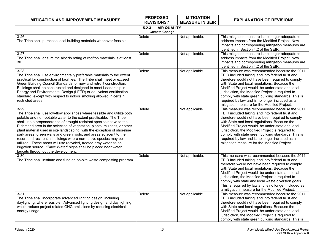| <b>MITIGATION AND IMPROVEMENT MEASURES</b>                                                                                                                                                                                                                                                                                                                                                                                                                                                                                                                                                                                                                                                                         | <b>PROPOSED</b><br><b>REVISIONS?</b>                 | <b>MITIGATION</b><br><b>MEASURE IN SEIR</b> | <b>EXPLANATION OF REVISIONS</b>                                                                                                                                                                                                                                                                                                                                                                                                                                                |  |  |
|--------------------------------------------------------------------------------------------------------------------------------------------------------------------------------------------------------------------------------------------------------------------------------------------------------------------------------------------------------------------------------------------------------------------------------------------------------------------------------------------------------------------------------------------------------------------------------------------------------------------------------------------------------------------------------------------------------------------|------------------------------------------------------|---------------------------------------------|--------------------------------------------------------------------------------------------------------------------------------------------------------------------------------------------------------------------------------------------------------------------------------------------------------------------------------------------------------------------------------------------------------------------------------------------------------------------------------|--|--|
|                                                                                                                                                                                                                                                                                                                                                                                                                                                                                                                                                                                                                                                                                                                    | <b>AIR QUALITY</b><br>5.2.3<br><b>Climate Change</b> |                                             |                                                                                                                                                                                                                                                                                                                                                                                                                                                                                |  |  |
| $3-26$<br>The Tribe shall purchase local building materials whenever feasible.                                                                                                                                                                                                                                                                                                                                                                                                                                                                                                                                                                                                                                     | Delete                                               | Not applicable.                             | This mitigation measure is no longer adequate to<br>address impacts from the Modified Project. New<br>impacts and corresponding mitigation measures are<br>identified in Section 4.2 of the SEIR.                                                                                                                                                                                                                                                                              |  |  |
| $3 - 27$<br>The Tribe shall ensure the albedo rating of rooftop materials is at least<br>30.                                                                                                                                                                                                                                                                                                                                                                                                                                                                                                                                                                                                                       | Delete                                               | Not applicable.                             | This mitigation measure is no longer adequate to<br>address impacts from the Modified Project. New<br>impacts and corresponding mitigation measures are<br>identified in Section 4.2 of the SEIR.                                                                                                                                                                                                                                                                              |  |  |
| $3 - 28$<br>The Tribe shall use environmentally preferable materials to the extent<br>practical for construction of facilities. The Tribe shall meet or exceed<br>Green Building Council Standards for new and retrofit construction.<br>Buildings shall be constructed and designed to meet Leadership in<br>Energy and Environmental Design (LEED) or equivalent certification<br>standard, except with respect to indoor smoking allowed in certain<br>restricted areas.                                                                                                                                                                                                                                        | Delete                                               | Not applicable.                             | This measure was recommended because the 2011<br>FEIR included taking land into federal trust and<br>therefore would not have been required to comply<br>with State and local regulations. Because the<br>Modified Project would be under state and local<br>jurisdiction, the Modified Project is required to<br>comply with state green building standards. This is<br>required by law and is no longer included as a<br>mitigation measure for the Modified Project.        |  |  |
| $3 - 29$<br>The Tribe shall use low-flow appliances where feasible and utilize both<br>potable and non-potable water to the extent practicable. The Tribe<br>shall use a preponderance of drought resistant species native to the<br>Richmond area in the selection of vegetation, plants, mulches, or other<br>plant material used in site landscaping, with the exception of shoreline<br>park areas, green walls and green roofs, and areas adjacent to the<br>resort and residential buildings where non-native species may be<br>utilized. These areas will use recycled, treated gray water as an<br>irrigation source. "Save Water" signs shall be placed near water<br>faucets throughout the development. | Delete                                               | Not applicable.                             | This measure was recommended because the 2011<br>FEIR included taking land into federal trust and<br>therefore would not have been required to comply<br>with State and local regulations. Because the<br>Modified Project would be under state and local<br>jurisdiction, the Modified Project is required to<br>comply with state green building standards. This is<br>required by law and is no longer included as a<br>mitigation measure for the Modified Project.        |  |  |
| $3 - 30$<br>The Tribe shall institute and fund an on-site waste composting program.                                                                                                                                                                                                                                                                                                                                                                                                                                                                                                                                                                                                                                | Delete                                               | Not applicable.                             | This measure was recommended because the 2011<br>FEIR included taking land into federal trust and<br>therefore would not have been required to comply<br>with State and local regulations. Because the<br>Modified Project would be under state and local<br>jurisdiction, the Modified Project is required to<br>comply with state and local waste diversion goals.<br>This is required by law and is no longer included as<br>a mitigation measure for the Modified Project. |  |  |
| $3 - 31$<br>The Tribe shall incorporate advanced lighting design, including<br>daylighting, where feasible. Advanced lighting design and day lighting<br>would reduce project related GHG emissions by reducing electrical<br>energy usage.                                                                                                                                                                                                                                                                                                                                                                                                                                                                        | <b>Delete</b>                                        | Not applicable.                             | This measure was recommended because the 2011<br>FEIR included taking land into federal trust and<br>therefore would not have been required to comply<br>with State and local regulations. Because the<br>Modified Project would be under state and local<br>jurisdiction, the Modified Project is required to<br>comply with state green building standards. This is                                                                                                          |  |  |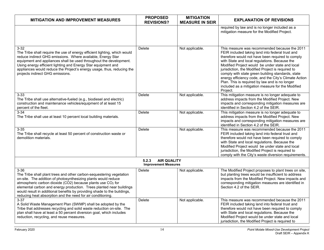| <b>MITIGATION AND IMPROVEMENT MEASURES</b>                                                                                                                                                                                                                                                                                                                                                                                           | <b>PROPOSED</b><br><b>REVISIONS?</b>                       | <b>MITIGATION</b><br><b>MEASURE IN SEIR</b> | <b>EXPLANATION OF REVISIONS</b>                                                                                                                                                                                                                                                                                                                                                                                                                                                                                                                 |
|--------------------------------------------------------------------------------------------------------------------------------------------------------------------------------------------------------------------------------------------------------------------------------------------------------------------------------------------------------------------------------------------------------------------------------------|------------------------------------------------------------|---------------------------------------------|-------------------------------------------------------------------------------------------------------------------------------------------------------------------------------------------------------------------------------------------------------------------------------------------------------------------------------------------------------------------------------------------------------------------------------------------------------------------------------------------------------------------------------------------------|
|                                                                                                                                                                                                                                                                                                                                                                                                                                      |                                                            |                                             | required by law and is no longer included as a<br>mitigation measure for the Modified Project.                                                                                                                                                                                                                                                                                                                                                                                                                                                  |
| $3 - 32$<br>The Tribe shall require the use of energy efficient lighting, which would<br>reduce indirect GHG emissions. Where available, Energy Star<br>equipment and appliances shall be used throughout the development.<br>Using energy efficient lighting and Energy Star equipment and<br>appliances would reduce the Project's energy usage, thus, reducing the<br>projects indirect GHG emissions.                            | Delete                                                     | Not applicable.                             | This measure was recommended because the 2011<br>FEIR included taking land into federal trust and<br>therefore would not have been required to comply<br>with State and local regulations. Because the<br>Modified Project would be under state and local<br>jurisdiction, the Modified Project is required to<br>comply with state green building standards, state<br>energy efficiency code, and the City's Climate Action<br>Plan. This is required by law and is no longer<br>included as a mitigation measure for the Modified<br>Project. |
| $3 - 33$<br>The Tribe shall use alternative-fueled (e.g., biodiesel and electric)<br>construction and maintenance vehicles/equipment of at least 15<br>percent of the fleet.                                                                                                                                                                                                                                                         | Delete                                                     | Not applicable.                             | This mitigation measure is no longer adequate to<br>address impacts from the Modified Project. New<br>impacts and corresponding mitigation measures are<br>identified in Section 4.2 of the SEIR.                                                                                                                                                                                                                                                                                                                                               |
| $3 - 34$<br>The Tribe shall use at least 10 percent local building materials.                                                                                                                                                                                                                                                                                                                                                        | Delete                                                     | Not applicable.                             | This mitigation measure is no longer adequate to<br>address impacts from the Modified Project. New<br>impacts and corresponding mitigation measures are<br>identified in Section 4.2 of the SEIR.                                                                                                                                                                                                                                                                                                                                               |
| $3 - 35$<br>The Tribe shall recycle at least 50 percent of construction waste or<br>demolition materials.                                                                                                                                                                                                                                                                                                                            | Delete                                                     | Not applicable.                             | This measure was recommended because the 2011<br>FEIR included taking land into federal trust and<br>therefore would not have been required to comply<br>with State and local regulations. Because the<br>Modified Project would be under state and local<br>jurisdiction, the Modified Project is required to<br>comply with the City's waste diversion requirements.                                                                                                                                                                          |
|                                                                                                                                                                                                                                                                                                                                                                                                                                      | <b>AIR QUALITY</b><br>5.2.3<br><b>Improvement Measures</b> |                                             |                                                                                                                                                                                                                                                                                                                                                                                                                                                                                                                                                 |
| $3 - 36$<br>The Tribe shall plant trees and other carbon-sequestering vegetation<br>on-site. The addition of photosynthesizing plants would reduce<br>atmospheric carbon dioxide (CO2) because plants use CO2 for<br>elemental carbon and energy production. Trees planted near buildings<br>would result in additional benefits by providing shade to the buildings,<br>reducing heat absorption and the need for air conditioning. | Delete                                                     | Not applicable.                             | The Modified Project proposes to plant trees on site,<br>but planting trees would be insufficient to address<br>impacts from the Modified Project. New impacts and<br>corresponding mitigation measures are identified in<br>Section 4.2 of the SEIR.                                                                                                                                                                                                                                                                                           |
| $3 - 37$<br>A Solid Waste Management Plan (SWMP) shall be adopted by the<br>Tribe that addresses recycling and solid waste reduction on-site. The<br>plan shall have at least a 50 percent diversion goal, which includes<br>reduction, recycling, and reuse measures.                                                                                                                                                               | Delete                                                     | Not applicable.                             | This measure was recommended because the 2011<br>FEIR included taking land into federal trust and<br>therefore would not have been required to comply<br>with State and local regulations. Because the<br>Modified Project would be under state and local<br>jurisdiction, the Modified Project is required to                                                                                                                                                                                                                                  |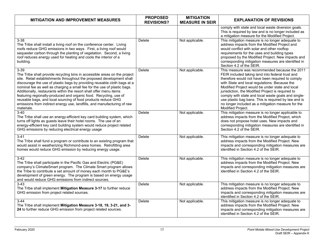| <b>MITIGATION AND IMPROVEMENT MEASURES</b>                                                                                                                                                                                                                                                                                                                                                                                                                                                                                                                                                                                  | <b>PROPOSED</b><br><b>REVISIONS?</b> | <b>MITIGATION</b><br><b>MEASURE IN SEIR</b> | <b>EXPLANATION OF REVISIONS</b>                                                                                                                                                                                                                                                                                                                                                                                                                                                                          |
|-----------------------------------------------------------------------------------------------------------------------------------------------------------------------------------------------------------------------------------------------------------------------------------------------------------------------------------------------------------------------------------------------------------------------------------------------------------------------------------------------------------------------------------------------------------------------------------------------------------------------------|--------------------------------------|---------------------------------------------|----------------------------------------------------------------------------------------------------------------------------------------------------------------------------------------------------------------------------------------------------------------------------------------------------------------------------------------------------------------------------------------------------------------------------------------------------------------------------------------------------------|
|                                                                                                                                                                                                                                                                                                                                                                                                                                                                                                                                                                                                                             |                                      |                                             | comply with state and local waste diversion goals.<br>This is required by law and is no longer included as<br>a mitigation measure for the Modified Project.                                                                                                                                                                                                                                                                                                                                             |
| $3 - 38$<br>The Tribe shall install a living roof on the conference center. Living<br>roofs reduce GHG emissions in two ways. First, a living roof would<br>sequester carbon through the planting of vegetation. Second, a living<br>roof reduces energy used for heating and cools the interior of a<br>building.                                                                                                                                                                                                                                                                                                          | Delete                               | Not applicable.                             | This mitigation measure is no longer adequate to<br>address impacts from the Modified Project and<br>would conflict with solar and other rooftop<br>requirements for the uses and building types<br>proposed by the Modified Project. New impacts and<br>corresponding mitigation measures are identified in<br>Section 4.2 of the SEIR.                                                                                                                                                                 |
| $3 - 39$<br>The Tribe shall provide recycling bins in accessible areas on the project<br>site. Retail establishments throughout the proposed development shall<br>discourage the use of plastic bags by providing reusable cloth bags at a<br>nominal fee as well as charging a small fee for the use of plastic bags.<br>Additionally, restaurants within the resort shall offer menu items<br>featuring regionally-produced and organic food. Recycling, use of<br>reusable bags, and local sourcing of food products reduce GHG<br>emissions from indirect energy use, landfills, and manufacturing of raw<br>materials. | Delete                               | Not applicable.                             | This measure was recommended because the 2011<br>FEIR included taking land into federal trust and<br>therefore would not have been required to comply<br>with State and local regulations. Because the<br>Modified Project would be under state and local<br>jurisdiction, the Modified Project is required to<br>comply with state and local waste goals and single-<br>use plastic bag bans. This is required by law and is<br>no longer included as a mitigation measure for the<br>Modified Project. |
| $3 - 40$<br>The Tribe shall use an energy-efficient key card building system, which<br>turns off lights as guests leave their hotel rooms. The use of an<br>energy-efficient key card building system would reduce project related<br>GHG emissions by reducing electrical energy usage                                                                                                                                                                                                                                                                                                                                     | Delete                               | Not applicable.                             | This mitigation measure is no longer applicable to<br>address impacts from the Modified Project, which<br>does not propose hotel uses. New impacts and<br>corresponding mitigation measures are identified in<br>Section 4.2 of the SEIR.                                                                                                                                                                                                                                                                |
| $3 - 41$<br>The Tribe shall fund a program or contribute to an existing program that<br>would assist in weatherizing Richmond-area homes. Retrofitting area<br>homes would reduce GHG emission by reducing energy usage.                                                                                                                                                                                                                                                                                                                                                                                                    | Delete                               | Not applicable.                             | This mitigation measure is no longer adequate to<br>address impacts from the Modified Project. New<br>impacts and corresponding mitigation measures are<br>identified in Section 4.2 of the SEIR.                                                                                                                                                                                                                                                                                                        |
| $3-42$<br>The Tribe shall participate in the Pacific Gas and Electric (PG&E)<br>company's ClimateSmart program. The Climate Smart program allows<br>the Tribe to contribute a set amount of money each month to PG&E's<br>development of green energy. The program is based on energy usage<br>and would reduce GHG emissions from indirect sources.                                                                                                                                                                                                                                                                        | Delete                               | Not applicable.                             | This mitigation measure is no longer adequate to<br>address impacts from the Modified Project. New<br>impacts and corresponding mitigation measures are<br>identified in Section 4.2 of the SEIR.                                                                                                                                                                                                                                                                                                        |
| $3-43$<br>The Tribe shall implement Mitigation Measure 3-17 to further reduce<br>GHG emission from project related sources.                                                                                                                                                                                                                                                                                                                                                                                                                                                                                                 | Delete                               | Not applicable.                             | This mitigation measure is no longer adequate to<br>address impacts from the Modified Project. New<br>impacts and corresponding mitigation measures are<br>identified in Section 4.2 of the SEIR.                                                                                                                                                                                                                                                                                                        |
| $3 - 44$<br>The Tribe shall implement Mitigation Measure 3-18, 19, 3-21, and 3-<br>24 to further reduce GHG emission from project related sources.                                                                                                                                                                                                                                                                                                                                                                                                                                                                          | <b>Delete</b>                        | Not applicable.                             | This mitigation measure is no longer adequate to<br>address impacts from the Modified Project. New<br>impacts and corresponding mitigation measures are<br>identified in Section 4.2 of the SEIR.                                                                                                                                                                                                                                                                                                        |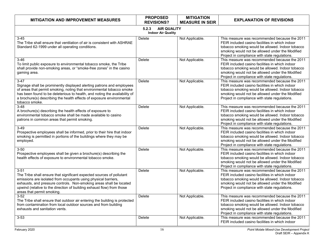| <b>MITIGATION AND IMPROVEMENT MEASURES</b>                                                                                                                                                                                                                                                                                         | <b>PROPOSED</b><br><b>REVISIONS?</b>                     | <b>MITIGATION</b><br><b>MEASURE IN SEIR</b> | <b>EXPLANATION OF REVISIONS</b>                                                                                                                                                                                                                          |
|------------------------------------------------------------------------------------------------------------------------------------------------------------------------------------------------------------------------------------------------------------------------------------------------------------------------------------|----------------------------------------------------------|---------------------------------------------|----------------------------------------------------------------------------------------------------------------------------------------------------------------------------------------------------------------------------------------------------------|
|                                                                                                                                                                                                                                                                                                                                    | <b>AIR QUALITY</b><br>5.2.3<br><b>Indoor Air Quality</b> |                                             |                                                                                                                                                                                                                                                          |
| $3 - 45$<br>The Tribe shall ensure that ventilation of air is consistent with ASHRAE<br>Standard 62-1999 under all operating conditions.                                                                                                                                                                                           | <b>Delete</b>                                            | Not Applicable.                             | This measure was recommended because the 2011<br>FEIR included casino facilities in which indoor<br>tobacco smoking would be allowed. Indoor tobacco<br>smoking would not be allowed under the Modified<br>Project in compliance with state regulations. |
| $3 - 46$<br>To limit public exposure to environmental tobacco smoke, the Tribe<br>shall provide non-smoking areas, or "smoke-free zones" in the casino<br>gaming area.                                                                                                                                                             | Delete                                                   | Not Applicable.                             | This measure was recommended because the 2011<br>FEIR included casino facilities in which indoor<br>tobacco smoking would be allowed. Indoor tobacco<br>smoking would not be allowed under the Modified<br>Project in compliance with state regulations. |
| $3-47$<br>Signage shall be prominently displayed alerting patrons and employees<br>of areas that permit smoking, noting that environmental tobacco smoke<br>has been found to be deleterious to health, and noting the availability of<br>a brochure(s) describing the health effects of exposure environmental<br>tobacco smoke.  | Delete                                                   | Not Applicable.                             | This measure was recommended because the 2011<br>FEIR included casino facilities in which indoor<br>tobacco smoking would be allowed. Indoor tobacco<br>smoking would not be allowed under the Modified<br>Project in compliance with state regulations. |
| $3 - 48$<br>A brochure(s) describing the health effects of exposure to<br>environmental tobacco smoke shall be made available to casino<br>patrons in common areas that permit smoking.                                                                                                                                            | Delete                                                   | Not Applicable.                             | This measure was recommended because the 2011<br>FEIR included casino facilities in which indoor<br>tobacco smoking would be allowed. Indoor tobacco<br>smoking would not be allowed under the Modified<br>Project in compliance with state regulations. |
| $3-49$<br>Prospective employees shall be informed, prior to their hire that indoor<br>smoking is permitted in portions of the buildings where they may be<br>employed.                                                                                                                                                             | Delete                                                   | Not Applicable.                             | This measure was recommended because the 2011<br>FEIR included casino facilities in which indoor<br>tobacco smoking would be allowed. Indoor tobacco<br>smoking would not be allowed under the Modified<br>Project in compliance with state regulations. |
| $3 - 50$<br>Prospective employees shall be given a brochure(s) describing the<br>health effects of exposure to environmental tobacco smoke.                                                                                                                                                                                        | Delete                                                   | Not Applicable.                             | This measure was recommended because the 2011<br>FEIR included casino facilities in which indoor<br>tobacco smoking would be allowed. Indoor tobacco<br>smoking would not be allowed under the Modified<br>Project in compliance with state regulations. |
| $3 - 51$<br>The Tribe shall ensure that significant expected sources of pollutant<br>emissions are isolated from occupants using physical barriers,<br>exhausts, and pressure controls. Non-smoking areas shall be located<br>upwind (relative to the direction of building exhaust flow) from those<br>areas that permit smoking. | Delete                                                   | Not Applicable.                             | This measure was recommended because the 2011<br>FEIR included casino facilities in which indoor<br>tobacco smoking would be allowed. Indoor tobacco<br>smoking would not be allowed under the Modified<br>Project in compliance with state regulations. |
| $3 - 52$<br>The Tribe shall ensure that outdoor air entering the building is protected<br>from contamination from local outdoor sources and from building<br>exhausts and sanitation vents.                                                                                                                                        | Delete                                                   | Not Applicable.                             | This measure was recommended because the 2011<br>FEIR included casino facilities in which indoor<br>tobacco smoking would be allowed. Indoor tobacco<br>smoking would not be allowed under the Modified<br>Project in compliance with state regulations. |
| $3 - 53$                                                                                                                                                                                                                                                                                                                           | Delete                                                   | Not Applicable.                             | This measure was recommended because the 2011<br>FEIR included casino facilities in which indoor                                                                                                                                                         |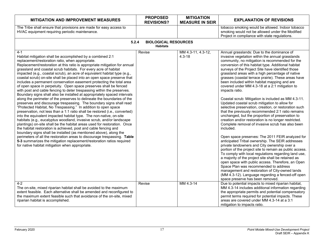| <b>MITIGATION AND IMPROVEMENT MEASURES</b>                                                                                                                                                                                                                                                                                                                                                                                                                                                                                                                                                                                                                                                                                                                                                                                                                                                                                                                                                                                                                                                                                                                                                                                                                                                                                                                                                                                                                                                                                                                                                                          | <b>PROPOSED</b><br><b>REVISIONS?</b>           | <b>MITIGATION</b><br><b>MEASURE IN SEIR</b> | <b>EXPLANATION OF REVISIONS</b>                                                                                                                                                                                                                                                                                                                                                                                                                                                                                                                                                                                                                                                                                                                                                                                                                                                                                                                                                                                                                                                                                                                                                                                                                                                                                                                                                                                                                                            |
|---------------------------------------------------------------------------------------------------------------------------------------------------------------------------------------------------------------------------------------------------------------------------------------------------------------------------------------------------------------------------------------------------------------------------------------------------------------------------------------------------------------------------------------------------------------------------------------------------------------------------------------------------------------------------------------------------------------------------------------------------------------------------------------------------------------------------------------------------------------------------------------------------------------------------------------------------------------------------------------------------------------------------------------------------------------------------------------------------------------------------------------------------------------------------------------------------------------------------------------------------------------------------------------------------------------------------------------------------------------------------------------------------------------------------------------------------------------------------------------------------------------------------------------------------------------------------------------------------------------------|------------------------------------------------|---------------------------------------------|----------------------------------------------------------------------------------------------------------------------------------------------------------------------------------------------------------------------------------------------------------------------------------------------------------------------------------------------------------------------------------------------------------------------------------------------------------------------------------------------------------------------------------------------------------------------------------------------------------------------------------------------------------------------------------------------------------------------------------------------------------------------------------------------------------------------------------------------------------------------------------------------------------------------------------------------------------------------------------------------------------------------------------------------------------------------------------------------------------------------------------------------------------------------------------------------------------------------------------------------------------------------------------------------------------------------------------------------------------------------------------------------------------------------------------------------------------------------------|
| The Tribe shall ensure that provisions are made for easy access to<br>HVAC equipment requiring periodic maintenance.                                                                                                                                                                                                                                                                                                                                                                                                                                                                                                                                                                                                                                                                                                                                                                                                                                                                                                                                                                                                                                                                                                                                                                                                                                                                                                                                                                                                                                                                                                |                                                |                                             | tobacco smoking would be allowed. Indoor tobacco<br>smoking would not be allowed under the Modified<br>Project in compliance with state regulations.                                                                                                                                                                                                                                                                                                                                                                                                                                                                                                                                                                                                                                                                                                                                                                                                                                                                                                                                                                                                                                                                                                                                                                                                                                                                                                                       |
| 5.2.4                                                                                                                                                                                                                                                                                                                                                                                                                                                                                                                                                                                                                                                                                                                                                                                                                                                                                                                                                                                                                                                                                                                                                                                                                                                                                                                                                                                                                                                                                                                                                                                                               | <b>BIOLOGICAL RESOURCES</b><br><b>Habitats</b> |                                             |                                                                                                                                                                                                                                                                                                                                                                                                                                                                                                                                                                                                                                                                                                                                                                                                                                                                                                                                                                                                                                                                                                                                                                                                                                                                                                                                                                                                                                                                            |
| $4 - 1$<br>Habitat mitigation shall be accomplished by a combined 2:1<br>replacement/restoration ratio, when appropriate.<br>Replacement/restoration at this ratio is appropriate mitigation for annual<br>grassland and coastal scrub habitats. For every acre of habitat<br>impacted (e.g., coastal scrub), an acre of equivalent habitat type (e.g.,<br>coastal scrub) on-site shall be placed into an open space preserve that<br>includes a permanent conservation easement protecting the total area<br>of open space in perpetuity. Open space preserves shall be fenced<br>with post and cable fencing to deter trespassing within the preserves.<br>Boundary signs shall also be installed at appropriately spaced intervals<br>along the perimeter of the preserves to delineate the boundaries of the<br>preserves and discourage trespassing. The boundary signs shall read<br>"Protected Habitat, No Trespassing." In addition to open space<br>preservation, not less than a 1:1 ratio shall be restored (i.e., converted)<br>into the equivalent impacted habitat type. The non-native, on-site<br>habitats (e.g., eucalyptus woodland, invasive scrub, and/or landscape<br>plantings) on-site shall be the habitat areas used for restoration. Once<br>the habitat restoration is achieved, post and cable fencing and<br>boundary signs shall be installed (as mentioned above), along the<br>perimeters of all the restoration areas to discourage trespassing. Table<br>5-3 summarizes the mitigation replacement/restoration ratios required<br>for native habitat mitigation when appropriate. | Revise                                         | MM 4.3-11, 4.3-12,<br>$4.3 - 18$            | Annual grasslands: Due to the dominance of<br>invasive vegetation within the annual grasslands<br>community, no mitigation is recommended for the<br>conversion of this habitat type. Additional habitat<br>surveys of the Project Site have identified those<br>grassland areas with a high percentage of native<br>grasses (coastal terrace prairie). These areas have<br>been included within habitat mapping and are<br>covered under MM 4.3-18 at a 2:1 mitigation to<br>impacts ratio.<br>Coastal scrub: Mitigation is included as MM 4.3-11.<br>Updated coastal scrub mitigation to allow for<br>selective preservation, creation, or restoration such<br>that the previously recommended 2:1 ratio remains<br>unchanged, but the proportion of preservation to<br>creation and/or restoration is no longer restricted.<br>Complete removal of invasive scrub has also been<br>included.<br>Open space preserves: The 2011 FEIR analyzed for<br>anticipated Tribal ownership. The SEIR addresses<br>private landowners and City ownership over a<br>portion of the project site to remain as public access.<br>To comply with local regulations regarding land use,<br>a majority of the project site shall be retained as<br>open space with public access. Therefore, an Open<br>Space Plan was recommended to address<br>management and restoration of City-owned lands<br>(MM 4.3-12). Language regarding a fenced-off open<br>space preserve has been removed. |
| $4-2$<br>The on-site, mixed riparian habitat shall be avoided to the maximum<br>extent feasible. Each alternative shall be amended and reconfigured to<br>the maximum extent feasible such that avoidance of the on-site, mixed<br>riparian habitat is accomplished.                                                                                                                                                                                                                                                                                                                                                                                                                                                                                                                                                                                                                                                                                                                                                                                                                                                                                                                                                                                                                                                                                                                                                                                                                                                                                                                                                | Revise                                         | MM 4.3-14                                   | Due to potential impacts to mixed riparian habitat,<br>MM 4.3-14 includes additional information regarding<br>the appropriate permits and potential compensatory<br>permit terms required for potential impacts. These<br>areas are covered under MM 4.3-14 at a 3:1<br>mitigation to impacts ratio.                                                                                                                                                                                                                                                                                                                                                                                                                                                                                                                                                                                                                                                                                                                                                                                                                                                                                                                                                                                                                                                                                                                                                                       |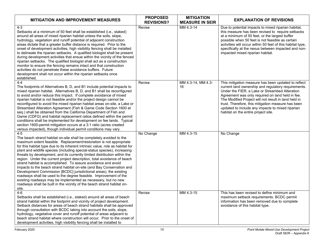| <b>MITIGATION AND IMPROVEMENT MEASURES</b>                                                                                                                                                                                                                                                                                                                                                                                                                                                                                                                                                                                                                                                                                                                                                                                                                                                                            | <b>PROPOSED</b><br><b>REVISIONS?</b> | <b>MITIGATION</b><br><b>MEASURE IN SEIR</b> | <b>EXPLANATION OF REVISIONS</b>                                                                                                                                                                                                                                                                                                                                                                                           |
|-----------------------------------------------------------------------------------------------------------------------------------------------------------------------------------------------------------------------------------------------------------------------------------------------------------------------------------------------------------------------------------------------------------------------------------------------------------------------------------------------------------------------------------------------------------------------------------------------------------------------------------------------------------------------------------------------------------------------------------------------------------------------------------------------------------------------------------------------------------------------------------------------------------------------|--------------------------------------|---------------------------------------------|---------------------------------------------------------------------------------------------------------------------------------------------------------------------------------------------------------------------------------------------------------------------------------------------------------------------------------------------------------------------------------------------------------------------------|
| $4 - 3$<br>Setbacks at a minimum of 50 feet shall be established (i.e., staked)<br>around all areas of mixed riparian habitat unless the soils, slope,<br>hydrology, vegetation and runoff potential of adjacent construction<br>areas dictate that a greater buffer distance is required. Prior to the<br>onset of development activities, high visibility fencing shall be installed<br>to delineate the riparian setbacks. A qualified biologist shall be present<br>during development activities that ensue within the vicinity of the fenced<br>riparian setbacks. The qualified biologist shall act as a construction<br>monitor to ensure the fencing remains intact and that construction<br>activities do not penetrate these avoidance buffers. Future<br>development shall not occur within the riparian setbacks once<br>established.                                                                    | Revise                               | MM 4.3-14                                   | Due to potential impacts to mixed riparian habitat,<br>this measure has been revised to require setbacks<br>at a minimum of 50 feet, or the largest buffer<br>possible when 50 feet is not feasible as certain<br>activities will occur within 50 feet of this habitat type,<br>specifically at the nexus between impacted and non-<br>impacted mixed riparian habitat.                                                   |
| $4 - 4$<br>The footprints of Alternatives B, D, and B1 include potential impacts to<br>mixed riparian habitat. Alternatives B, D, and B1 shall be reconfigured<br>to avoid and/or reduce this impact. If complete avoidance of mixed<br>riparian habitat is not feasible and/or the project design cannot be<br>reconfigured to avoid the mixed riparian habitat areas on-site, a Lake or<br>Streambed Alteration Agreement (Fish & Game Code Section 1600 et<br>seq.) shall be obtained from the California Department of Fish and<br>Game (CDFG) and habitat replacement ratios defined within the permit<br>conditions shall be implemented for development on fee lands. Typical<br>section 1600-permit mitigation occurs at a 3:1 ratio (acres created<br>versus impacted), though individual permit conditions may vary.                                                                                        | Revise                               | MM 4.3-14, MM 4.3-<br>16                    | This mitigation measure has been updated to reflect<br>current land ownership and regulatory requirements.<br>Under the FIER, a Lake or Streambed Alteration<br>Agreement was only required on land held in fee.<br>The Modified Project will not result in land held in<br>trust. Therefore, this mitigation measure has been<br>updated to include any impacts to mixed riparian<br>habitat on the entire project site. |
| $4 - 5$<br>The beach strand habitat on-site shall be completely avoided to the<br>maximum extent feasible. Replacement/restoration is not appropriate<br>for this habitat type due to its inherent intrinsic value, role as habitat for<br>plant and wildlife species (including special-status species), increasing<br>threats by development, and its currently limited distribution within the<br>region. Under the current project description, total avoidance of beach<br>strand habitat is accomplished. To assure avoidance and avoid<br>impacts to the beach strand habitat on-site (and Bay Conservation and<br>Development Commission [BCDC] jurisdictional areas), the existing<br>roadways shall be used to the degree feasible. Improvement of the<br>existing roadways may be implemented as necessary, but no new<br>roadways shall be built in the vicinity of the beach strand habitat on-<br>site. | No Change                            | MM 4.3-15                                   | No Change                                                                                                                                                                                                                                                                                                                                                                                                                 |
| $4-6$<br>Setbacks shall be established (i.e., staked) around all areas of beach<br>strand habitat within the footprint and vicinity of project development.<br>Setback distances for areas of beach strand habitats shall be approved<br>through consultation with BCDC taking into account the soils, slope,<br>hydrology, vegetative cover and runoff potential of areas adjacent to<br>beach strand habitat where construction will occur. Prior to the onset of<br>development activities, high visibility fencing shall be installed to                                                                                                                                                                                                                                                                                                                                                                          | Revise                               | MM 4.3-15                                   | This has been revised to define minimum and<br>maximum setback requirements. BCDC permit<br>information has been removed due to complete<br>avoidance of this habitat type.                                                                                                                                                                                                                                               |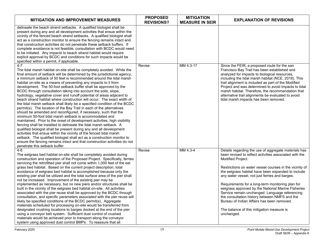| <b>MITIGATION AND IMPROVEMENT MEASURES</b>                                                                                                                                                                                                                                                                                                                                                                                                                                                                                                                                                                                                                                                                                                                                                                                                                                                                                                                                                                                                                                                                                                                                                                                                                                                                                                                                     | <b>PROPOSED</b><br><b>REVISIONS?</b> | <b>MITIGATION</b><br><b>MEASURE IN SEIR</b> | <b>EXPLANATION OF REVISIONS</b>                                                                                                                                                                                                                                                                                                                                                                                                                                                                                                                                                                                              |
|--------------------------------------------------------------------------------------------------------------------------------------------------------------------------------------------------------------------------------------------------------------------------------------------------------------------------------------------------------------------------------------------------------------------------------------------------------------------------------------------------------------------------------------------------------------------------------------------------------------------------------------------------------------------------------------------------------------------------------------------------------------------------------------------------------------------------------------------------------------------------------------------------------------------------------------------------------------------------------------------------------------------------------------------------------------------------------------------------------------------------------------------------------------------------------------------------------------------------------------------------------------------------------------------------------------------------------------------------------------------------------|--------------------------------------|---------------------------------------------|------------------------------------------------------------------------------------------------------------------------------------------------------------------------------------------------------------------------------------------------------------------------------------------------------------------------------------------------------------------------------------------------------------------------------------------------------------------------------------------------------------------------------------------------------------------------------------------------------------------------------|
| delineate the beach strand setbacks. A qualified biologist shall be<br>present during any and all development activities that ensue within the<br>vicinity of the fenced beach strand setbacks. A qualified biologist shall<br>act as a construction monitor to ensure the fencing remains intact and<br>that construction activities do not penetrate these setback buffers. If<br>complete avoidance is not feasible, consultation with BCDC would need<br>to be initiated. Any impacts to beach strand habitat would require<br>explicit approval by BCDC and conditions for such impacts would be<br>specified within a permit, if applicable.                                                                                                                                                                                                                                                                                                                                                                                                                                                                                                                                                                                                                                                                                                                             |                                      |                                             |                                                                                                                                                                                                                                                                                                                                                                                                                                                                                                                                                                                                                              |
| $4 - 7$<br>The tidal marsh habitat on-site shall be completely avoided. While the<br>final amount of setback will be determined by the jurisdictional agency,<br>a minimum setback of 50 feet is recommended around the tidal marsh<br>habitat on-site as a means of preventing any impacts to it from<br>development. The 50-foot setback buffer shall be approved by the<br>BCDC through consultation taking into account the soils, slope,<br>hydrology, vegetative cover and runoff potential of areas adjacent to<br>beach strand habitat where construction will occur. The exact width of<br>the tidal marsh setback shall likely be a specified condition of the BCDC<br>permit(s). The location of the Bay Trail in each of the alternatives<br>should be amended and reconfigured, if necessary, such that the<br>minimum 50-foot tidal marsh setback is accommodated and<br>maintained. Prior to the onset of development activities, high visibility<br>fencing shall be installed to delineate the tidal marsh setback. A<br>qualified biologist shall be present during any and all development<br>activities that ensue within the vicinity of the fenced tidal marsh<br>setback. The qualified biologist shall act as a construction monitor to<br>ensure the fencing remains intact and that construction activities do not<br>penetrate this setback buffer. | Revise                               | MM 4.3-17                                   | Since the FEIR, a proposed route for the san<br>Francisco Bay Trail has been established and<br>analyzed for impacts to biological resources,<br>including the tidal marsh habitat (NCE, 2018). This<br>trail alignment is included as part of the Modified<br>Project and was determined to avoid impacts to tidal<br>marsh habitat. Therefore, the recommendation that<br>alternative trail alignments be evaluated to avoid<br>tidal marsh impacts has been removed.                                                                                                                                                      |
| $4 - 8$<br>The eelgrass bed habitat on-site shall be completely avoided during<br>construction and operation of the Proposed Project. Specifically, ferries<br>servicing the retrofitted pier shall not come within 1,000 feet of the eel<br>grass bed habitat. Based on the current project description, total<br>avoidance of eelgrass bed habitat is accomplished because only the<br>existing pier shall be utilized and the total surface area of the pier shall<br>not be increased. Improvement of the existing pier may be<br>implemented as necessary, but no new piers and/or structures shall be<br>built in the vicinity of the eelgrass bed habitat on-site. All activities<br>associated with the pier reuse shall be approved by the BCDC through<br>consultation, and specific parameters associated with the pier reuse will<br>likely be specified conditions of the BCDC permit(s). Aggregate<br>materials scheduled for processing on-site would be transferred from<br>designated crushing locations to barges docked at the end of the pier<br>using a conveyor belt system. Sufficient dust control of crushed<br>materials would be achieved prior to transport along the conveyor<br>system using approved dust control BMPs. To reassure that all                                                                                                    | Revise                               | MM 4.3-4                                    | Details regarding the use of aggregate materials has<br>been revised to reflect activities associated with the<br>Modified Project.<br>Restrictions on water vessel courses in the vicinity of<br>the eelgrass habitat have been expanded to include<br>any water vessel, not just ferries and barges.<br>Requirements for a long-term monitoring plan for<br>eelgrass approved by the National Marine Fisheries<br>Service remain unchanged. Language referencing<br>the consultation history between NMFS and the<br>Bureau of Indian Affairs has been removed.<br>The balance of this mitigation measure is<br>unchanged. |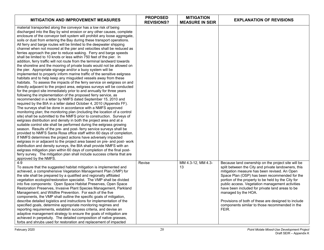| <b>MITIGATION AND IMPROVEMENT MEASURES</b>                                                                                                                                                                                                                                                                                                                                                                                                                                                                                                                                                                                                                                                                                                                                                                                                                                                                                                                                                                                                                                                                                                                                                                                                                                                                                                                                                                                                                                                                                                                                                                                                                                                                                                                                                                                                                                                                                                                                                                                                                                                                                                                                                                                                                                                                                                    | <b>PROPOSED</b><br><b>REVISIONS?</b> | <b>MITIGATION</b><br><b>MEASURE IN SEIR</b> | <b>EXPLANATION OF REVISIONS</b>                                                                                                                                                                                                                                                                                                                                                                                                                                                                                 |
|-----------------------------------------------------------------------------------------------------------------------------------------------------------------------------------------------------------------------------------------------------------------------------------------------------------------------------------------------------------------------------------------------------------------------------------------------------------------------------------------------------------------------------------------------------------------------------------------------------------------------------------------------------------------------------------------------------------------------------------------------------------------------------------------------------------------------------------------------------------------------------------------------------------------------------------------------------------------------------------------------------------------------------------------------------------------------------------------------------------------------------------------------------------------------------------------------------------------------------------------------------------------------------------------------------------------------------------------------------------------------------------------------------------------------------------------------------------------------------------------------------------------------------------------------------------------------------------------------------------------------------------------------------------------------------------------------------------------------------------------------------------------------------------------------------------------------------------------------------------------------------------------------------------------------------------------------------------------------------------------------------------------------------------------------------------------------------------------------------------------------------------------------------------------------------------------------------------------------------------------------------------------------------------------------------------------------------------------------|--------------------------------------|---------------------------------------------|-----------------------------------------------------------------------------------------------------------------------------------------------------------------------------------------------------------------------------------------------------------------------------------------------------------------------------------------------------------------------------------------------------------------------------------------------------------------------------------------------------------------|
| material transported along the conveyor has a low risk of being<br>discharged into the Bay by wind erosion or any other causes, complete<br>enclosure of the conveyor belt system will prohibit any loose aggregate,<br>soils or dust from entering the Bay during these transport operations.<br>All ferry and barge routes will be limited to the deepwater shipping<br>channel when not moored at the pier and velocities shall be reduced as<br>ferries approach the pier to reduce waking. Ferry and barge speeds<br>shall be limited to 10 knots or less within 750 feet of the pier. In<br>addition, ferry traffic will not route from the terminal landward towards<br>the shoreline and the mooring of private boats would not be allowed on<br>the pier. Appropriate signage and/or a buoy system will be<br>implemented to properly inform marine traffic of the sensitive eelgrass<br>habitats and to help keep any misguided vessels away from these<br>habitats. To assess the impacts of the ferry service on eelgrass on and<br>directly adjacent to the project area, eelgrass surveys will be conducted<br>for the project site immediately prior to and annually for three years<br>following the implementation of the proposed ferry service, as<br>recommended in a letter by NMFS dated September 15, 2010 and<br>required by the BIA in a letter dated October 4, 2010 (Appendix FF).<br>The surveys shall be done in accordance with a NMFS approved<br>monitoring plan; the monitoring plan (including the location of a control<br>site) shall be submitted to the NMFS prior to construction. Surveys of<br>eelgrass distribution and density in both the project area and at a<br>suitable control site shall be performed during the eelgrass growing<br>season. Results of the pre- and post- ferry service surveys shall be<br>provided to NMFS Santa Rosa office staff within 60 days of completion.<br>If NMFS determines the project actions have adversely impacted<br>eelgrass in or adjacent to the project area based on pre- and post- work<br>distribution and density surveys, the BIA shall provide NMFS with an<br>eelgrass mitigation plan within 60 days of completion of the final post-<br>ferry survey. The mitigation plan shall include success criteria that are<br>approved by the NMFS. |                                      |                                             |                                                                                                                                                                                                                                                                                                                                                                                                                                                                                                                 |
| $4 - 9$<br>To assure that the suggested habitat mitigation is implemented and<br>achieved, a comprehensive Vegetation Management Plan (VMP) for<br>the site shall be prepared by a qualified and regionally affiliated<br>vegetation ecologist/restoration specialist. The VMP shall be divided<br>into five components: Open Space Habitat Preserves, Open Space<br>Restoration Preserves, Invasive Plant Species Management, Parkland<br>Management, and Wildfire Prevention. For each of the five<br>components, the VMP shall outline the specific goals of mitigation,<br>describe detailed logistics and instructions for implementation of the<br>specified goals, determine appropriate monitoring regimes and<br>reporting requirements, establish success criteria, and devise an<br>adaptive management strategy to ensure the goals of mitigation are<br>achieved in perpetuity. The detailed composition of native grasses,<br>forbs and shrubs used for restoration and replacement of impacted                                                                                                                                                                                                                                                                                                                                                                                                                                                                                                                                                                                                                                                                                                                                                                                                                                                                                                                                                                                                                                                                                                                                                                                                                                                                                                                                 | Revise                               | MM 4.3-12, MM 4.3-<br>13                    | Because land ownership on the project site will be<br>split between the City and private landowners, this<br>mitigation measure has been revised. An Open<br>Space Plan (OSP) has been recommended for the<br>portion of the property to be held by the City for<br>public access. Vegetation management activities<br>have been included for private land areas to be<br>managed by the HOA.<br>Provisions of both of these are designed to include<br>components similar to those recommended in the<br>FEIR. |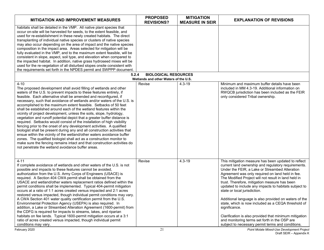| <b>MITIGATION AND IMPROVEMENT MEASURES</b>                                                                                                                                                                                                                                                                                                                                                                                                                                                                                                                                                                                                                                                                                                                                                                                                                                                                                                                                                                                                                                                                                 | <b>PROPOSED</b><br><b>REVISIONS?</b>            | <b>MITIGATION</b><br><b>MEASURE IN SEIR</b> | <b>EXPLANATION OF REVISIONS</b>                                                                                                                                                                                                                                                                                                                                                                                                                                                                                                                                                                                                                                                                                     |
|----------------------------------------------------------------------------------------------------------------------------------------------------------------------------------------------------------------------------------------------------------------------------------------------------------------------------------------------------------------------------------------------------------------------------------------------------------------------------------------------------------------------------------------------------------------------------------------------------------------------------------------------------------------------------------------------------------------------------------------------------------------------------------------------------------------------------------------------------------------------------------------------------------------------------------------------------------------------------------------------------------------------------------------------------------------------------------------------------------------------------|-------------------------------------------------|---------------------------------------------|---------------------------------------------------------------------------------------------------------------------------------------------------------------------------------------------------------------------------------------------------------------------------------------------------------------------------------------------------------------------------------------------------------------------------------------------------------------------------------------------------------------------------------------------------------------------------------------------------------------------------------------------------------------------------------------------------------------------|
| habitats shall be detailed in the VMP. All native plant species that<br>occur on-site will be harvested for seeds, to the extent feasible, and<br>used for re-establishment in these newly created habitats. The direct<br>transplanting of individual native species or clusters of native species<br>may also occur depending on the area of impact and the native species<br>composition in the impact area. Areas selected for mitigation will be<br>fully evaluated in the VMP, and to the maximum extent feasible, will be<br>consistent in slope, aspect, soil type, and elevation when compared to<br>the impacted habitat. In addition, native grass hydroseed mixes will be<br>used for the re-vegetation of all disturbed slopes onsite consistent with<br>the requirements set forth in the NPDES permit and SWPPP document.                                                                                                                                                                                                                                                                                   |                                                 |                                             |                                                                                                                                                                                                                                                                                                                                                                                                                                                                                                                                                                                                                                                                                                                     |
| 5.2.4                                                                                                                                                                                                                                                                                                                                                                                                                                                                                                                                                                                                                                                                                                                                                                                                                                                                                                                                                                                                                                                                                                                      | <b>BIOLOGICAL RESOURCES</b>                     |                                             |                                                                                                                                                                                                                                                                                                                                                                                                                                                                                                                                                                                                                                                                                                                     |
| $4 - 10$<br>The proposed development shall avoid filling of wetlands and other<br>waters of the U.S. to prevent impacts to these features entirely, if<br>feasible. Each alternative shall be amended and reconfigured, if<br>necessary, such that avoidance of wetlands and/or waters of the U.S. is<br>accomplished to the maximum extent feasible. Setbacks of 50 feet<br>shall be established around each of the wetland features within the<br>vicinity of project development, unless the soils, slope, hydrology,<br>vegetation and runoff potential depict that a greater buffer distance is<br>required. Setbacks would consist of the installation of high visibility<br>fencing prior to the onset of any development activities. A qualified<br>biologist shall be present during any and all construction activities that<br>ensue within the vicinity of the wetland/other waters avoidance buffer<br>zones. The qualified biologist shall act as a construction monitor to<br>make sure the fencing remains intact and that construction activities do<br>not penetrate the wetland avoidance buffer areas. | Wetlands and other Waters of the U.S.<br>Revise | 4.3-19                                      | Minimum and maximum buffer details have been<br>included in MM 4.3-19. Additional information on<br>RWQCB jurisdiction has been included as the FEIR<br>only considered Tribal ownership.                                                                                                                                                                                                                                                                                                                                                                                                                                                                                                                           |
| $4 - 11$<br>If complete avoidance of wetlands and other waters of the U.S. is not<br>possible and impacts to these features cannot be avoided,<br>authorization from the U.S. Army Corps of Engineers (USACE) is<br>required. A Section 404 CWA permit shall be obtained from the<br>USACE and wetland/other waters replacement ratios defined within the<br>permit conditions shall be implemented. Typical 404-permit mitigation<br>occurs at a ratio of 1:1 acres created versus impacted and 2:1 acres<br>restored versus impacted, though individual permit conditions may vary.<br>A CWA Section 401 water quality certification permit from the U.S.<br>Environmental Protection Agency (USEPA) is also required. In<br>addition, a Lake or Streambed Alteration Agreement (1600-permit) from<br>the CDFG is required for impacts to streams, lakes, and riparian<br>habitats on fee lands. Typical 1600-permit mitigation occurs at a 3:1<br>ratio of acres created versus impacted, though individual permit<br>conditions may vary.                                                                              | Revise                                          | $4.3 - 19$                                  | This mitigation measure has been updated to reflect<br>current land ownership and regulatory requirements.<br>Under the FEIR, a Lake or Streambed Alteration<br>Agreement was only required on land held in fee.<br>The Modified Project will not result in land held in<br>trust. Therefore, mitigation measure has been<br>updated to include any impacts to habitats subject to<br>state or local jurisdiction.<br>Additional language is also provided on waters of the<br>state, which is now included as a CEQA threshold of<br>significance.<br>Clarification is also provided that minimum mitigation<br>and monitoring terms set forth in the OSP are<br>subject to necessary permit terms and conditions. |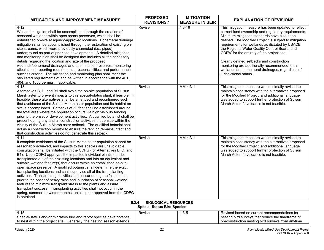| MITIGATION AND IMPROVEMENT MEASURES                                                                                                                                                                                                                                                                                                                                                                                                                                                                                                                                                                                                                                                                                                                                                                                                                                                                                                                                                              | <b>PROPOSED</b><br><b>REVISIONS?</b> | <b>MITIGATION</b><br><b>MEASURE IN SEIR</b> | <b>EXPLANATION OF REVISIONS</b>                                                                                                                                                                                                                                                                                                                                                                                                                                                                                                                    |  |
|--------------------------------------------------------------------------------------------------------------------------------------------------------------------------------------------------------------------------------------------------------------------------------------------------------------------------------------------------------------------------------------------------------------------------------------------------------------------------------------------------------------------------------------------------------------------------------------------------------------------------------------------------------------------------------------------------------------------------------------------------------------------------------------------------------------------------------------------------------------------------------------------------------------------------------------------------------------------------------------------------|--------------------------------------|---------------------------------------------|----------------------------------------------------------------------------------------------------------------------------------------------------------------------------------------------------------------------------------------------------------------------------------------------------------------------------------------------------------------------------------------------------------------------------------------------------------------------------------------------------------------------------------------------------|--|
| $4 - 12$<br>Wetland mitigation shall be accomplished through the creation of<br>seasonal wetlands within open space preserves, which shall be<br>established on-site at agency-approved locations. Ephemeral drainage<br>mitigation shall be accomplished through the restoration of existing on-<br>site streams, which were previously channeled (i.e., piped)<br>underground as part of prior site developments. A detailed mitigation<br>and monitoring plan shall be designed that includes all the necessary<br>details regarding the location and size of the proposed<br>wetlands/ephemeral drainages and open space preserves, monitoring<br>stipulations, reporting requirements, responsibilities, and performance<br>success criteria. The mitigation and monitoring plan shall meet the<br>stipulated requirements of and be written in accordance with the 401,<br>404, and 1600 permits, if applicable.                                                                           | Revise                               | $4.3 - 16$                                  | This mitigation measure has been updated to reflect<br>current land ownership and regulatory requirements.<br>Minimum mitigation standards have also been<br>defined. The Modified Project is subject to mitigation<br>requirements for wetlands as dictated by USACE,<br>the Regional Water Quality Control Board, and<br>CDFW for the entirety of the project site.<br>Clearly defined setbacks and construction<br>monitoring are additionally recommended for all<br>wetlands and ephemeral drainages, regardless of<br>jurisdictional status. |  |
| $4 - 13$<br>Alternatives B, D, and B1 shall avoid the on-site population of Suisun<br>Marsh aster to prevent impacts to this special-status plant, if feasible. If<br>feasible, these alternatives shall be amended and reconfigured such<br>that avoidance of the Suisun Marsh aster population and its habitat on-<br>site is accomplished. Setbacks of 50 feet shall be established around<br>the total area where the population occurs via high visibility fencing<br>prior to the onset of development activities. A qualified botanist shall be<br>present during any and all construction activities that ensue within the<br>vicinity of the Suisun Marsh aster setback. The qualified botanist shall<br>act as a construction monitor to ensure the fencing remains intact and<br>that construction activities do not penetrate this setback.                                                                                                                                          | Revise                               | MM 4.3-1                                    | This mitigation measure was minimally revised to<br>maintain consistency with the alternatives proposed<br>for the Modified Project, and additional language<br>was added to support further protection of Suisun<br>Marsh Aster if avoidance is not feasible.                                                                                                                                                                                                                                                                                     |  |
| $4 - 14$<br>If complete avoidance of the Suisun Marsh aster population cannot be<br>reasonably achieved, and impacts to this species are unavoidable,<br>consultation shall be initiated with the CDFG (for Alternatives B, D, and<br>B1). Upon CDFG approval, the impacted individual plants shall be<br>transplanted out of their existing locations and into an equivalent and<br>suitable wetland feature(s) that occurs within an established on-site<br>open space preserve. A qualified botanist shall determine the exact<br>transplanting locations and shall supervise all of the transplanting<br>activities. Transplanting activities shall occur during the fall months,<br>prior to the onset of heavy rains and inundation of seasonal wetland<br>features to minimize transplant stress to the plants and assure<br>transplant success. Transplanting activities shall not occur in the<br>spring, summer, or winter months, unless prior approval from the CDFG<br>is obtained. | Revise                               | MM 4.3-1                                    | This mitigation measure was minimally revised to<br>maintain consistency with the alternatives proposed<br>for the Modified Project, and additional language<br>was added to support further protection of Suisun<br>Marsh Aster if avoidance is not feasible.                                                                                                                                                                                                                                                                                     |  |
| <b>BIOLOGICAL RESOURCES</b><br>5.2.4<br><b>Special-Status Bird Species</b>                                                                                                                                                                                                                                                                                                                                                                                                                                                                                                                                                                                                                                                                                                                                                                                                                                                                                                                       |                                      |                                             |                                                                                                                                                                                                                                                                                                                                                                                                                                                                                                                                                    |  |
| $4 - 15$<br>Special-status and/or migratory bird and raptor species have potential<br>to nest within the project site. Generally, the nesting season extends                                                                                                                                                                                                                                                                                                                                                                                                                                                                                                                                                                                                                                                                                                                                                                                                                                     | Revise                               | $4.3 - 5$                                   | Revised based on current recommendations for<br>nesting bird surveys that reduce the timeframe of<br>preconstruction nesting bird surveys from anytime                                                                                                                                                                                                                                                                                                                                                                                             |  |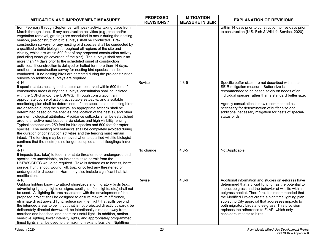| <b>MITIGATION AND IMPROVEMENT MEASURES</b>                                                                                                                                                                                                                                                                                                                                                                                                                                                                                                                                                                                                                                                                                                                                                                                                                                                                                                                                                                                                                               | <b>PROPOSED</b><br><b>REVISIONS?</b> | <b>MITIGATION</b><br><b>MEASURE IN SEIR</b> | <b>EXPLANATION OF REVISIONS</b>                                                                                                                                                                                                                                                                                                                                                                                                                                                |
|--------------------------------------------------------------------------------------------------------------------------------------------------------------------------------------------------------------------------------------------------------------------------------------------------------------------------------------------------------------------------------------------------------------------------------------------------------------------------------------------------------------------------------------------------------------------------------------------------------------------------------------------------------------------------------------------------------------------------------------------------------------------------------------------------------------------------------------------------------------------------------------------------------------------------------------------------------------------------------------------------------------------------------------------------------------------------|--------------------------------------|---------------------------------------------|--------------------------------------------------------------------------------------------------------------------------------------------------------------------------------------------------------------------------------------------------------------------------------------------------------------------------------------------------------------------------------------------------------------------------------------------------------------------------------|
| from February through September with peak activity taking place from<br>March through June. If any construction activities (e.g., tree and/or<br>vegetation removal, grading) are scheduled to occur during the nesting<br>season, pre-construction bird surveys shall be conducted. Pre-<br>construction surveys for any nesting bird species shall be conducted by<br>a qualified wildlife biologist throughout all regions of the site and<br>vicinity, which are within 500 feet of any proposed construction activity<br>(including thorough coverage of the pier). The surveys shall occur no<br>more than 14 days prior to the scheduled onset of construction<br>activities. If construction is delayed or halted for more than 14 days,<br>another pre-construction survey for nesting bird species shall be<br>conducted. If no nesting birds are detected during the pre-construction<br>surveys no additional surveys are required.                                                                                                                          |                                      |                                             | within 14 days prior to construction to five days prior<br>to construction (U.S. Fish & Wildlife Service, 2020).                                                                                                                                                                                                                                                                                                                                                               |
| $4 - 16$<br>If special-status nesting bird species are observed within 500 feet of<br>construction areas during the surveys, consultation shall be initiated<br>with the CDFG and/or the USFWS. Through consultation, an<br>appropriate course of action, acceptable setbacks, and a suitable<br>monitoring plan shall be determined. If non-special-status nesting birds<br>are observed during the surveys, an appropriate setback shall be<br>determined based on the species, the location of the nest(s), and other<br>pertinent biological attributes. Avoidance setbacks shall be established<br>around all active nest locations via stakes and high visibility fencing.<br>Typical setbacks are 250 feet for bird species and 500 feet for raptor<br>species. The nesting bird setbacks shall be completely avoided during<br>the duration of construction activities and the fencing must remain<br>intact. The fencing may be removed when a qualified wildlife biologist<br>confirms that the nest(s) is no longer occupied and all fledglings have<br>left. | Revise                               | $4.3 - 5$                                   | Specific buffer sizes are not described within the<br>SEIR mitigation measure. Buffer size is<br>recommended to be based solely on needs of an<br>individual species rather than a standard buffer size.<br>Agency consultation is now recommended as<br>necessary for determination of buffer size and<br>additional necessary mitigation for nests of special-<br>status birds.                                                                                              |
| $4 - 17$<br>If impacts (i.e., take) to federal or state threatened or endangered bird<br>species are unavoidable, an incidental take permit from the<br>USFWS/CDFG would be required. Take is defined as to harass, harm,<br>pursue, hunt, shoot, wound, kill, trap, or collect any threatened or<br>endangered bird species. Harm may also include significant habitat<br>modification.                                                                                                                                                                                                                                                                                                                                                                                                                                                                                                                                                                                                                                                                                 | No change                            | $4.3 - 5$                                   | Not Applicable                                                                                                                                                                                                                                                                                                                                                                                                                                                                 |
| $4 - 18$<br>Outdoor lighting known to attract shorebirds and migratory birds (e.g.,<br>advertising lighting, lights on signs, spotlights, floodlights, etc.) shall not<br>be used. All lighting fixtures associated with the development of the<br>proposed project shall be designed to ensure maximum efficiency,<br>eliminate direct upward light, reduce spill (i.e., light that spills beyond<br>the intended areas to be lit, but that is not projected directly upward), be<br>deliberately directed downward, be intentionally directed away from<br>marshes and beaches, and optimize useful light. In addition, motion-<br>sensitive lighting, lower intensity lights, and appropriately programmed<br>timed lights shall be used to the maximum extent feasible. Nighttime                                                                                                                                                                                                                                                                                    | Revise                               | $4.3 - 6$                                   | Additional information and studies on eelgrass have<br>determined that artificial lighting has the potential to<br>impact eelgrass and the behavior of wildlife within<br>eelgrass habitat. Therefore, it is recommended that<br>the Modified Project create a nighttime lighting plan<br>subject to City approval that addresses impacts to<br>both migratory birds and eelgrass. This provision<br>replaces the adherence to FLAP, which only<br>considers impacts to birds. |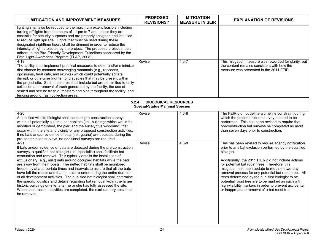| <b>MITIGATION AND IMPROVEMENT MEASURES</b>                                                                                                                                                                                                                                                                                                                                                                                                                                                                                                                                                                                                                                                                                                                                                                                                                                           | <b>PROPOSED</b><br><b>REVISIONS?</b> | <b>MITIGATION</b><br><b>MEASURE IN SEIR</b> | <b>EXPLANATION OF REVISIONS</b>                                                                                                                                                                                                                                                                                                                                                                                                                                                                                                                                         |  |  |
|--------------------------------------------------------------------------------------------------------------------------------------------------------------------------------------------------------------------------------------------------------------------------------------------------------------------------------------------------------------------------------------------------------------------------------------------------------------------------------------------------------------------------------------------------------------------------------------------------------------------------------------------------------------------------------------------------------------------------------------------------------------------------------------------------------------------------------------------------------------------------------------|--------------------------------------|---------------------------------------------|-------------------------------------------------------------------------------------------------------------------------------------------------------------------------------------------------------------------------------------------------------------------------------------------------------------------------------------------------------------------------------------------------------------------------------------------------------------------------------------------------------------------------------------------------------------------------|--|--|
| lighting shall also be reduced to the maximum extent feasible including<br>turning off lights from the hours of 11 pm to 7 am, unless they are<br>essential for security purposes and are properly designed and installed<br>to reduce light spillage. Lights that must be used during these<br>designated nighttime hours shall be dimmed in order to reduce the<br>intensity of light projected by the project. The proposed project should<br>adhere to the Bird-Friendly Development Guidelines sponsored by the<br>Fatal Light Awareness Program (FLAP, 2008).<br>$4 - 19$<br>The facility shall implement practical measures to deter and/or minimize<br>disturbance by common scavenging mammals (e.g., raccoons,<br>opossums, feral cats, and skunks) which could potentially agitate,                                                                                       | Revise                               | $4.3 - 7$                                   | This mitigation measure was reworded for clarity, but<br>the content remains consistent with how the<br>measure was presented in the 2011 FEIR.                                                                                                                                                                                                                                                                                                                                                                                                                         |  |  |
| disrupt, or otherwise frighten bird species that may be present within<br>the project site. Such measures shall include but are not limited to daily<br>collection and removal of trash generated by the facility, the use of<br>sealed and secure trash dumpsters and bins throughout the facility, and<br>fencing around trash collection areas.                                                                                                                                                                                                                                                                                                                                                                                                                                                                                                                                   |                                      |                                             |                                                                                                                                                                                                                                                                                                                                                                                                                                                                                                                                                                         |  |  |
| <b>BIOLOGICAL RESOURCES</b><br>5.2.4<br><b>Special-Status Mammal Species</b>                                                                                                                                                                                                                                                                                                                                                                                                                                                                                                                                                                                                                                                                                                                                                                                                         |                                      |                                             |                                                                                                                                                                                                                                                                                                                                                                                                                                                                                                                                                                         |  |  |
| $4 - 20$<br>A qualified wildlife biologist shall conduct pre-construction surveys<br>within all potentially suitable bat habitats (i.e., buildings which would be<br>modified or demolished, the pier, and the eucalyptus woodland) that<br>occur within the site and vicinity of any proposed construction activities.<br>If no bats and/or evidence of bats (i.e., guano) are detected during the<br>pre-construction surveys, no additional surveys are required.                                                                                                                                                                                                                                                                                                                                                                                                                 | Revise                               | $4.3 - 8$                                   | The FEIR did not define a timeline constraint during<br>which the preconstruction survey needed to be<br>performed. This has been revised to require that<br>preconstruction bat surveys be completed no more<br>than seven days prior to construction.                                                                                                                                                                                                                                                                                                                 |  |  |
| $4 - 21$<br>If bats and/or evidence of bats are detected during the pre-construction<br>surveys, a qualified bat biologist (i.e., specialist) shall facilitate bat<br>evacuation and removal. This typically entails the installation of<br>exclusionary (e.g., mist) nets around occupied habitats while the bats<br>are away from their roosts. The netted habitats shall be monitored<br>frequently at appropriate times and intervals to assure that all the bats<br>have left the roosts and that no bats re-enter during the entire duration<br>of all development activities. The qualified bat biologist shall determine<br>the specific logistics and details regarding bat removal within the larger<br>historic buildings on-site, after he or she has fully assessed the site.<br>When construction activities are completed, the exclusionary nets shall<br>be removed. | Revise                               | $4.3 - 8$                                   | This has been revised to require agency notification<br>prior to any bat exclusion performed by the qualified<br>biologist.<br>Additionally, the 2011 FIER did not include actions<br>for potential bat roost trees. Therefore, this<br>mitigation has been update to require a two-day<br>removal process for any potential bat roost trees. All<br>trees determined by the qualified biologist to be<br>potential roost tree are to be marked as such with<br>high-visibility markers in order to prevent accidental<br>or inappropriate removal of a bat roost tree. |  |  |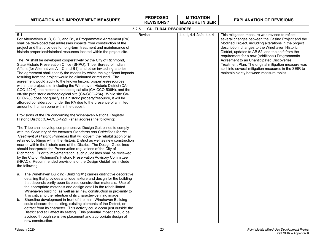| <b>CULTURAL RESOURCES</b><br>4.4-1, 4.4-2a/b, 4.4-4 | This mitigation measure was revised to reflect<br>several changes between the Casino Project and the<br>Modified Project, including alterations in the project<br>description, changes to the Winehaven Historic<br>District, updates to AB 52, and the shift from the<br>requirement for a new (additional) Programmatic<br>Agreement to an Unanticipated Discoveries<br>Treatment Plan. The original mitigation measure was |
|-----------------------------------------------------|-------------------------------------------------------------------------------------------------------------------------------------------------------------------------------------------------------------------------------------------------------------------------------------------------------------------------------------------------------------------------------------------------------------------------------|
|                                                     |                                                                                                                                                                                                                                                                                                                                                                                                                               |
|                                                     | split into several mitigation measures in the SEIR to<br>maintain clarity between measure topics.                                                                                                                                                                                                                                                                                                                             |
|                                                     |                                                                                                                                                                                                                                                                                                                                                                                                                               |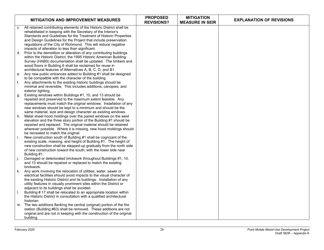|    | <b>MITIGATION AND IMPROVEMENT MEASURES</b>                                                                                                                                                                                                                                                                                                                                         | <b>PROPOSED</b><br><b>REVISIONS?</b> | <b>MITIGATION</b><br><b>MEASURE IN SEIR</b> | <b>EXPLANATION OF REVISIONS</b> |
|----|------------------------------------------------------------------------------------------------------------------------------------------------------------------------------------------------------------------------------------------------------------------------------------------------------------------------------------------------------------------------------------|--------------------------------------|---------------------------------------------|---------------------------------|
| C. | All retained contributing elements of the Historic District shall be<br>rehabilitated in keeping with the Secretary of the Interior's<br>Standards and Guidelines for the Treatment of Historic Properties                                                                                                                                                                         |                                      |                                             |                                 |
| d. | and Design Guidelines for the Project that include preservation<br>regulations of the City of Richmond. This will reduce negative<br>impacts of alteration to less than significant.<br>Prior to the demolition or alteration of any contributing buildings                                                                                                                        |                                      |                                             |                                 |
|    | within the Historic District, the 1995 Historic American Building<br>Survey (HABS) documentation shall be updated. The timbers and<br>wood floors in Building 6 shall be reclaimed for reuse in<br>architectural features of Alternatives A, B, C, D, and B1.                                                                                                                      |                                      |                                             |                                 |
| е. | Any new public entrances added to Building #1 shall be designed<br>to be compatible with the character of the building.                                                                                                                                                                                                                                                            |                                      |                                             |                                 |
| f. | Any attachments to the existing historic buildings should be<br>minimal and reversible. This includes additions, canopies, and<br>exterior lighting.                                                                                                                                                                                                                               |                                      |                                             |                                 |
| g. | Existing windows within Buildings #1, 10, and 13 should be<br>repaired and preserved to the maximum extent feasible. Any<br>replacements must match the original windows. Installation of any<br>new windows should be kept to a minimum and should be the                                                                                                                         |                                      |                                             |                                 |
| h. | same material, size and design character as existing windows.<br>Metal sheet hood moldings over the paired windows on the west<br>elevation and the three story portion of the Building #1 should be<br>repaired and replaced. The original material should be retained<br>wherever possible. Where it is missing, new hood moldings should<br>be recreated to match the original. |                                      |                                             |                                 |
| i. | New construction south of Building #1 shall be cognizant of the<br>existing scale, massing, and height of Building #1. The height of<br>new construction shall be stepped-up gradually from the north side<br>of new construction toward the south, with the lower side near<br>Building #1.                                                                                       |                                      |                                             |                                 |
| j. | Damaged or deteriorated brickwork throughout Buildings #1, 10,<br>and 13 should be repaired or replaced to match the existing<br>brickwork.                                                                                                                                                                                                                                        |                                      |                                             |                                 |
| k. | Any work involving the relocation of utilities, water, sewer or<br>electrical facilities should avoid impacts to the visual character of<br>the existing Historic District and its buildings. Installation of any<br>utility features in visually prominent sites within the District or<br>adjacent to its buildings shall be avoided.                                            |                                      |                                             |                                 |
| Ι. | Building # 17 shall be relocated to an appropriate location within<br>the Historic District in consultation with a qualified architectural<br>historian.                                                                                                                                                                                                                           |                                      |                                             |                                 |
|    | m. The two additions flanking the central (original) portion of the fire<br>station (Building #63) shall be removed. These additions are not<br>original and are not in keeping with the construction of the original<br>building.                                                                                                                                                 |                                      |                                             |                                 |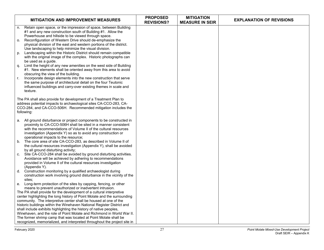| <b>MITIGATION AND IMPROVEMENT MEASURES</b>                                                                                                   | <b>PROPOSED</b><br><b>REVISIONS?</b> | <b>MITIGATION</b><br><b>MEASURE IN SEIR</b> | <b>EXPLANATION OF REVISIONS</b> |
|----------------------------------------------------------------------------------------------------------------------------------------------|--------------------------------------|---------------------------------------------|---------------------------------|
| Retain open space, or the impression of space, between Building<br>n.                                                                        |                                      |                                             |                                 |
| #1 and any new construction south of Building #1. Allow the                                                                                  |                                      |                                             |                                 |
| Powerhouse and hillside to be viewed through space.                                                                                          |                                      |                                             |                                 |
| Reconfiguration of Western Drive should de-emphasize the<br>о.                                                                               |                                      |                                             |                                 |
| physical division of the east and western portions of the district.                                                                          |                                      |                                             |                                 |
| Use landscaping to help minimize the visual division.<br>Landscaping within the Historic District should remain compatible                   |                                      |                                             |                                 |
| p.<br>with the original image of the complex. Historic photographs can                                                                       |                                      |                                             |                                 |
| be used as a guide.                                                                                                                          |                                      |                                             |                                 |
| Limit the height of any new amenities on the west side of Building<br>q.                                                                     |                                      |                                             |                                 |
| #1. New elements shall be oriented away from this area to avoid                                                                              |                                      |                                             |                                 |
| obscuring the view of the building.                                                                                                          |                                      |                                             |                                 |
| Incorporate design elements into the new construction that serve<br>r.                                                                       |                                      |                                             |                                 |
| the same purpose of architectural detail on the four Teutonic                                                                                |                                      |                                             |                                 |
| influenced buildings and carry-over existing themes in scale and                                                                             |                                      |                                             |                                 |
| texture.                                                                                                                                     |                                      |                                             |                                 |
|                                                                                                                                              |                                      |                                             |                                 |
| The PA shall also provide for development of a Treatment Plan to                                                                             |                                      |                                             |                                 |
| address potential impacts to archaeological sites CA-CCO-283, CA-<br>CCO-284, and CA-CCO-506H. Recommended mitigation includes the           |                                      |                                             |                                 |
| following:                                                                                                                                   |                                      |                                             |                                 |
|                                                                                                                                              |                                      |                                             |                                 |
| a. All ground disturbance or project components to be constructed in                                                                         |                                      |                                             |                                 |
| proximity to CA-CCO-506H shall be sited in a manner consistent                                                                               |                                      |                                             |                                 |
| with the recommendations of Volume II of the cultural resources                                                                              |                                      |                                             |                                 |
| investigation (Appendix Y) so as to avoid any construction or                                                                                |                                      |                                             |                                 |
| operational impacts to the resource;                                                                                                         |                                      |                                             |                                 |
| The core area of site CA-CCO-283, as described in Volume II of<br>b.                                                                         |                                      |                                             |                                 |
| the cultural resources investigation (Appendix Y), shall be avoided                                                                          |                                      |                                             |                                 |
| by all ground disturbing activity;<br>Site CA-CCO-284 shall be avoided by ground disturbing activities.<br>C.                                |                                      |                                             |                                 |
| Avoidance will be achieved by adhering to recommendations                                                                                    |                                      |                                             |                                 |
| provided in Volume II of the cultural resources investigation                                                                                |                                      |                                             |                                 |
| (Appendix Y).                                                                                                                                |                                      |                                             |                                 |
| Construction monitoring by a qualified archaeologist during<br>d.                                                                            |                                      |                                             |                                 |
| construction work involving ground disturbance in the vicinity of the                                                                        |                                      |                                             |                                 |
| sites:                                                                                                                                       |                                      |                                             |                                 |
| e. Long-term protection of the sites by capping, fencing, or other                                                                           |                                      |                                             |                                 |
| means to prevent unauthorized or inadvertent intrusion.                                                                                      |                                      |                                             |                                 |
| The PA shall provide for the development of a cultural interpretive                                                                          |                                      |                                             |                                 |
| center highlighting the long history of Point Molate and the surrounding                                                                     |                                      |                                             |                                 |
| community. The interpretive center shall be housed at one of the                                                                             |                                      |                                             |                                 |
| historic buildings within the Winehaven National Register District and<br>shall include exhibits highlighting the history of native peoples, |                                      |                                             |                                 |
| Winehaven, and the role of Point Molate and Richmond in World War II.                                                                        |                                      |                                             |                                 |
| The former shrimp camp that was located at Point Molate shall be                                                                             |                                      |                                             |                                 |
| recognized, memorialized, and interpreted throughout the project site in                                                                     |                                      |                                             |                                 |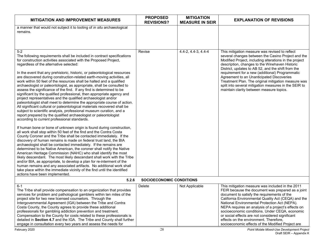| <b>MITIGATION AND IMPROVEMENT MEASURES</b>                                                                                                                                                                                                                                                                                                                                                                                                                                                                                                                                                                                                                                                                                                                                                                                                                                                                                                                                                                                                                                                                                                                                                                                                                                                                                                                                                                                                        | <b>PROPOSED</b><br><b>REVISIONS?</b> | <b>MITIGATION</b><br><b>MEASURE IN SEIR</b> | <b>EXPLANATION OF REVISIONS</b>                                                                                                                                                                                                                                                                                                                                                                                                                                                                                                    |
|---------------------------------------------------------------------------------------------------------------------------------------------------------------------------------------------------------------------------------------------------------------------------------------------------------------------------------------------------------------------------------------------------------------------------------------------------------------------------------------------------------------------------------------------------------------------------------------------------------------------------------------------------------------------------------------------------------------------------------------------------------------------------------------------------------------------------------------------------------------------------------------------------------------------------------------------------------------------------------------------------------------------------------------------------------------------------------------------------------------------------------------------------------------------------------------------------------------------------------------------------------------------------------------------------------------------------------------------------------------------------------------------------------------------------------------------------|--------------------------------------|---------------------------------------------|------------------------------------------------------------------------------------------------------------------------------------------------------------------------------------------------------------------------------------------------------------------------------------------------------------------------------------------------------------------------------------------------------------------------------------------------------------------------------------------------------------------------------------|
| a manner that would not subject it to looting of in situ archaeological<br>remains.                                                                                                                                                                                                                                                                                                                                                                                                                                                                                                                                                                                                                                                                                                                                                                                                                                                                                                                                                                                                                                                                                                                                                                                                                                                                                                                                                               |                                      |                                             |                                                                                                                                                                                                                                                                                                                                                                                                                                                                                                                                    |
| $5-2$<br>The following requirements shall be included in contract specifications<br>for construction activities associated with the Proposed Project,<br>regardless of the alternative selected:<br>In the event that any prehistoric, historic, or paleontological resources<br>are discovered during construction-related earth-moving activities, all<br>work within 50 feet of the resources shall be halted and a qualified<br>archaeologist or paleontologist, as appropriate, shall be consulted to<br>assess the significance of the find. If any find is determined to be<br>significant by the qualified professional, then appropriate agency and<br>project representatives and the qualified archaeologist and/or<br>paleontologist shall meet to determine the appropriate course of action.<br>All significant cultural or paleontological materials recovered shall be<br>subject to scientific analysis, professional museum curation, and a<br>report prepared by the qualified archaeologist or paleontologist<br>according to current professional standards.<br>If human bone or bone of unknown origin is found during construction,<br>all work shall stop within 50 feet of the find and the Contra Costa<br>County Coroner and the Tribe shall be contacted immediately. If the<br>discovery of human remains is made on federal trust land, the BIA<br>archaeologist shall be contacted immediately. If the remains are | Revise                               | 4.4-2, 4.4-3, 4.4-4                         | This mitigation measure was revised to reflect<br>several changes between the Casino Project and the<br>Modified Project, including alterations in the project<br>description, changes to the Winehaven Historic<br>District, updates to AB 52, and the shift from the<br>requirement for a new (additional) Programmatic<br>Agreement to an Unanticipated Discoveries<br>Treatment Plan. The original mitigation measure was<br>split into several mitigation measures in the SEIR to<br>maintain clarity between measure topics. |
| determined to be Native American, the coroner shall notify the Native<br>American Heritage Commission (NAHC) who shall identify the most<br>likely descendant. The most likely descendant shall work with the Tribe<br>and/or BIA, as appropriate, to develop a plan for re-interment of the<br>human remains and any associated artifacts. No additional work shall<br>take place within the immediate vicinity of the find until the identified<br>actions have been implemented.                                                                                                                                                                                                                                                                                                                                                                                                                                                                                                                                                                                                                                                                                                                                                                                                                                                                                                                                                               |                                      |                                             |                                                                                                                                                                                                                                                                                                                                                                                                                                                                                                                                    |
| 5.2.6                                                                                                                                                                                                                                                                                                                                                                                                                                                                                                                                                                                                                                                                                                                                                                                                                                                                                                                                                                                                                                                                                                                                                                                                                                                                                                                                                                                                                                             | <b>SOCIOECONOMIC CONDITIONS</b>      |                                             |                                                                                                                                                                                                                                                                                                                                                                                                                                                                                                                                    |
| $6 - 1$<br>The Tribe shall provide compensation to an organization that provides<br>services for problem and pathological gamblers within ten miles of the<br>project site for two new licensed counselors. Through the<br>Intergovernmental Agreement (IGA) between the Tribe and Contra<br>Costa County, the County agrees to provide these additional<br>professionals for gambling addiction prevention and treatment.<br>Compensation to the County for costs related to these professionals is<br>detailed in Section 4.7 and the IGA. The Tribe and County shall further<br>engage in consultation every two years and assess the needs for                                                                                                                                                                                                                                                                                                                                                                                                                                                                                                                                                                                                                                                                                                                                                                                                | Delete                               | Not Applicable                              | This mitigation measure was included in the 2011<br>FEIR because the document was prepared as a joint<br>document to satisfy the requirements of the<br>California Environmental Quality Act (CEQA) and the<br>National Environmental Protection Act (NEPA).<br>NEPA requires an analysis of a project's effects on<br>socioeconomic conditions. Under CEQA, economic<br>or social effects are not considered significant<br>effects on the environment. Therefore,<br>socioeconomic effects of the Modified Project are           |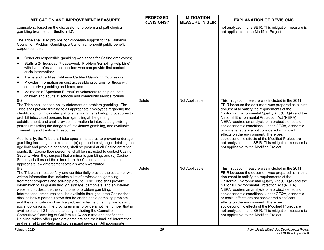| <b>MITIGATION AND IMPROVEMENT MEASURES</b>                                                                                                                                                                                                                                                                                                                                                                                                                                                                                                                                                                                                                                                                                                                                                                                                                                                                                                                                                               | <b>PROPOSED</b><br><b>REVISIONS?</b> | <b>MITIGATION</b><br><b>MEASURE IN SEIR</b> | <b>EXPLANATION OF REVISIONS</b>                                                                                                                                                                                                                                                                                                                                                                                                                                                                                                                                                                                              |
|----------------------------------------------------------------------------------------------------------------------------------------------------------------------------------------------------------------------------------------------------------------------------------------------------------------------------------------------------------------------------------------------------------------------------------------------------------------------------------------------------------------------------------------------------------------------------------------------------------------------------------------------------------------------------------------------------------------------------------------------------------------------------------------------------------------------------------------------------------------------------------------------------------------------------------------------------------------------------------------------------------|--------------------------------------|---------------------------------------------|------------------------------------------------------------------------------------------------------------------------------------------------------------------------------------------------------------------------------------------------------------------------------------------------------------------------------------------------------------------------------------------------------------------------------------------------------------------------------------------------------------------------------------------------------------------------------------------------------------------------------|
| counselors, based on the discussion of problem and pathological<br>gambling treatment in Section 4.7.                                                                                                                                                                                                                                                                                                                                                                                                                                                                                                                                                                                                                                                                                                                                                                                                                                                                                                    |                                      |                                             | not analyzed in this SEIR. This mitigation measure is<br>not applicable to the Modified Project.                                                                                                                                                                                                                                                                                                                                                                                                                                                                                                                             |
| The Tribe shall also provide non-monetary support to the California<br>Council on Problem Gambling, a California nonprofit public benefit<br>corporation that:                                                                                                                                                                                                                                                                                                                                                                                                                                                                                                                                                                                                                                                                                                                                                                                                                                           |                                      |                                             |                                                                                                                                                                                                                                                                                                                                                                                                                                                                                                                                                                                                                              |
| Conducts responsible gambling workshops for Casino employees;<br>$\bullet$                                                                                                                                                                                                                                                                                                                                                                                                                                                                                                                                                                                                                                                                                                                                                                                                                                                                                                                               |                                      |                                             |                                                                                                                                                                                                                                                                                                                                                                                                                                                                                                                                                                                                                              |
| Staffs a 24 hour/day, 7 days/week "Problem Gambling Help Line"<br>$\bullet$<br>with live professional counselors who can provide first contact<br>crisis intervention;                                                                                                                                                                                                                                                                                                                                                                                                                                                                                                                                                                                                                                                                                                                                                                                                                                   |                                      |                                             |                                                                                                                                                                                                                                                                                                                                                                                                                                                                                                                                                                                                                              |
| Trains and certifies California Certified Gambling Counselors;<br>$\bullet$                                                                                                                                                                                                                                                                                                                                                                                                                                                                                                                                                                                                                                                                                                                                                                                                                                                                                                                              |                                      |                                             |                                                                                                                                                                                                                                                                                                                                                                                                                                                                                                                                                                                                                              |
| Provides information on cost accessible programs for those with<br>$\bullet$<br>compulsive gambling problems; and                                                                                                                                                                                                                                                                                                                                                                                                                                                                                                                                                                                                                                                                                                                                                                                                                                                                                        |                                      |                                             |                                                                                                                                                                                                                                                                                                                                                                                                                                                                                                                                                                                                                              |
| Maintains a "Speakers Bureau" of volunteers to help educate<br>$\bullet$<br>children and adults at schools and community service forums                                                                                                                                                                                                                                                                                                                                                                                                                                                                                                                                                                                                                                                                                                                                                                                                                                                                  |                                      |                                             |                                                                                                                                                                                                                                                                                                                                                                                                                                                                                                                                                                                                                              |
| $6-2$<br>The Tribe shall adopt a policy statement on problem gambling. The<br>Tribe shall provide training to all appropriate employees regarding the<br>identification of intoxicated patrons gambling; shall adopt procedures to<br>prohibit intoxicated persons from gambling at the gaming<br>establishment; and shall provide information to intoxicated gambling<br>patrons regarding the dangers of intoxicated gambling, and available<br>counseling and treatment resources.<br>Additionally, the Tribe shall take special measures to prevent underage<br>gambling including, at a minimum: (a) appropriate signage, detailing the<br>age limit and possible penalties, shall be posted at all Casino entrance<br>points; (b) Casino floor personnel shall be instructed to contact Casino<br>Security when they suspect that a minor is gambling; and (c) Casino<br>Security shall escort the minor from the Casino, and contact the<br>appropriate law enforcement officials when warranted. | Delete                               | Not Applicable                              | This mitigation measure was included in the 2011<br>FEIR because the document was prepared as a joint<br>document to satisfy the requirements of the<br>California Environmental Quality Act (CEQA) and the<br>National Environmental Protection Act (NEPA).<br>NEPA requires an analysis of a project's effects on<br>socioeconomic conditions. Under CEQA, economic<br>or social effects are not considered significant<br>effects on the environment. Therefore,<br>socioeconomic effects of the Modified Project are<br>not analyzed in this SEIR. This mitigation measure is<br>not applicable to the Modified Project. |
| $6-3$<br>The Tribe shall respectfully and confidentially provide the customer with<br>written information that includes a list of professional gambling<br>treatment programs and self-help groups. The Tribe shall provide<br>information to its guests through signage, pamphlets, and an Internet<br>website that describe the symptoms of problem gambling.<br>Informational brochures shall be available throughout the Casino that<br>discuss how a person knows that he or she has a gambling problem<br>and the ramifications of such a problem in terms of family, friends and<br>social obligations. The brochures shall provide a hotline number that is<br>available to call 24 hours each day, including the Council on<br>Compulsive Gambling of California's 24-hour free and confidential<br>Helpline, which offers problem gamblers and their families' information<br>and referral to self-help and professional services. All appropriate                                             | Delete                               | Not Applicable                              | This mitigation measure was included in the 2011<br>FEIR because the document was prepared as a joint<br>document to satisfy the requirements of the<br>California Environmental Quality Act (CEQA) and the<br>National Environmental Protection Act (NEPA).<br>NEPA requires an analysis of a project's effects on<br>socioeconomic conditions. Under CEQA, economic<br>or social effects are not considered significant<br>effects on the environment. Therefore,<br>socioeconomic effects of the Modified Project are<br>not analyzed in this SEIR. This mitigation measure is<br>not applicable to the Modified Project. |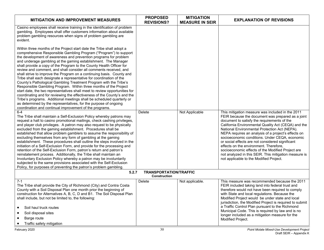| <b>MITIGATION AND IMPROVEMENT MEASURES</b>                                                                                                                                                                                                                                                                                                                                                                                                                                                                                                                                                                                                                                                                                                                                                                                                                                                                                                                                                                                                                                               | <b>PROPOSED</b><br><b>REVISIONS?</b>                 | <b>MITIGATION</b><br><b>MEASURE IN SEIR</b> | <b>EXPLANATION OF REVISIONS</b>                                                                                                                                                                                                                                                                                                                                                                                                                                                                                                                                                                                              |
|------------------------------------------------------------------------------------------------------------------------------------------------------------------------------------------------------------------------------------------------------------------------------------------------------------------------------------------------------------------------------------------------------------------------------------------------------------------------------------------------------------------------------------------------------------------------------------------------------------------------------------------------------------------------------------------------------------------------------------------------------------------------------------------------------------------------------------------------------------------------------------------------------------------------------------------------------------------------------------------------------------------------------------------------------------------------------------------|------------------------------------------------------|---------------------------------------------|------------------------------------------------------------------------------------------------------------------------------------------------------------------------------------------------------------------------------------------------------------------------------------------------------------------------------------------------------------------------------------------------------------------------------------------------------------------------------------------------------------------------------------------------------------------------------------------------------------------------------|
| Casino employees shall receive training in the identification of problem<br>gambling. Employees shall offer customers information about available<br>problem gambling resources when signs of problem gambling are<br>evident.                                                                                                                                                                                                                                                                                                                                                                                                                                                                                                                                                                                                                                                                                                                                                                                                                                                           |                                                      |                                             |                                                                                                                                                                                                                                                                                                                                                                                                                                                                                                                                                                                                                              |
| Within three months of the Project start date the Tribe shall adopt a<br>comprehensive Responsible Gambling Program ("Program") to support<br>the development of awareness and prevention programs for problem<br>and underage gambling at the gaming establishment. The Manager<br>shall provide a copy of the Program to the County Health Officer for<br>review and comment, and shall consider all comments received, and<br>shall strive to improve the Program on a continuing basis. County and<br>Tribe shall each designate a representative for coordination of the<br>County's Pathological Gambling Treatment Program with the Tribe's<br>Responsible Gambling Program. Within three months of the Project<br>start date, the two representatives shall meet to review opportunities for<br>coordinating and for reviewing the effectiveness of the County's and the<br>Tribe's programs. Additional meetings shall be scheduled quarterly or<br>as determined by the representatives, for the purpose of ongoing<br>coordination and continual improvement of the programs. |                                                      |                                             |                                                                                                                                                                                                                                                                                                                                                                                                                                                                                                                                                                                                                              |
| $6 - 4$<br>The Tribe shall maintain a Self-Exclusion Policy whereby patrons may<br>request a halt to casino promotional mailings, check cashing privileges,<br>and player club privileges. A patron may also request to be physically<br>excluded from the gaming establishment. Procedures shall be<br>established that allow problem gamblers to assume the responsibility of<br>excluding themselves from any form of gambling at the gaming<br>establishment. These procedures shall outline the steps involved in the<br>initiation of a Self-Exclusion Form, and provide for the processing and<br>retention of the Self-Exclusion Form, patron's return and patron's<br>reinstatement process. Additionally, the Tribe shall maintain an<br>Involuntary Exclusion Policy whereby a patron may be involuntarily<br>subjected to the same provisions associated with the Self-Exclusion<br>Policy, for purposes of preventing the patron's problem gambling.                                                                                                                        | <b>Delete</b>                                        | Not Applicable                              | This mitigation measure was included in the 2011<br>FEIR because the document was prepared as a joint<br>document to satisfy the requirements of the<br>California Environmental Quality Act (CEQA) and the<br>National Environmental Protection Act (NEPA).<br>NEPA requires an analysis of a project's effects on<br>socioeconomic conditions. Under CEQA, economic<br>or social effects are not considered significant<br>effects on the environment. Therefore,<br>socioeconomic effects of the Modified Project are<br>not analyzed in this SEIR. This mitigation measure is<br>not applicable to the Modified Project. |
| 5.2.7                                                                                                                                                                                                                                                                                                                                                                                                                                                                                                                                                                                                                                                                                                                                                                                                                                                                                                                                                                                                                                                                                    | <b>TRANSPORTATION/TRAFFIC</b><br><b>Construction</b> |                                             |                                                                                                                                                                                                                                                                                                                                                                                                                                                                                                                                                                                                                              |
| $7 - 1$<br>The Tribe shall provide the City of Richmond (City) and Contra Costa<br>County with a Soil Disposal Plan one month prior the beginning of<br>construction for Alternatives A, B, C, D and B1. The Soil Disposal Plan<br>shall include, but not be limited to, the following:<br>Soil haul truck routes<br>Soil disposal sites<br>Barge route<br>Traffic safety mitigation                                                                                                                                                                                                                                                                                                                                                                                                                                                                                                                                                                                                                                                                                                     | Delete                                               | Not applicable.                             | This measure was recommended because the 2011<br>FEIR included taking land into federal trust and<br>therefore would not have been required to comply<br>with State and local regulations. Because the<br>Modified Project would be under state and local<br>jurisdiction, the Modified Project is required to submit<br>a Traffic Control Plan pursuant to the Richmond<br>Municipal Code. This is required by law and is no<br>longer included as a mitigation measure for the<br>Modified Project.                                                                                                                        |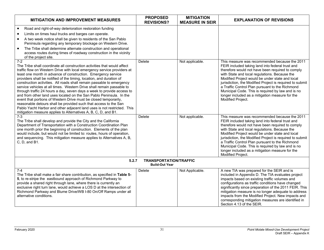| <b>MITIGATION AND IMPROVEMENT MEASURES</b>                                                                                                                                                                                                                                                                                                                                                                                                                                                                                                                                                                                                                                                                                                                                                                                                                                                                            | <b>PROPOSED</b><br><b>REVISIONS?</b>                   | <b>MITIGATION</b><br><b>MEASURE IN SEIR</b> | <b>EXPLANATION OF REVISIONS</b>                                                                                                                                                                                                                                                                                                                                                                                                                                                                       |
|-----------------------------------------------------------------------------------------------------------------------------------------------------------------------------------------------------------------------------------------------------------------------------------------------------------------------------------------------------------------------------------------------------------------------------------------------------------------------------------------------------------------------------------------------------------------------------------------------------------------------------------------------------------------------------------------------------------------------------------------------------------------------------------------------------------------------------------------------------------------------------------------------------------------------|--------------------------------------------------------|---------------------------------------------|-------------------------------------------------------------------------------------------------------------------------------------------------------------------------------------------------------------------------------------------------------------------------------------------------------------------------------------------------------------------------------------------------------------------------------------------------------------------------------------------------------|
| Road and right-of-way deterioration restoration funding<br>$\bullet$<br>Limits on times haul trucks and barges can operate.<br>$\bullet$<br>A two week notice shall be given to residents of the San Pablo<br>$\bullet$<br>Peninsula regarding any temporary blockage on Western Drive.<br>The Tribe shall determine alternate construction and operational<br>$\bullet$<br>access routes during times of roadway construction in the vicinity                                                                                                                                                                                                                                                                                                                                                                                                                                                                        |                                                        |                                             |                                                                                                                                                                                                                                                                                                                                                                                                                                                                                                       |
| of the project site.<br>$7-2$<br>The Tribe shall coordinate all construction activities that would affect<br>traffic flow on Western Drive with local emergency service providers at<br>least one month in advance of construction. Emergency service<br>providers shall be notified of the timing, location, and duration of<br>construction activities. All roads shall remain passable to emergency<br>service vehicles at all times. Western Drive shall remain passable to<br>through traffic 24 hours a day, seven days a week to provide access to<br>and from other land uses located on the San Pablo Peninsula. In the<br>event that portions of Western Drive must be closed temporarily,<br>reasonable detours shall be provided such that access to the San<br>Pablo Yacht Harbor and other adjacent land uses is not restricted. This<br>mitigation measure applies to Alternatives A, B, C, D, and B1. | Delete                                                 | Not applicable.                             | This measure was recommended because the 2011<br>FEIR included taking land into federal trust and<br>therefore would not have been required to comply<br>with State and local regulations. Because the<br>Modified Project would be under state and local<br>jurisdiction, the Modified Project is required to submit<br>a Traffic Control Plan pursuant to the Richmond<br>Municipal Code. This is required by law and is no<br>longer included as a mitigation measure for the<br>Modified Project. |
| $7 - 3$<br>The Tribe shall develop and provide the City and the California<br>Department of Transportation with a Construction Coordination Plan<br>one month prior the beginning of construction. Elements of the plan<br>would include, but would not be limited to: routes, hours of operation,<br>and sequencing. This mitigation measure applies to Alternatives A, B,<br>C. D. and B1.                                                                                                                                                                                                                                                                                                                                                                                                                                                                                                                          | Delete                                                 | Not applicable.                             | This measure was recommended because the 2011<br>FEIR included taking land into federal trust and<br>therefore would not have been required to comply<br>with State and local regulations. Because the<br>Modified Project would be under state and local<br>jurisdiction, the Modified Project is required to submit<br>a Traffic Control Plan pursuant to the Richmond<br>Municipal Code. This is required by law and is no<br>longer included as a mitigation measure for the<br>Modified Project. |
| 5.2.7                                                                                                                                                                                                                                                                                                                                                                                                                                                                                                                                                                                                                                                                                                                                                                                                                                                                                                                 | <b>TRANSPORTATION/TRAFFIC</b><br><b>Build-Out Year</b> |                                             |                                                                                                                                                                                                                                                                                                                                                                                                                                                                                                       |
| $7 - 4$<br>The Tribe shall make a fair share contribution, as specified in Table 5-<br>5, to re-stripe the eastbound approach of Richmond Parkway to<br>provide a shared right through lane, where there is currently an<br>exclusive right turn lane, would achieve a LOS D at the intersection of<br>Richmond Parkway and Blume Drive/WB I-80 On/Off Ramps under all<br>alternative conditions.                                                                                                                                                                                                                                                                                                                                                                                                                                                                                                                     | Delete                                                 | Not Applicable.                             | A new TIA was prepared for the SEIR and is<br>included in Appendix D. The TIA evaluates project<br>impacts based on existing traffic volumes and<br>configurations as traffic conditions have changed<br>significantly since preparation of the 2011 FEIR. This<br>mitigation measure is no longer adequate to address<br>impacts from the Modified Project. New impacts and<br>corresponding mitigation measures are identified in<br>Section 4.13 of the SEIR.                                      |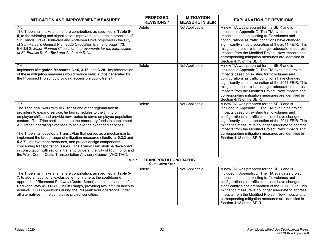| <b>MITIGATION AND IMPROVEMENT MEASURES</b>                                                                                                                                                                                                                                                                                                                                                                                                                                                                                                                                                                                                                                                                                                                                                                 | <b>PROPOSED</b><br><b>REVISIONS?</b>                    | <b>MITIGATION</b><br><b>MEASURE IN SEIR</b> | <b>EXPLANATION OF REVISIONS</b>                                                                                                                                                                                                                                                                                                                                                                                                                                  |
|------------------------------------------------------------------------------------------------------------------------------------------------------------------------------------------------------------------------------------------------------------------------------------------------------------------------------------------------------------------------------------------------------------------------------------------------------------------------------------------------------------------------------------------------------------------------------------------------------------------------------------------------------------------------------------------------------------------------------------------------------------------------------------------------------------|---------------------------------------------------------|---------------------------------------------|------------------------------------------------------------------------------------------------------------------------------------------------------------------------------------------------------------------------------------------------------------------------------------------------------------------------------------------------------------------------------------------------------------------------------------------------------------------|
| $7-5$<br>The Tribe shall make a fair share contribution, as specified in Table 5-<br>5, to the widening and signalization improvements at the intersection of<br>Sir Francis Drake Boulevard and Andersen Drive proposed in the City<br>of San Rafael's General Plan 2020 Circulation Element, page 173,<br>Exhibit 2, Major Planned Circulation Improvements for the intersection<br>at Sir Francis Drake Blvd and Andersen Drive.                                                                                                                                                                                                                                                                                                                                                                        | Delete                                                  | Not Applicable.                             | A new TIA was prepared for the SEIR and is<br>included in Appendix D. The TIA evaluates project<br>impacts based on existing traffic volumes and<br>configurations as traffic conditions have changed<br>significantly since preparation of the 2011 FEIR. This<br>mitigation measure is no longer adequate to address<br>impacts from the Modified Project. New impacts and<br>corresponding mitigation measures are identified in<br>Section 4.13 of the SEIR. |
| 7-6<br>Implement Mitigation Measures 3-16, 3-18, and 3-20. Implementation<br>of these mitigation measures would reduce vehicle trips generated by<br>the Proposed Project by providing accessible public transit.                                                                                                                                                                                                                                                                                                                                                                                                                                                                                                                                                                                          | Delete                                                  | Not Applicable.                             | A new TIA was prepared for the SEIR and is<br>included in Appendix D. The TIA evaluates project<br>impacts based on existing traffic volumes and<br>configurations as traffic conditions have changed<br>significantly since preparation of the 2011 FEIR. This<br>mitigation measure is no longer adequate to address<br>impacts from the Modified Project. New impacts and<br>corresponding mitigation measures are identified in<br>Section 4.13 of the SEIR. |
| $7 - 7$<br>The Tribe shall work with AC Transit and other regional transit<br>providers to expand service, tie bus schedules to the timing of<br>employee shifts, and provide new routes to serve employee population<br>centers. The Tribe shall contribute the necessary funds to supplement<br>AC Transit operating expenses to achieve the expanded services.<br>The Tribe shall develop a Transit Plan that serves as a mechanism to<br>implement the broad range of mitigation measures (Sections 5.2.3 and<br>5.2.7), improvement measures, and project design components<br>concerning transportation issues. The Transit Plan shall be developed<br>in consultation with regional transit providers, the City of Richmond, and<br>the West Contra Costa Transportation Advisory Council (WCCTAC). | Delete                                                  | Not Applicable.                             | A new TIA was prepared for the SEIR and is<br>included in Appendix D. The TIA evaluates project<br>impacts based on existing traffic volumes and<br>configurations as traffic conditions have changed<br>significantly since preparation of the 2011 FEIR. This<br>mitigation measure is no longer adequate to address<br>impacts from the Modified Project. New impacts and<br>corresponding mitigation measures are identified in<br>Section 4.13 of the SEIR. |
| 5.2.7                                                                                                                                                                                                                                                                                                                                                                                                                                                                                                                                                                                                                                                                                                                                                                                                      | <b>TRANSPORTATION/TRAFFIC</b><br><b>Cumulative Year</b> |                                             |                                                                                                                                                                                                                                                                                                                                                                                                                                                                  |
| $7 - 8$<br>The Tribe shall make a fair share contribution, as specified in Table 5-<br>7, to add an additional exclusive left turn lane at the southbound<br>approach of Richmond Parkway (Castro Street) at the intersection of<br>Redwood Way /WB I-580 On/Off Ramps, providing two left turn lanes to<br>achieve LOS D operations during the PM peak hour operations under<br>all alternatives in the cumulative project condition.                                                                                                                                                                                                                                                                                                                                                                     | Delete                                                  | Not Applicable.                             | A new TIA was prepared for the SEIR and is<br>included in Appendix D. The TIA evaluates project<br>impacts based on existing traffic volumes and<br>configurations as traffic conditions have changed<br>significantly since preparation of the 2011 FEIR. This<br>mitigation measure is no longer adequate to address<br>impacts from the Modified Project. New impacts and<br>corresponding mitigation measures are identified in<br>Section 4.13 of the SEIR. |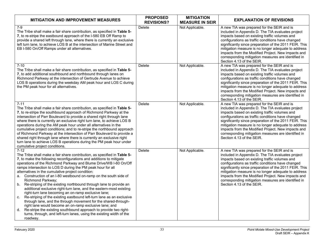| <b>MITIGATION AND IMPROVEMENT MEASURES</b>                                                                                                                                                                                                                                                                                                                                                                                                                                                                                                                                                                                                                                                                                                                                                                                                                                                                                                                                                                                      | <b>PROPOSED</b><br><b>REVISIONS?</b> | <b>MITIGATION</b><br><b>MEASURE IN SEIR</b> | <b>EXPLANATION OF REVISIONS</b>                                                                                                                                                                                                                                                                                                                                                                                                                                  |
|---------------------------------------------------------------------------------------------------------------------------------------------------------------------------------------------------------------------------------------------------------------------------------------------------------------------------------------------------------------------------------------------------------------------------------------------------------------------------------------------------------------------------------------------------------------------------------------------------------------------------------------------------------------------------------------------------------------------------------------------------------------------------------------------------------------------------------------------------------------------------------------------------------------------------------------------------------------------------------------------------------------------------------|--------------------------------------|---------------------------------------------|------------------------------------------------------------------------------------------------------------------------------------------------------------------------------------------------------------------------------------------------------------------------------------------------------------------------------------------------------------------------------------------------------------------------------------------------------------------|
| $7-9$<br>The Tribe shall make a fair share contribution, as specified in <b>Table 5-</b><br>7, to re-stripe the eastbound approach of the I-580 EB Off Ramp to<br>provide a shared left through lane, where there is currently an exclusive<br>left turn lane, to achieve LOS B at the intersection of Marine Street and<br>EB I-580 On/Off Ramps under all alternatives.                                                                                                                                                                                                                                                                                                                                                                                                                                                                                                                                                                                                                                                       | Delete                               | Not Applicable.                             | A new TIA was prepared for the SEIR and is<br>included in Appendix D. The TIA evaluates project<br>impacts based on existing traffic volumes and<br>configurations as traffic conditions have changed<br>significantly since preparation of the 2011 FEIR. This<br>mitigation measure is no longer adequate to address<br>impacts from the Modified Project. New impacts and<br>corresponding mitigation measures are identified in<br>Section 4.13 of the SEIR. |
| $7 - 10$<br>The Tribe shall make a fair share contribution, as specified in Table 5-<br>7, to add additional southbound and northbound through lanes on<br>Richmond Parkway at the intersection of Gertrude Avenue to achieve<br>LOS B operations during the weekday AM peak hour and LOS C during<br>the PM peak hour for all alternatives.                                                                                                                                                                                                                                                                                                                                                                                                                                                                                                                                                                                                                                                                                    | Delete                               | Not Applicable.                             | A new TIA was prepared for the SEIR and is<br>included in Appendix D. The TIA evaluates project<br>impacts based on existing traffic volumes and<br>configurations as traffic conditions have changed<br>significantly since preparation of the 2011 FEIR. This<br>mitigation measure is no longer adequate to address<br>impacts from the Modified Project. New impacts and<br>corresponding mitigation measures are identified in<br>Section 4.13 of the SEIR. |
| $7 - 11$<br>The Tribe shall make a fair share contribution, as specified in Table 5-<br>7, to re-stripe the southbound approach of Richmond Parkway at the<br>intersection of Parr Boulevard to provide a shared right through lane<br>where there is currently an exclusive right turn lane, to achieve LOS B<br>operations during the AM peak hour under all alternatives in the<br>cumulative project conditions; and to re-stripe the northbound approach<br>of Richmond Parkway at the intersection of Parr Boulevard to provide a<br>shared right through lane where there is currently an exclusive right<br>turn lane to achieve LOS B operations during the PM peak hour under<br>cumulative project conditions.                                                                                                                                                                                                                                                                                                       | Delete                               | Not Applicable.                             | A new TIA was prepared for the SEIR and is<br>included in Appendix D. The TIA evaluates project<br>impacts based on existing traffic volumes and<br>configurations as traffic conditions have changed<br>significantly since preparation of the 2011 FEIR. This<br>mitigation measure is no longer adequate to address<br>impacts from the Modified Project. New impacts and<br>corresponding mitigation measures are identified in<br>Section 4.13 of the SEIR. |
| $7 - 12$<br>The Tribe shall make a fair share contribution, as specified in Table 5-<br>7, to make the following reconfigurations and additions to mitigate<br>operations of the Richmond Parkway and Blume Drive/WB I-80 On/Off<br>ramps intersection to LOS D during the PM peak hour for all<br>alternatives in the cumulative project condition:<br>a. Construction of an I-80 westbound on-ramp on the south side of<br>Richmond Parkway;<br>Re-striping of the existing northbound through lane to provide an<br>b.<br>additional exclusive right-turn lane, and the eastern-most existing<br>right-turn lane becoming an on-ramp exclusive lane;<br>Re-striping of the existing eastbound left-turn lane as an exclusive<br>C.<br>through lane, and the through movement for the shared-through-<br>right lane would become an on-ramp exclusive lane; and<br>Re-stripe the existing southbound approach to provide two right-<br>d.<br>turns, through, and left-turn lanes, using the existing width of the<br>roadway. | Delete                               | Not Applicable.                             | A new TIA was prepared for the SEIR and is<br>included in Appendix D. The TIA evaluates project<br>impacts based on existing traffic volumes and<br>configurations as traffic conditions have changed<br>significantly since preparation of the 2011 FEIR. This<br>mitigation measure is no longer adequate to address<br>impacts from the Modified Project. New impacts and<br>corresponding mitigation measures are identified in<br>Section 4.13 of the SEIR. |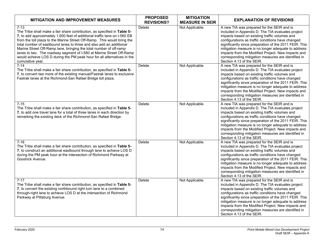| <b>MITIGATION AND IMPROVEMENT MEASURES</b>                                                                                                                                                                                                                                                                                                                                                                                                                                                                                                                       | <b>PROPOSED</b><br><b>REVISIONS?</b> | <b>MITIGATION</b><br><b>MEASURE IN SEIR</b> | <b>EXPLANATION OF REVISIONS</b>                                                                                                                                                                                                                                                                                                                                                                                                                                  |
|------------------------------------------------------------------------------------------------------------------------------------------------------------------------------------------------------------------------------------------------------------------------------------------------------------------------------------------------------------------------------------------------------------------------------------------------------------------------------------------------------------------------------------------------------------------|--------------------------------------|---------------------------------------------|------------------------------------------------------------------------------------------------------------------------------------------------------------------------------------------------------------------------------------------------------------------------------------------------------------------------------------------------------------------------------------------------------------------------------------------------------------------|
| $7 - 13$<br>The Tribe shall make a fair share contribution, as specified in Table 5-<br>7, to add approximately 1,600 feet of additional traffic lane on I-580 EB<br>from the toll plaza to the Marine Street Off-Ramp. This would bring the<br>total number of eastbound lanes to three and also add an additional<br>Marine Street Off-Ramp lane, bringing the total number of off-ramp<br>lanes to two. The roadway segment of I-580 at Marine Street Off-Ramp<br>would achieve LOS D during the PM peak hour for all alternatives in the<br>cumulative year. | Delete                               | Not Applicable.                             | A new TIA was prepared for the SEIR and is<br>included in Appendix D. The TIA evaluates project<br>impacts based on existing traffic volumes and<br>configurations as traffic conditions have changed<br>significantly since preparation of the 2011 FEIR. This<br>mitigation measure is no longer adequate to address<br>impacts from the Modified Project. New impacts and<br>corresponding mitigation measures are identified in<br>Section 4.13 of the SEIR. |
| $7 - 14$<br>The Tribe shall make a fair share contribution, as specified in Table 5-<br>7, to convert two more of the existing manual/Fastrak lanes to exclusive<br>Fastrak lanes at the Richmond-San Rafael Bridge toll plaza.                                                                                                                                                                                                                                                                                                                                  | Delete                               | Not Applicable.                             | A new TIA was prepared for the SEIR and is<br>included in Appendix D. The TIA evaluates project<br>impacts based on existing traffic volumes and<br>configurations as traffic conditions have changed<br>significantly since preparation of the 2011 FEIR. This<br>mitigation measure is no longer adequate to address<br>impacts from the Modified Project. New impacts and<br>corresponding mitigation measures are identified in<br>Section 4.13 of the SEIR. |
| $7 - 15$<br>The Tribe shall make a fair share contribution, as specified in Table 5-<br>7, to add one travel lane for a total of three lanes in each direction by<br>remarking the existing deck of the Richmond-San Rafael Bridge.                                                                                                                                                                                                                                                                                                                              | Delete                               | Not Applicable.                             | A new TIA was prepared for the SEIR and is<br>included in Appendix D. The TIA evaluates project<br>impacts based on existing traffic volumes and<br>configurations as traffic conditions have changed<br>significantly since preparation of the 2011 FEIR. This<br>mitigation measure is no longer adequate to address<br>impacts from the Modified Project. New impacts and<br>corresponding mitigation measures are identified in<br>Section 4.13 of the SEIR. |
| $7 - 16$<br>The Tribe shall make a fair share contribution, as specified in Table 5-<br>7, to construct an additional eastbound through lane to achieve LOS D<br>during the PM peak hour at the intersection of Richmond Parkway at<br>Goodrick Avenue.                                                                                                                                                                                                                                                                                                          | Delete                               | Not Applicable.                             | A new TIA was prepared for the SEIR and is<br>included in Appendix D. The TIA evaluates project<br>impacts based on existing traffic volumes and<br>configurations as traffic conditions have changed<br>significantly since preparation of the 2011 FEIR. This<br>mitigation measure is no longer adequate to address<br>impacts from the Modified Project. New impacts and<br>corresponding mitigation measures are identified in<br>Section 4.13 of the SEIR. |
| $7 - 17$<br>The Tribe shall make a fair share contribution, as specified in Table 5-<br>7, to convert the existing northbound right turn lane to a combined<br>through-right lane to achieve LOS D at the intersection of Richmond<br>Parkway at Pittsburg Avenue.                                                                                                                                                                                                                                                                                               | Delete                               | Not Applicable.                             | A new TIA was prepared for the SEIR and is<br>included in Appendix D. The TIA evaluates project<br>impacts based on existing traffic volumes and<br>configurations as traffic conditions have changed<br>significantly since preparation of the 2011 FEIR. This<br>mitigation measure is no longer adequate to address<br>impacts from the Modified Project. New impacts and<br>corresponding mitigation measures are identified in<br>Section 4.13 of the SEIR. |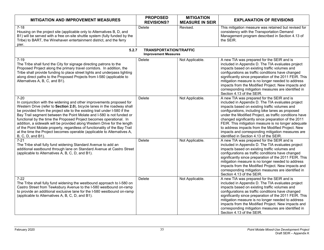| <b>MITIGATION AND IMPROVEMENT MEASURES</b>                                                                                                                                                                                                                                                                                                                                                                                                                                                                                                                                                                                                           | <b>PROPOSED</b><br><b>REVISIONS?</b>                         | <b>MITIGATION</b><br><b>MEASURE IN SEIR</b> | <b>EXPLANATION OF REVISIONS</b>                                                                                                                                                                                                                                                                                                                                                                                                                                                                                                   |
|------------------------------------------------------------------------------------------------------------------------------------------------------------------------------------------------------------------------------------------------------------------------------------------------------------------------------------------------------------------------------------------------------------------------------------------------------------------------------------------------------------------------------------------------------------------------------------------------------------------------------------------------------|--------------------------------------------------------------|---------------------------------------------|-----------------------------------------------------------------------------------------------------------------------------------------------------------------------------------------------------------------------------------------------------------------------------------------------------------------------------------------------------------------------------------------------------------------------------------------------------------------------------------------------------------------------------------|
| $7 - 18$<br>Housing on the project site (applicable only to Alternatives B, D, and<br>B1) will be served with a free on-site shuttle system (fully funded by the<br>Tribe) to BART, the Winehaven entertainment district, and the ferry<br>pier.                                                                                                                                                                                                                                                                                                                                                                                                     | Delete                                                       | Revised.                                    | This mitigation measure was retained but revised for<br>consistency with the Transportation Demand<br>Management program described in Section 4.13 of<br>the SEIR.                                                                                                                                                                                                                                                                                                                                                                |
| 5.2.7                                                                                                                                                                                                                                                                                                                                                                                                                                                                                                                                                                                                                                                | <b>TRANSPORTATION/TRAFFIC</b><br><b>Improvement Measures</b> |                                             |                                                                                                                                                                                                                                                                                                                                                                                                                                                                                                                                   |
| $7 - 19$<br>The Tribe shall fund the City for signage directing patrons to the<br>Proposed Project along the primary travel corridors. In addition, the<br>Tribe shall provide funding to place street lights and underpass lighting<br>along direct paths to the Proposed Projects from I-580 (applicable to<br>Alternatives A, B, C, and B1).                                                                                                                                                                                                                                                                                                      | Delete                                                       | Not Applicable.                             | A new TIA was prepared for the SEIR and is<br>included in Appendix D. The TIA evaluates project<br>impacts based on existing traffic volumes and<br>configurations as traffic conditions have changed<br>significantly since preparation of the 2011 FEIR. This<br>mitigation measure is no longer needed to address<br>impacts from the Modified Project. New impacts and<br>corresponding mitigation measures are identified in<br>Section 4.13 of the SEIR.                                                                    |
| $7 - 20$<br>In conjunction with the widening and other improvements proposed for<br>Western Drive (refer to Section 2.0), bicycle lanes in the roadway shall<br>be provided from the project site to the existing trail under I-580 if the<br>Bay Trail segment between the Point Molate and I-580 is not funded or<br>functional by the time the Proposed Project becomes operational. In<br>addition, a sidewalk will be provided along Western Drive for the length<br>of the Point Molate property, regardless of functionality of the Bay Trail<br>at the time the Project becomes operable (applicable to Alternatives A,<br>B, C, D, and B1). | <b>Delete</b>                                                | Not Applicable.                             | A new TIA was prepared for the SEIR and is<br>included in Appendix D. The TIA evaluates project<br>impacts based on existing traffic volumes and<br>configurations, including bike lanes as proposed<br>under the Modified Project, as traffic conditions have<br>changed significantly since preparation of the 2011<br>FEIR. This mitigation measure is no longer adequate<br>to address impacts from the Modified Project. New<br>impacts and corresponding mitigation measures are<br>identified in Section 4.13 of the SEIR. |
| $7 - 21$<br>The Tribe shall fully fund widening Standard Avenue to add an<br>additional eastbound through lane on Standard Avenue at Castro Street<br>(applicable to Alternatives A, B, C, D, and B1).                                                                                                                                                                                                                                                                                                                                                                                                                                               | <b>Delete</b>                                                | Not Applicable.                             | A new TIA was prepared for the SEIR and is<br>included in Appendix D. The TIA evaluates project<br>impacts based on existing traffic volumes and<br>configurations as traffic conditions have changed<br>significantly since preparation of the 2011 FEIR. This<br>mitigation measure is no longer needed to address<br>impacts from the Modified Project. New impacts and<br>corresponding mitigation measures are identified in<br>Section 4.13 of the SEIR.                                                                    |
| $7-22$<br>The Tribe shall fully fund widening the westbound approach to I-580 on<br>Castro Street from Tewksbury Avenue to the I-580 westbound on-ramp<br>to provide an additional exclusive lane for the I-580 westbound on-ramp<br>(applicable to Alternatives A, B, C, D, and B1).                                                                                                                                                                                                                                                                                                                                                                | Delete                                                       | Not Applicable.                             | A new TIA was prepared for the SEIR and is<br>included in Appendix D. The TIA evaluates project<br>impacts based on existing traffic volumes and<br>configurations as traffic conditions have changed<br>significantly since preparation of the 2011 FEIR. This<br>mitigation measure is no longer needed to address<br>impacts from the Modified Project. New impacts and<br>corresponding mitigation measures are identified in<br>Section 4.13 of the SEIR.                                                                    |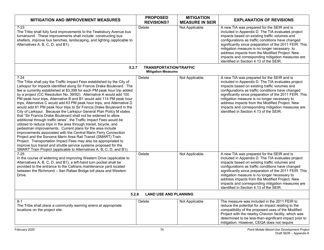| <b>MITIGATION AND IMPROVEMENT MEASURES</b>                                                                                                                                                                                                                                                                                                                                                                                                                                                                                                                                                                                                                                                                                                                                                                                                                                                                                                                                                                                                                                                                                                                                                                                                         | <b>PROPOSED</b><br><b>REVISIONS?</b>                        | <b>MITIGATION</b><br><b>MEASURE IN SEIR</b> | <b>EXPLANATION OF REVISIONS</b>                                                                                                                                                                                                                                                                                                                                                                                                                                   |  |
|----------------------------------------------------------------------------------------------------------------------------------------------------------------------------------------------------------------------------------------------------------------------------------------------------------------------------------------------------------------------------------------------------------------------------------------------------------------------------------------------------------------------------------------------------------------------------------------------------------------------------------------------------------------------------------------------------------------------------------------------------------------------------------------------------------------------------------------------------------------------------------------------------------------------------------------------------------------------------------------------------------------------------------------------------------------------------------------------------------------------------------------------------------------------------------------------------------------------------------------------------|-------------------------------------------------------------|---------------------------------------------|-------------------------------------------------------------------------------------------------------------------------------------------------------------------------------------------------------------------------------------------------------------------------------------------------------------------------------------------------------------------------------------------------------------------------------------------------------------------|--|
| $7 - 23$<br>The Tribe shall fully fund improvements to the Tewksbury Avenue bus<br>turnaround. These improvements shall include: constructing bus<br>shelters, improve bus benches, landscaping, and lighting (applicable to<br>Alternatives A, B, C, D, and B1).                                                                                                                                                                                                                                                                                                                                                                                                                                                                                                                                                                                                                                                                                                                                                                                                                                                                                                                                                                                  | Delete                                                      | Not Applicable.                             | A new TIA was prepared for the SEIR and is<br>included in Appendix D. The TIA evaluates project<br>impacts based on existing traffic volumes and<br>configurations as traffic conditions have changed<br>significantly since preparation of the 2011 FEIR. This<br>mitigation measure is no longer necessary to<br>address impacts from the Modified Project. New<br>impacts and corresponding mitigation measures are<br>identified in Section 4.13 of the SEIR. |  |
| 5.2.7                                                                                                                                                                                                                                                                                                                                                                                                                                                                                                                                                                                                                                                                                                                                                                                                                                                                                                                                                                                                                                                                                                                                                                                                                                              | <b>TRANSPORTATION/TRAFFIC</b><br><b>Mitigation Measures</b> |                                             |                                                                                                                                                                                                                                                                                                                                                                                                                                                                   |  |
| $7 - 24$<br>The Tribe shall pay the Traffic Impact Fees established by the City of<br>Larkspur for impacts identified along Sir Francis Drake Boulevard. The<br>fee is currently established at \$3,399 for each PM peak hour trip added<br>by a project (CC Resolution No. 39/92). Alternative A would add 100<br>PM peak hour trips, Alternative B and B1 would add 114 PM peak hour<br>trips, Alternative C would add 63 PM peak hour trips, and Alternative D<br>would add 61 PM peak hour trips to Sir Francis Drake Boulevard in the<br>City of Larkspur. Because the Larkspur General Plan Policy M states<br>that "Sir Francis Drake Boulevard shall not be widened to allow<br>additional through traffic lanes", the Traffic Impact Fees would be<br>utilized to reduce trips in the area through transit, bicycle, and<br>pedestrian improvements. Current plans for the area include<br>improvements associated with the Central Marin Ferry Connection<br>Project and the Sonoma Marin Area Rail Transit (SMART) Train<br>Project. Transportation Impact Fees may also be appropriated to<br>improve bus transit and shuttle service systems proposed for the<br>SMART Train Project (applicable to Alternatives A, B, C, D, and B1). | Delete                                                      | Not Applicable.                             | A new TIA was prepared for the SEIR and is<br>included in Appendix D. The TIA evaluates project<br>impacts based on existing traffic volumes and<br>configurations as traffic conditions have changed<br>significantly since preparation of the 2011 FEIR. This<br>mitigation measure is no longer necessary to<br>address impacts from the Modified Project. New<br>impacts and corresponding mitigation measures are<br>identified in Section 4.13 of the SEIR. |  |
| $7 - 25$<br>In the course of widening and improving Western Drive (applicable to<br>Alternatives A, B, C, D, and B1), a left-hand turn pocket shall be<br>provided to the entrance to the Caltrans maintenance yard located<br>between the Richmond - San Rafael Bridge toll plaza and Western<br>Drive.                                                                                                                                                                                                                                                                                                                                                                                                                                                                                                                                                                                                                                                                                                                                                                                                                                                                                                                                           | Delete                                                      | Not Applicable.                             | A new TIA was prepared for the SEIR and is<br>included in Appendix D. The TIA evaluates project<br>impacts based on existing traffic volumes and<br>configurations as traffic conditions have changed<br>significantly since preparation of the 2011 FEIR. This<br>mitigation measure is no longer necessary to<br>address impacts from the Modified Project. New<br>impacts and corresponding mitigation measures are<br>identified in Section 4.13 of the SEIR. |  |
| 5.2.8<br><b>LAND USE AND PLANNING</b>                                                                                                                                                                                                                                                                                                                                                                                                                                                                                                                                                                                                                                                                                                                                                                                                                                                                                                                                                                                                                                                                                                                                                                                                              |                                                             |                                             |                                                                                                                                                                                                                                                                                                                                                                                                                                                                   |  |
| $8 - 1$<br>The Tribe shall place a community warning sirens at appropriate<br>locations on the project site.                                                                                                                                                                                                                                                                                                                                                                                                                                                                                                                                                                                                                                                                                                                                                                                                                                                                                                                                                                                                                                                                                                                                       | Delete                                                      | Not Applicable                              | The measure was included in the 2011 FEIR to<br>reduce the potential for an impact relating to the<br>compatibility of the proposed uses of the Modified<br>Project with the nearby Chevron facility, which was<br>determined to be less-than-significant impact prior to<br>mitigation. However, CEQA does not require                                                                                                                                           |  |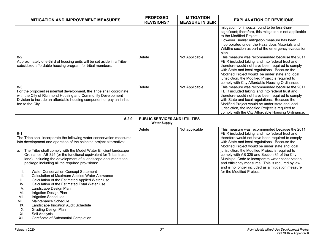| <b>MITIGATION AND IMPROVEMENT MEASURES</b>                                                                                                                                                                                                                                                                                                                                                                                                                                                                                                                                                                                                                                                                                                                                                                                                                                                                                                  | <b>PROPOSED</b><br><b>REVISIONS?</b>                 | <b>MITIGATION</b><br><b>MEASURE IN SEIR</b> | <b>EXPLANATION OF REVISIONS</b>                                                                                                                                                                                                                                                                                                                                                                                                                                                                                                                           |
|---------------------------------------------------------------------------------------------------------------------------------------------------------------------------------------------------------------------------------------------------------------------------------------------------------------------------------------------------------------------------------------------------------------------------------------------------------------------------------------------------------------------------------------------------------------------------------------------------------------------------------------------------------------------------------------------------------------------------------------------------------------------------------------------------------------------------------------------------------------------------------------------------------------------------------------------|------------------------------------------------------|---------------------------------------------|-----------------------------------------------------------------------------------------------------------------------------------------------------------------------------------------------------------------------------------------------------------------------------------------------------------------------------------------------------------------------------------------------------------------------------------------------------------------------------------------------------------------------------------------------------------|
|                                                                                                                                                                                                                                                                                                                                                                                                                                                                                                                                                                                                                                                                                                                                                                                                                                                                                                                                             |                                                      |                                             | mitigation for impacts found to be less-than-<br>significant; therefore, this mitigation is not applicable<br>to the Modified Project.<br>However, similar mitigation measure has been<br>incorporated under the Hazardous Materials and<br>Wildfire section as part of the emergency evacuation<br>plan.                                                                                                                                                                                                                                                 |
| $8-2$<br>Approximately one-third of housing units will be set aside in a Tribe-<br>subsidized affordable housing program for tribal members.                                                                                                                                                                                                                                                                                                                                                                                                                                                                                                                                                                                                                                                                                                                                                                                                | Delete                                               | Not Applicable                              | This measure was recommended because the 2011<br>FEIR included taking land into federal trust and<br>therefore would not have been required to comply<br>with State and local regulations. Because the<br>Modified Project would be under state and local<br>jurisdiction, the Modified Project is required to<br>comply with City Affordable Housing Ordinance.                                                                                                                                                                                          |
| $8-3$<br>For the proposed residential development, the Tribe shall coordinate<br>with the City of Richmond Housing and Community Development<br>Division to include an affordable housing component or pay an in-lieu<br>fee to the City.                                                                                                                                                                                                                                                                                                                                                                                                                                                                                                                                                                                                                                                                                                   | Delete                                               | Not Applicable                              | This measure was recommended because the 2011<br>FEIR included taking land into federal trust and<br>therefore would not have been required to comply<br>with State and local regulations. Because the<br>Modified Project would be under state and local<br>jurisdiction, the Modified Project is required to<br>comply with the City Affordable Housing Ordinance.                                                                                                                                                                                      |
| 5.2.9                                                                                                                                                                                                                                                                                                                                                                                                                                                                                                                                                                                                                                                                                                                                                                                                                                                                                                                                       | PUBLIC SERVICES AND UTILITIES<br><b>Water Supply</b> |                                             |                                                                                                                                                                                                                                                                                                                                                                                                                                                                                                                                                           |
| $9 - 1$<br>The Tribe shall incorporate the following water conservation measures<br>into development and operation of the selected project alternative:<br>The Tribe shall comply with the Model Water Efficient landscape<br>а.<br>Ordinance, AB 325 (or the functional equivalent for Tribal trust<br>land), including the development of a landscape documentation<br>package including all the required provisions:<br>Water Conservation Concept Statement<br>I.<br>Calculation of Maximum Applied Water Allowance<br>Ш.<br>Calculation of the Estimated Applied Water Use<br>III.<br>Calculation of the Estimated Total Water Use<br>IV.<br>V.<br>Landscape Design Plan<br>Irrigation Design Plan<br>VI.<br>Irrigation Schedules<br>VII.<br>Maintenance Schedule<br>VIII.<br>Landscape Irrigation Audit Schedule<br>IX.<br><b>Grading Design Plan</b><br>Χ.<br>XI.<br>Soil Analysis<br>XII.<br>Certificate of Substantial Completion. | Delete                                               | Not applicable                              | This measure was recommended because the 2011<br>FEIR included taking land into federal trust and<br>therefore would not have been required to comply<br>with State and local regulations. Because the<br>Modified Project would be under state and local<br>jurisdiction, the Modified Project is required to<br>comply with AB 325 and Section 31 of the City<br>Municipal Code to incorporate water conservation<br>and efficiency measures. This is required by law<br>and is no longer included as a mitigation measure<br>for the Modified Project. |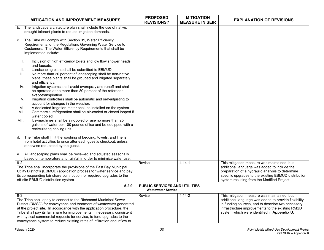| <b>MITIGATION AND IMPROVEMENT MEASURES</b>                                                                                                                                                                                                                                                                                                                                                                                                                      | <b>PROPOSED</b><br><b>REVISIONS?</b>                              | <b>MITIGATION</b><br><b>MEASURE IN SEIR</b> | <b>EXPLANATION OF REVISIONS</b>                                                                                                                                                                                                                             |
|-----------------------------------------------------------------------------------------------------------------------------------------------------------------------------------------------------------------------------------------------------------------------------------------------------------------------------------------------------------------------------------------------------------------------------------------------------------------|-------------------------------------------------------------------|---------------------------------------------|-------------------------------------------------------------------------------------------------------------------------------------------------------------------------------------------------------------------------------------------------------------|
| The landscape architecture plan shall include the use of native,<br>b.<br>drought tolerant plants to reduce irrigation demands.                                                                                                                                                                                                                                                                                                                                 |                                                                   |                                             |                                                                                                                                                                                                                                                             |
| The Tribe will comply with Section 31, Water Efficiency<br>C.<br>Requirements, of the Regulations Governing Water Service to<br>Customers. The Water Efficiency Requirements that shall be<br>implemented include:                                                                                                                                                                                                                                              |                                                                   |                                             |                                                                                                                                                                                                                                                             |
| Inclusion of high efficiency toilets and low flow shower heads<br>I.<br>and faucets.<br>Ш.<br>Landscaping plans shall be submitted to EBMUD.<br>No more than 20 percent of landscaping shall be non-native<br>III.<br>plans, these plants shall be grouped and irrigated separately                                                                                                                                                                             |                                                                   |                                             |                                                                                                                                                                                                                                                             |
| and efficiently.<br>Irrigation systems shall avoid overspray and runoff and shall<br>IV.<br>be operated at no more than 80 percent of the reference<br>evapotranspiration.<br>Irrigation controllers shall be automatic and self-adjusting to<br>V.                                                                                                                                                                                                             |                                                                   |                                             |                                                                                                                                                                                                                                                             |
| account for changes in the weather.<br>A dedicated irrigation meter shall be installed on the system.<br>VI.<br>VII.<br>Commercial refrigeration shall be air-cooled or closed looped if<br>water cooled.<br>VIII.<br>Ice-machines shall be air-cooled or use no more than 25<br>gallons of water per 100 pounds of ice and be equipped with a                                                                                                                  |                                                                   |                                             |                                                                                                                                                                                                                                                             |
| recirculating cooling unit.<br>d. The Tribe shall limit the washing of bedding, towels, and linens<br>from hotel activities to once after each guest's checkout, unless<br>otherwise requested by the guest.                                                                                                                                                                                                                                                    |                                                                   |                                             |                                                                                                                                                                                                                                                             |
| All landscaping plans shall be reviewed and adjusted seasonally<br>е.<br>based on temperature and rainfall in order to minimize water use.                                                                                                                                                                                                                                                                                                                      |                                                                   |                                             |                                                                                                                                                                                                                                                             |
| $9-2$<br>The Tribe shall incorporate the provisions of the East Bay Municipal<br>Utility District's (EBMUD) application process for water service and pay<br>its corresponding fair share contribution for required upgrades to the<br>off-site EBMUD distribution system.                                                                                                                                                                                      | Revise                                                            | $4.14 - 1$                                  | This mitigation measure was maintained, but<br>additional language was added to include the<br>preparation of a hydraulic analysis to determine<br>specific upgrades to the existing EBMUD distribution<br>system resulting from the Modified Project.      |
| 5.2.9                                                                                                                                                                                                                                                                                                                                                                                                                                                           | <b>PUBLIC SERVICES AND UTILITIES</b><br><b>Wastewater Service</b> |                                             |                                                                                                                                                                                                                                                             |
| $9 - 3$<br>The Tribe shall apply to connect to the Richmond Municipal Sewer<br>District (RMSD) for conveyance and treatment of wastewater generated<br>at the project site. In accordance with the application procedure, the<br>Tribe shall pay its fair share for improvements, if necessary, consistent<br>with typical commercial requests for service, to fund upgrades to the<br>conveyance system to reduce existing rates of infiltration and inflow to | Revise                                                            | 4.14-2                                      | This mitigation measure was maintained, but<br>additional language was added to provide flexibility<br>in funding sources, and to describe two necessary<br>infrastructure improvements to the existing RMSD<br>system which were identified in Appendix U. |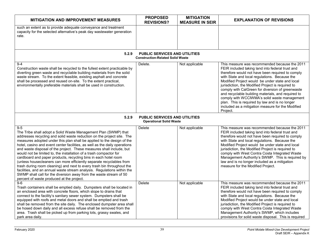| <b>MITIGATION AND IMPROVEMENT MEASURES</b>                                                                                                                                                                                                                                                                                                                                                                                                                                                                                                                                                                                                                                                                                                                                                                                                                                  | <b>PROPOSED</b><br><b>REVISIONS?</b>                                            | <b>MITIGATION</b><br><b>MEASURE IN SEIR</b> | <b>EXPLANATION OF REVISIONS</b>                                                                                                                                                                                                                                                                                                                                                                                                                                                                                                                                                             |
|-----------------------------------------------------------------------------------------------------------------------------------------------------------------------------------------------------------------------------------------------------------------------------------------------------------------------------------------------------------------------------------------------------------------------------------------------------------------------------------------------------------------------------------------------------------------------------------------------------------------------------------------------------------------------------------------------------------------------------------------------------------------------------------------------------------------------------------------------------------------------------|---------------------------------------------------------------------------------|---------------------------------------------|---------------------------------------------------------------------------------------------------------------------------------------------------------------------------------------------------------------------------------------------------------------------------------------------------------------------------------------------------------------------------------------------------------------------------------------------------------------------------------------------------------------------------------------------------------------------------------------------|
| such an extent as to provide adequate conveyance and treatment<br>capacity for the selected alternative's peak day wastewater generation<br>rate.                                                                                                                                                                                                                                                                                                                                                                                                                                                                                                                                                                                                                                                                                                                           |                                                                                 |                                             |                                                                                                                                                                                                                                                                                                                                                                                                                                                                                                                                                                                             |
| 5.2.9                                                                                                                                                                                                                                                                                                                                                                                                                                                                                                                                                                                                                                                                                                                                                                                                                                                                       | <b>PUBLIC SERVICES AND UTILITIES</b><br><b>Construction-Related Solid Waste</b> |                                             |                                                                                                                                                                                                                                                                                                                                                                                                                                                                                                                                                                                             |
| $9 - 4$<br>Construction waste shall be recycled to the fullest extent practicable by<br>diverting green waste and recyclable building materials from the solid<br>waste stream. To the extent feasible, existing asphalt and concrete<br>shall be processed and reused on-site. To the extent practical,<br>environmentally preferable materials shall be used in construction.                                                                                                                                                                                                                                                                                                                                                                                                                                                                                             | Delete.                                                                         | Not applicable                              | This measure was recommended because the 2011<br>FEIR included taking land into federal trust and<br>therefore would not have been required to comply<br>with State and local regulations. Because the<br>Modified Project would be under state and local<br>jurisdiction, the Modified Project is required to<br>comply with CalGreen for diversion of greenwaste<br>and recyclable building materials, and required to<br>comply with WCCIWMA's solid waste management<br>plan. This is required by law and is no longer<br>included as a mitigation measure for the Modified<br>Project. |
| 5.2.9                                                                                                                                                                                                                                                                                                                                                                                                                                                                                                                                                                                                                                                                                                                                                                                                                                                                       | <b>PUBLIC SERVICES AND UTILITIES</b><br><b>Operational Solid Waste</b>          |                                             |                                                                                                                                                                                                                                                                                                                                                                                                                                                                                                                                                                                             |
| $9-5$<br>The Tribe shall adopt a Solid Waste Management Plan (SWMP) that<br>addresses recycling and solid waste reduction on the project site. The<br>measures adopted under this plan shall be applied to the design of the<br>hotel, casino and event center facilities, as well as the daily operations<br>and waste disposal of the project. These measures shall include, but<br>would not be limited to, the installation of a trash compactor for<br>cardboard and paper products, recycling bins in each hotel room<br>(unless housecleaners can more efficiently separate recyclables from<br>trash during room cleaning) and next to every trash bin throughout the<br>facilities, and an annual waste stream analysis. Regulations within the<br>SWMP shall call for the diversion away from the waste stream of 50<br>percent of waste produced at the project. | Delete                                                                          | Not applicable                              | This measure was recommended because the 2011<br>FEIR included taking land into federal trust and<br>therefore would not have been required to comply<br>with State and local regulations. Because the<br>Modified Project would be under state and local<br>jurisdiction, the Modified Project is required to<br>comply with West Contra Costa Integrated Waste<br>Management Authority's SWMP. This is required by<br>law and is no longer included as a mitigation<br>measure for the Modified Project.                                                                                  |
| $9-6$<br>Trash containers shall be emptied daily. Dumpsters shall be located in<br>an enclosed area with concrete floors, which slope to drains that<br>connect to the facility's sanitary sewer system. Dumpsters shall be<br>equipped with roofs and metal doors and shall be emptied and trash<br>shall be removed from the site daily. The enclosed dumpster area shall<br>be hosed down daily and all excess refuse shall be removed from the<br>area. Trash shall be picked up from parking lots, grassy swales, and<br>park area daily.                                                                                                                                                                                                                                                                                                                              | Delete                                                                          | Not applicable                              | This measure was recommended because the 2011<br>FEIR included taking land into federal trust and<br>therefore would not have been required to comply<br>with State and local regulations. Because the<br>Modified Project would be under state and local<br>jurisdiction, the Modified Project is required to<br>comply with West Contra Costa Integrated Waste<br>Management Authority's SWMP, which includes<br>provisions for solid waste disposal. This is required                                                                                                                    |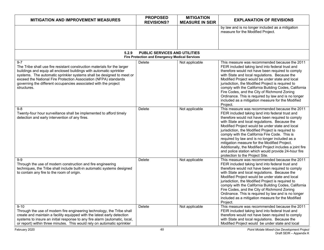| <b>MITIGATION AND IMPROVEMENT MEASURES</b>                                                                                                                                                                                                                                                                                                                                                | <b>PROPOSED</b><br><b>REVISIONS?</b>                                                   | <b>MITIGATION</b><br><b>MEASURE IN SEIR</b> | <b>EXPLANATION OF REVISIONS</b>                                                                                                                                                                                                                                                                                                                                                                                                                                                                                                                                                                                         |
|-------------------------------------------------------------------------------------------------------------------------------------------------------------------------------------------------------------------------------------------------------------------------------------------------------------------------------------------------------------------------------------------|----------------------------------------------------------------------------------------|---------------------------------------------|-------------------------------------------------------------------------------------------------------------------------------------------------------------------------------------------------------------------------------------------------------------------------------------------------------------------------------------------------------------------------------------------------------------------------------------------------------------------------------------------------------------------------------------------------------------------------------------------------------------------------|
|                                                                                                                                                                                                                                                                                                                                                                                           |                                                                                        |                                             | by law and is no longer included as a mitigation<br>measure for the Modified Project.                                                                                                                                                                                                                                                                                                                                                                                                                                                                                                                                   |
| 5.2.9                                                                                                                                                                                                                                                                                                                                                                                     | PUBLIC SERVICES AND UTILITIES<br><b>Fire Protection and Emergency Medical Services</b> |                                             |                                                                                                                                                                                                                                                                                                                                                                                                                                                                                                                                                                                                                         |
| $9 - 7$<br>The Tribe shall use fire resistant construction materials for the larger<br>buildings and equip all enclosed buildings with automatic sprinkler<br>systems. The automatic sprinkler systems shall be designed to meet or<br>exceed the National Fire Protection Association (NFPA) standards<br>governing the different occupancies associated with the project<br>structures. | Delete                                                                                 | Not applicable                              | This measure was recommended because the 2011<br>FEIR included taking land into federal trust and<br>therefore would not have been required to comply<br>with State and local regulations. Because the<br>Modified Project would be under state and local<br>jurisdiction, the Modified Project is required to<br>comply with the California Building Codes, California<br>Fire Codes, and the City of Richmond Zoning<br>Ordinance. This is required by law and is no longer<br>included as a mitigation measure for the Modified<br>Project.                                                                          |
| 9-8<br>Twenty-four hour surveillance shall be implemented to afford timely<br>detection and early intervention of any fires.                                                                                                                                                                                                                                                              | Delete                                                                                 | Not applicable                              | This measure was recommended because the 2011<br>FEIR included taking land into federal trust and<br>therefore would not have been required to comply<br>with State and local regulations. Because the<br>Modified Project would be under state and local<br>jurisdiction, the Modified Project is required to<br>comply with the California Fire Code. This is<br>required by law and is no longer included as a<br>mitigation measure for the Modified Project.<br>Additionally, the Modified Project includes a joint fire<br>and police station which would provide 24-hour fire<br>protection to the Project Site. |
| 9-9<br>Through the use of modern construction and fire engineering<br>techniques, the Tribe shall include built-in automatic systems designed<br>to contain any fire to the room of origin.                                                                                                                                                                                               | Delete                                                                                 | Not applicable                              | This measure was recommended because the 2011<br>FEIR included taking land into federal trust and<br>therefore would not have been required to comply<br>with State and local regulations. Because the<br>Modified Project would be under state and local<br>jurisdiction, the Modified Project is required to<br>comply with the California Building Codes, California<br>Fire Codes, and the City of Richmond Zoning<br>Ordinance. This is required by law and is no longer<br>included as a mitigation measure for the Modified<br>Project.                                                                          |
| $9 - 10$<br>Through the use of modern fire engineering technology, the Tribe shall<br>create and maintain a facility equipped with the latest early detection<br>systems to insure an initial response to any fire alarm (automatic, local,<br>or report) within three minutes. This would rely on automatic sprinkler                                                                    | Delete                                                                                 | Not applicable                              | This measure was recommended because the 2011<br>FEIR included taking land into federal trust and<br>therefore would not have been required to comply<br>with State and local regulations. Because the<br>Modified Project would be under state and local                                                                                                                                                                                                                                                                                                                                                               |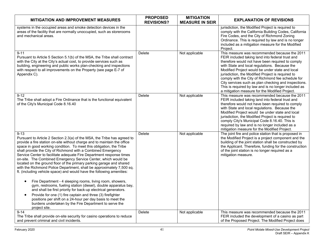| MITIGATION AND IMPROVEMENT MEASURES                                                                                                                                                                                                                                                                                                                                                                                                                                                                                                                                                                                                                                                                                                                                                                                                                                                                                                                                                                                                                                                                            | <b>PROPOSED</b><br><b>REVISIONS?</b> | <b>MITIGATION</b><br><b>MEASURE IN SEIR</b> | <b>EXPLANATION OF REVISIONS</b>                                                                                                                                                                                                                                                                                                                                                                                                                                                                                                       |
|----------------------------------------------------------------------------------------------------------------------------------------------------------------------------------------------------------------------------------------------------------------------------------------------------------------------------------------------------------------------------------------------------------------------------------------------------------------------------------------------------------------------------------------------------------------------------------------------------------------------------------------------------------------------------------------------------------------------------------------------------------------------------------------------------------------------------------------------------------------------------------------------------------------------------------------------------------------------------------------------------------------------------------------------------------------------------------------------------------------|--------------------------------------|---------------------------------------------|---------------------------------------------------------------------------------------------------------------------------------------------------------------------------------------------------------------------------------------------------------------------------------------------------------------------------------------------------------------------------------------------------------------------------------------------------------------------------------------------------------------------------------------|
| systems in the occupied areas and smoke detection devices in the<br>areas of the facility that are normally unoccupied, such as storerooms<br>and mechanical areas.                                                                                                                                                                                                                                                                                                                                                                                                                                                                                                                                                                                                                                                                                                                                                                                                                                                                                                                                            |                                      |                                             | jurisdiction, the Modified Project is required to<br>comply with the California Building Codes, California<br>Fire Codes, and the City of Richmond Zoning<br>Ordinance. This is required by law and is no longer<br>included as a mitigation measure for the Modified<br>Project.                                                                                                                                                                                                                                                     |
| $9 - 11$<br>Pursuant to Article 5 Section 5.1(b) of the MSA, the Tribe shall contract<br>with the City at the City's actual cost, to provide services such as<br>building, engineering and public works plan-checking and inspections<br>with respect to all improvements on the Property (see page E-7 of<br>Appendix C).                                                                                                                                                                                                                                                                                                                                                                                                                                                                                                                                                                                                                                                                                                                                                                                     | Delete                               | Not applicable                              | This measure was recommended because the 2011<br>FEIR included taking land into federal trust and<br>therefore would not have been required to comply<br>with State and local regulations. Because the<br>Modified Project would be under state and local<br>jurisdiction, the Modified Project is required to<br>comply with the City of Richmond fee schedule for<br>City services such as plan checking and inspections.<br>This is required by law and is no longer included as<br>a mitigation measure for the Modified Project. |
| $9 - 12$<br>The Tribe shall adopt a Fire Ordinance that is the functional equivalent<br>of the City's Municipal Code 8.16.40                                                                                                                                                                                                                                                                                                                                                                                                                                                                                                                                                                                                                                                                                                                                                                                                                                                                                                                                                                                   | Delete                               | Not applicable                              | This measure was recommended because the 2011<br>FEIR included taking land into federal trust and<br>therefore would not have been required to comply<br>with State and local regulations. Because the<br>Modified Project would be under state and local<br>jurisdiction, the Modified Project is required to<br>comply City's Municipal Code 8.16.40. This is<br>required by law and is no longer included as a<br>mitigation measure for the Modified Project.                                                                     |
| $9 - 13$<br>Pursuant to Article 2 Section 2.3(a) of the MSA, the Tribe has agreed to<br>provide a fire station on-site without charge and to maintain the office<br>space in good working condition. To meet this obligation, the Tribe<br>shall provide the City of Richmond with a Combined Emergency<br>Service Center to facilitate adequate Fire Department response times<br>on-site. The Combined Emergency Service Center, which would be<br>located on the ground floor of the primary parking garage and shared<br>with the Richmond Police Department, shall be approximately 7,500 sq.<br>ft. (including vehicle space) and would have the following amenities:<br>Fire Department - 4 sleeping rooms, living room, showers,<br>$\bullet$<br>gym, restrooms, fueling station (diesel), double apparatus bay,<br>and shall be first priority for back-up electrical generators.<br>Provide for one (1) fire captain and three (3) firefighter<br>$\bullet$<br>positions per shift on a 24-hour per day basis to meet the<br>burdens undertaken by the Fire Department to serve the<br>project site. | Delete                               | Not applicable                              | The joint fire and police station that is proposed in<br>the Modified Project is a project component and the<br>building of the joint station shall be constructed by<br>the Applicant. Therefore, funding for the construction<br>of the joint station is no longer required as a<br>mitigation measure.                                                                                                                                                                                                                             |
| $9 - 14$<br>The Tribe shall provide on-site security for casino operations to reduce<br>and prevent criminal and civil incidents.                                                                                                                                                                                                                                                                                                                                                                                                                                                                                                                                                                                                                                                                                                                                                                                                                                                                                                                                                                              | <b>Delete</b>                        | Not applicable                              | This measure was recommended because the 2011<br>FEIR included the development of a casino as part<br>of the Proposed Project. The Modified Project does                                                                                                                                                                                                                                                                                                                                                                              |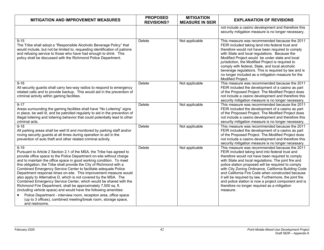| <b>MITIGATION AND IMPROVEMENT MEASURES</b>                                                                                                                                                                                                                                                                                                                                                                                                                                                                                                                                                                                                                                                                                                                                                                                                                                                | <b>PROPOSED</b><br><b>REVISIONS?</b> | <b>MITIGATION</b><br><b>MEASURE IN SEIR</b> | <b>EXPLANATION OF REVISIONS</b>                                                                                                                                                                                                                                                                                                                                                                                                                                                                                                                                 |
|-------------------------------------------------------------------------------------------------------------------------------------------------------------------------------------------------------------------------------------------------------------------------------------------------------------------------------------------------------------------------------------------------------------------------------------------------------------------------------------------------------------------------------------------------------------------------------------------------------------------------------------------------------------------------------------------------------------------------------------------------------------------------------------------------------------------------------------------------------------------------------------------|--------------------------------------|---------------------------------------------|-----------------------------------------------------------------------------------------------------------------------------------------------------------------------------------------------------------------------------------------------------------------------------------------------------------------------------------------------------------------------------------------------------------------------------------------------------------------------------------------------------------------------------------------------------------------|
|                                                                                                                                                                                                                                                                                                                                                                                                                                                                                                                                                                                                                                                                                                                                                                                                                                                                                           |                                      |                                             | not include a casino development and therefore this<br>security mitigation measure is no longer necessary.                                                                                                                                                                                                                                                                                                                                                                                                                                                      |
| $9 - 15$<br>The Tribe shall adopt a "Responsible Alcoholic Beverage Policy" that<br>would include, but not be limited to, requesting identification of patrons<br>and refusing service to those who have had enough to drink. This<br>policy shall be discussed with the Richmond Police Department.                                                                                                                                                                                                                                                                                                                                                                                                                                                                                                                                                                                      | Delete                               | Not applicable                              | This measure was recommended because the 2011<br>FEIR included taking land into federal trust and<br>therefore would not have been required to comply<br>with State and local regulations. Because the<br>Modified Project would be under state and local<br>jurisdiction, the Modified Project is required to<br>comply with federal, State, and local alcoholic<br>beverage regulations. This is required by law and is<br>no longer included as a mitigation measure for the<br>Modified Project.                                                            |
| $9 - 16$<br>All security guards shall carry two-way radios to respond to emergency<br>related calls and to provide backup. This would aid in the prevention of<br>criminal activity within gaming facilities.                                                                                                                                                                                                                                                                                                                                                                                                                                                                                                                                                                                                                                                                             | Delete                               | Not applicable                              | This measure was recommended because the 2011<br>FEIR included the development of a casino as part<br>of the Proposed Project. The Modified Project does<br>not include a casino development and therefore this<br>security mitigation measure is no longer necessary.                                                                                                                                                                                                                                                                                          |
| $9 - 17$<br>Areas surrounding the gaming facilities shall have "No Loitering" signs<br>in place, be well lit, and be patrolled regularly to aid in the prevention of<br>illegal loitering and loitering behavior that could potentially lead to other<br>criminal acts.                                                                                                                                                                                                                                                                                                                                                                                                                                                                                                                                                                                                                   | Delete                               | Not applicable                              | This measure was recommended because the 2011<br>FEIR included the development of a casino as part<br>of the Proposed Project. The Modified Project does<br>not include a casino development and therefore this<br>security mitigation measure is no longer necessary.                                                                                                                                                                                                                                                                                          |
| $9 - 18$<br>All parking areas shall be well lit and monitored by parking staff and/or<br>roving security guards at all times during operation to aid in the<br>prevention of auto theft and other related criminal activity.                                                                                                                                                                                                                                                                                                                                                                                                                                                                                                                                                                                                                                                              | Delete                               | Not applicable                              | This measure was recommended because the 2011<br>FEIR included the development of a casino as part<br>of the Proposed Project. The Modified Project does<br>not include a casino development and therefore this<br>security mitigation measure is no longer necessary.                                                                                                                                                                                                                                                                                          |
| $9 - 19$<br>Pursuant to Article 2 Section 2.1 of the MSA, the Tribe has agreed to<br>provide office space to the Police Department on-site without charge<br>and to maintain the office space in good working condition. To meet<br>this obligation, the Tribe shall provide the City of Richmond with a<br>Combined Emergency Service Center to facilitate adequate Police<br>Department response times on-site. This improvement measure would<br>also apply to Alternative D, which is not covered by the MSA. The<br>Combined Emergency Service Center, which would be shared with the<br>Richmond Fire Department, shall be approximately 7,500 sq. ft.<br>(including vehicle space) and would have the following amenities:<br>Police Department - interview room, reception area, office space<br>(up to 3 offices), combined meeting/break room, storage space,<br>and restrooms. | Delete                               | Not applicable                              | This measure was recommended because the 2011<br>FEIR included taking land into federal trust and<br>therefore would not have been required to comply<br>with State and local regulations. The joint fire and<br>police station proposed will be required to comply<br>with City Zoning Ordinance, California Building Code<br>and California Fire Code when constructed because<br>it will be required by law. Furthermore, the joint fire<br>and police station is now a project component and is<br>therefore no longer required as a mitigation<br>measure. |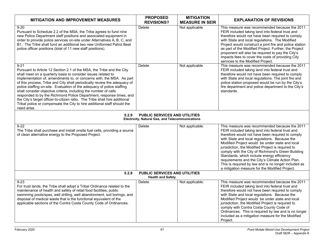| <b>MITIGATION AND IMPROVEMENT MEASURES</b>                                                                                                                                                                                                                                                                                                                                                                                                                                                                                                                                                                                                                                                             | <b>PROPOSED</b><br><b>REVISIONS?</b>                             | <b>MITIGATION</b><br><b>MEASURE IN SEIR</b> | <b>EXPLANATION OF REVISIONS</b>                                                                                                                                                                                                                                                                                                                                                                                                                                                                                                                                                 |  |  |  |
|--------------------------------------------------------------------------------------------------------------------------------------------------------------------------------------------------------------------------------------------------------------------------------------------------------------------------------------------------------------------------------------------------------------------------------------------------------------------------------------------------------------------------------------------------------------------------------------------------------------------------------------------------------------------------------------------------------|------------------------------------------------------------------|---------------------------------------------|---------------------------------------------------------------------------------------------------------------------------------------------------------------------------------------------------------------------------------------------------------------------------------------------------------------------------------------------------------------------------------------------------------------------------------------------------------------------------------------------------------------------------------------------------------------------------------|--|--|--|
| $9 - 20$<br>Pursuant to Schedule 2.2 of the MSA, the Tribe agrees to fund nine<br>new Police Department staff positions and associated equipment in<br>order to provide police services on-site under Alternatives A, B, C, and<br>B1. The Tribe shall fund an additional two new Uniformed Patrol Beat<br>police officer positions (total of 11 new staff positions).                                                                                                                                                                                                                                                                                                                                 | Delete                                                           | Not applicable                              | This measure was recommended because the 2011<br>FEIR included taking land into federal trust and<br>therefore would not have been required to comply<br>with State and local regulations. The Modified<br>Project would construct a joint fire and police station<br>as part of the Modified Project. Further, the Project<br>proponent will also be required to pay the City's<br>impacts fees to cover the costs of providing City<br>services to the Modified Project.                                                                                                      |  |  |  |
| $9 - 21$<br>Pursuant to Article 12 Section 2.1 of the MSA, the Tribe and the City<br>shall meet on a quarterly basis to consider issues related to<br>implementation of, amendments to, or concerns with, the MSA. As part<br>of this process, Tribe and City shall periodically review the adequacy of<br>police staffing on-site. Evaluation of the adequacy of police staffing<br>shall consider objective criteria, including the number of calls<br>responded to by the Richmond Police Department, response times, and<br>the City's target officer-to-citizen ratio. The Tribe shall hire additional<br>Tribal police or compensate the City to hire additional staff should the<br>need arise. | <b>Delete</b>                                                    | Not applicable                              | This measure was recommended because the 2011<br>FEIR included taking land into federal trust and<br>therefore would not have been required to comply<br>with State and local regulations. The joint fire and<br>police station proposed would be run by the City's<br>fire department and police department to the City's<br>standards.                                                                                                                                                                                                                                        |  |  |  |
| 5.2.9<br><b>PUBLIC SERVICES AND UTILITIES</b><br>Electricity, Natural Gas, and Telecommunications                                                                                                                                                                                                                                                                                                                                                                                                                                                                                                                                                                                                      |                                                                  |                                             |                                                                                                                                                                                                                                                                                                                                                                                                                                                                                                                                                                                 |  |  |  |
| $9 - 22$<br>The Tribe shall purchase and install onsite fuel cells, providing a source<br>of clean alternative energy to the Proposed Project.                                                                                                                                                                                                                                                                                                                                                                                                                                                                                                                                                         | <b>Delete</b>                                                    | Not applicable.                             | This measure was recommended because the 2011<br>FEIR included taking land into federal trust and<br>therefore would not have been required to comply<br>with State and local regulations. Because the<br>Modified Project would be under state and local<br>jurisdiction, the Modified Project is required to<br>comply with the City of Richmond's Green Building<br>Standards, which include energy efficiency<br>requirements and the City's Climate Action Plan.<br>This is required by law and is no longer included as<br>a mitigation measure for the Modified Project. |  |  |  |
| 5.2.9                                                                                                                                                                                                                                                                                                                                                                                                                                                                                                                                                                                                                                                                                                  | <b>PUBLIC SERVICES AND UTILITIES</b><br><b>Health and Safety</b> |                                             |                                                                                                                                                                                                                                                                                                                                                                                                                                                                                                                                                                                 |  |  |  |
| $9 - 23$<br>For trust lands, the Tribe shall adopt a Tribal Ordinance related to the<br>maintenance of health and safety of retail food facilities, public<br>swimming pools/spas, well drilling, well abandonment, soil borings, and<br>disposal of medical waste that is the functional equivalent of the<br>applicable sections of the Contra Costa County Code of Ordinances.                                                                                                                                                                                                                                                                                                                      | Delete                                                           | Not applicable.                             | This measure was recommended because the 2011<br>FEIR included taking land into federal trust and<br>therefore would not have been required to comply<br>with State and local regulations. Because the<br>Modified Project would be under state and local<br>jurisdiction, the Modified Project is required to<br>comply with Contra Costa County Code of<br>Ordinances. This is required by law and is no longer<br>included as a mitigation measure for the Modified<br>Project.                                                                                              |  |  |  |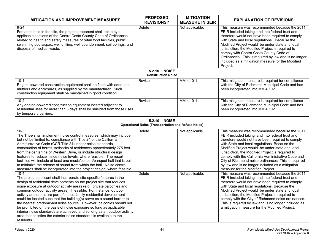| <b>MITIGATION AND IMPROVEMENT MEASURES</b>                                                                                                                                                                                                                                                                                                                                                                                                                                                                                                                                                                                                                                                                                                                                | <b>PROPOSED</b><br><b>REVISIONS?</b>                                       | <b>MITIGATION</b><br><b>MEASURE IN SEIR</b> | <b>EXPLANATION OF REVISIONS</b>                                                                                                                                                                                                                                                                                                                                                                                                                                                                                      |
|---------------------------------------------------------------------------------------------------------------------------------------------------------------------------------------------------------------------------------------------------------------------------------------------------------------------------------------------------------------------------------------------------------------------------------------------------------------------------------------------------------------------------------------------------------------------------------------------------------------------------------------------------------------------------------------------------------------------------------------------------------------------------|----------------------------------------------------------------------------|---------------------------------------------|----------------------------------------------------------------------------------------------------------------------------------------------------------------------------------------------------------------------------------------------------------------------------------------------------------------------------------------------------------------------------------------------------------------------------------------------------------------------------------------------------------------------|
| $9 - 24$<br>For lands held in fee title, the project proponent shall abide by all<br>applicable sections of the Contra Costa County Code of Ordinances<br>related to health and safety measures of retail food facilities, public<br>swimming pools/spas, well drilling, well abandonment, soil borings, and<br>disposal of medical waste.                                                                                                                                                                                                                                                                                                                                                                                                                                | Delete                                                                     | Not applicable.                             | This measure was recommended because the 2011<br>FEIR included taking land into federal trust and<br>therefore would not have been required to comply<br>with State and local regulations. Because the<br>Modified Project would be under state and local<br>jurisdiction, the Modified Project is required to<br>comply with Contra Costa County Code of<br>Ordinances. This is required by law and is no longer<br>included as a mitigation measure for the Modified<br>Project.                                   |
|                                                                                                                                                                                                                                                                                                                                                                                                                                                                                                                                                                                                                                                                                                                                                                           | <b>NOISE</b><br>5.2.10<br><b>Construction Noise</b>                        |                                             |                                                                                                                                                                                                                                                                                                                                                                                                                                                                                                                      |
| $10-1$<br>Engine-powered construction equipment shall be fitted with adequate<br>mufflers and enclosures, as supplied by the manufacturer. Such<br>construction equipment shall be maintained in good condition.                                                                                                                                                                                                                                                                                                                                                                                                                                                                                                                                                          | Revise                                                                     | MM 4.10-1                                   | This mitigation measure is required for compliance<br>with the City of Richmond Municipal Code and has<br>been incorporated into MM 4.10-1.                                                                                                                                                                                                                                                                                                                                                                          |
| $10-2$<br>Any engine-powered construction equipment located adjacent to<br>residential uses for more than 5 days shall be shielded from those uses<br>by temporary barriers.                                                                                                                                                                                                                                                                                                                                                                                                                                                                                                                                                                                              | Revise                                                                     | MM 4.10-1                                   | This mitigation measure is required for compliance<br>with the City of Richmond Municipal Code and has<br>been incorporated into MM 4.10-1.                                                                                                                                                                                                                                                                                                                                                                          |
|                                                                                                                                                                                                                                                                                                                                                                                                                                                                                                                                                                                                                                                                                                                                                                           | 5.2.10 NOISE<br><b>Operational Noise (Transportation and Refuse Noise)</b> |                                             |                                                                                                                                                                                                                                                                                                                                                                                                                                                                                                                      |
| $10-3$<br>The Tribe shall implement noise control measures, which may include,<br>but not be limited to, compliance with Title 24 of the California<br>Administrative Code (CCR Title 24) indoor noise standards,<br>construction of berms, setbacks of residences approximately 275 feet<br>from the centerline of Western Drive, or include structural design<br>features to reduce inside noise levels, where feasible. The resort<br>facilities will include at least one music/concert/banquet hall that is built<br>to minimize the release of sound from within the hall. Noise control<br>measures shall be incorporated into the project design, where feasible.                                                                                                 | Delete                                                                     | Not applicable.                             | This measure was recommended because the 2011<br>FEIR included taking land into federal trust and<br>therefore would not have been required to comply<br>with State and local regulations. Because the<br>Modified Project would be under state and local<br>jurisdiction, the Modified Project is required to<br>comply with the California Administrative Code and<br>City of Richmond noise ordinances. This is required<br>by law and is no longer included as a mitigation<br>measure for the Modified Project. |
| $10 - 4$<br>The project applicant shall incorporate site-specific features in the<br>design of residential developments on the project site that reduces<br>noise exposure at outdoor activity areas (e.g., private balconies and<br>common outdoor activity areas), if feasible. For instance, outdoor<br>activity areas that are part of a multifamily residential development<br>could be located such that the building(s) serve as a sound barrier to<br>the nearest predominant noise source. However, balconies should not<br>be prohibited on the basis of noise exposure so long as applicable<br>interior noise standards are achieved and so long as an outdoor activity<br>area that satisfies the exterior noise standards is available to the<br>residents. | Delete                                                                     | Not applicable.                             | This measure was recommended because the 2011<br>FEIR included taking land into federal trust and<br>therefore would not have been required to comply<br>with State and local regulations. Because the<br>Modified Project would be under state and local<br>jurisdiction, the Modified Project is required to<br>comply with the City of Richmond noise ordinances.<br>This is required by law and is no longer included as<br>a mitigation measure for the Modified Project.                                       |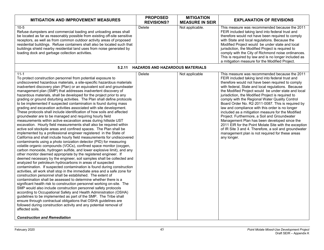| <b>MITIGATION AND IMPROVEMENT MEASURES</b>                                                                                                                                                                                                                                                                                                                                                                                                                                                                                                                                                                                                                                                                                                                                                                                                                                                                                                                                                                                                                                                                                                                                                                                                                                                                                                                                                                                                                                                                                                                                                                                                                                                                                                                                                                                                                                                                                                                                                                                                                                                                                                                                                                                                                                                                         | <b>PROPOSED</b><br><b>REVISIONS?</b>   | <b>MITIGATION</b><br><b>MEASURE IN SEIR</b> | <b>EXPLANATION OF REVISIONS</b>                                                                                                                                                                                                                                                                                                                                                                                                                                                                                                                                                                                                                                                                                                                                                                                            |
|--------------------------------------------------------------------------------------------------------------------------------------------------------------------------------------------------------------------------------------------------------------------------------------------------------------------------------------------------------------------------------------------------------------------------------------------------------------------------------------------------------------------------------------------------------------------------------------------------------------------------------------------------------------------------------------------------------------------------------------------------------------------------------------------------------------------------------------------------------------------------------------------------------------------------------------------------------------------------------------------------------------------------------------------------------------------------------------------------------------------------------------------------------------------------------------------------------------------------------------------------------------------------------------------------------------------------------------------------------------------------------------------------------------------------------------------------------------------------------------------------------------------------------------------------------------------------------------------------------------------------------------------------------------------------------------------------------------------------------------------------------------------------------------------------------------------------------------------------------------------------------------------------------------------------------------------------------------------------------------------------------------------------------------------------------------------------------------------------------------------------------------------------------------------------------------------------------------------------------------------------------------------------------------------------------------------|----------------------------------------|---------------------------------------------|----------------------------------------------------------------------------------------------------------------------------------------------------------------------------------------------------------------------------------------------------------------------------------------------------------------------------------------------------------------------------------------------------------------------------------------------------------------------------------------------------------------------------------------------------------------------------------------------------------------------------------------------------------------------------------------------------------------------------------------------------------------------------------------------------------------------------|
| $10-5$<br>Refuse dumpsters and commercial loading and unloading areas shall<br>be located as far as reasonably possible from existing off-site sensitive<br>receptors, as well as from common outdoor activity areas of proposed<br>residential buildings. Refuse containers shall also be located such that<br>buildings shield nearby residential land uses from noise generated by<br>loading dock and garbage collection activities.                                                                                                                                                                                                                                                                                                                                                                                                                                                                                                                                                                                                                                                                                                                                                                                                                                                                                                                                                                                                                                                                                                                                                                                                                                                                                                                                                                                                                                                                                                                                                                                                                                                                                                                                                                                                                                                                           | Delete                                 | Not applicable.                             | This measure was recommended because the 2011<br>FEIR included taking land into federal trust and<br>therefore would not have been required to comply<br>with State and local regulations. Because the<br>Modified Project would be under state and local<br>jurisdiction, the Modified Project is required to<br>comply with the City of Richmond noise ordinances.<br>This is required by law and is no longer included as<br>a mitigation measure for the Modified Project.                                                                                                                                                                                                                                                                                                                                             |
| 5.2.11                                                                                                                                                                                                                                                                                                                                                                                                                                                                                                                                                                                                                                                                                                                                                                                                                                                                                                                                                                                                                                                                                                                                                                                                                                                                                                                                                                                                                                                                                                                                                                                                                                                                                                                                                                                                                                                                                                                                                                                                                                                                                                                                                                                                                                                                                                             | <b>HAZARDS AND HAZARDOUS MATERIALS</b> |                                             |                                                                                                                                                                                                                                                                                                                                                                                                                                                                                                                                                                                                                                                                                                                                                                                                                            |
| $11 - 1$<br>To protect construction personnel from potential exposure to<br>undiscovered hazardous materials, a site-specific hazardous materials<br>inadvertent discovery plan (Plan) or an equivalent soil and groundwater<br>management plan (SMP) that addresses inadvertent discovery of<br>hazardous materials, shall be developed for the project prior to any<br>grading or ground disturbing activities. The Plan shall define protocols<br>to be implemented if suspected contamination is found during mass<br>grading and excavation activities associated with site development.<br>These protocols shall include identification of how soils and affected<br>groundwater are to be managed and requiring hourly field<br>measurements within active excavation areas during hillside UST<br>excavation. Hourly field measurements shall also be required within<br>active soil stockpile areas and confined spaces. The Plan shall be<br>implemented by a professional engineer registered in the State of<br>California and shall include hourly field measurements for undiscovered<br>contaminants using a photo ionization detector (PID) for measuring<br>volatile organic compounds (VOCs), confined space monitor (oxygen,<br>carbon monoxide, hydrogen sulfide, and lower explosive limit), and any<br>other monitor deemed appropriate by the registered engineer. If<br>deemed necessary by the engineer, soil samples shall be collected and<br>analyzed for petroleum hydrocarbons in areas of suspected<br>contamination. If suspected contamination is found during construction<br>activities, all work shall stop in the immediate area and a safe zone for<br>construction personnel shall be established. The extent of<br>contamination shall be assessed to determine whether there is a<br>significant health risk to construction personnel working on-site. The<br>SMP would also include construction personnel safety protocols<br>according to Occupational Safety and Health Administration (OSHA)<br>guidelines to be implemented as part of the SMP. The Tribe shall<br>ensure through contractual obligations that OSHA guidelines are<br>followed during construction activity and any potential removal of<br>affected soils.<br><b>Construction and Remediation</b> | Delete                                 | Not applicable                              | This measure was recommended because the 2011<br>FEIR included taking land into federal trust and<br>therefore would not have been required to comply<br>with federal, State and local regulations. Because<br>the Modified Project would be under state and local<br>jurisdiction, the Modified Project is required to<br>comply with the Regional Water Quality Control<br>Board Order No. R2-2011-0087. This is required by<br>law and compliance with this order is no longer<br>included as a mitigation measure for the Modified<br>Project. Furthermore, a Soil and Groundwater<br>Management Plan has been developed since the<br>2011 EIR for the Point Molate Site with the exception<br>of IR Site 3 and 4. Therefore, a soil and groundwater<br>management plan is not required for these areas<br>any longer. |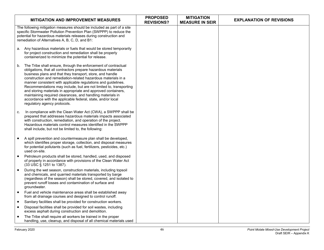|           | <b>MITIGATION AND IMPROVEMENT MEASURES</b>                                                                                                                                                                                                                                                                                                                                                                                                                                                                                                                                                                                        | <b>PROPOSED</b><br><b>REVISIONS?</b> | <b>MITIGATION</b><br><b>MEASURE IN SEIR</b> | <b>EXPLANATION OF REVISIONS</b> |
|-----------|-----------------------------------------------------------------------------------------------------------------------------------------------------------------------------------------------------------------------------------------------------------------------------------------------------------------------------------------------------------------------------------------------------------------------------------------------------------------------------------------------------------------------------------------------------------------------------------------------------------------------------------|--------------------------------------|---------------------------------------------|---------------------------------|
|           | The following mitigation measures should be included as part of a site<br>specific Stormwater Pollution Prevention Plan (SWPPP) to reduce the<br>potential for hazardous materials releases during construction and<br>remediation of Alternatives A, B, C, D, and B1:                                                                                                                                                                                                                                                                                                                                                            |                                      |                                             |                                 |
| а.        | Any hazardous materials or fuels that would be stored temporarily<br>for project construction and remediation shall be properly<br>containerized to minimize the potential for release.                                                                                                                                                                                                                                                                                                                                                                                                                                           |                                      |                                             |                                 |
| b.        | The Tribe shall ensure, through the enforcement of contractual<br>obligations, that all contractors prepare hazardous materials<br>business plans and that they transport, store, and handle<br>construction and remediation-related hazardous materials in a<br>manner consistent with applicable regulations and guidelines.<br>Recommendations may include, but are not limited to, transporting<br>and storing materials in appropriate and approved containers,<br>maintaining required clearances, and handling materials in<br>accordance with the applicable federal, state, and/or local<br>regulatory agency protocols. |                                      |                                             |                                 |
| C.        | In compliance with the Clean Water Act (CWA), a SWPPP shall be<br>prepared that addresses hazardous materials impacts associated<br>with construction, remediation, and operation of the project.<br>Hazardous materials control measures identified in the SWPPP<br>shall include, but not be limited to, the following:                                                                                                                                                                                                                                                                                                         |                                      |                                             |                                 |
|           | A spill prevention and countermeasure plan shall be developed,<br>which identifies proper storage, collection, and disposal measures<br>for potential pollutants (such as fuel, fertilizers, pesticides, etc.)<br>used on-site.                                                                                                                                                                                                                                                                                                                                                                                                   |                                      |                                             |                                 |
| $\bullet$ | Petroleum products shall be stored, handled, used, and disposed<br>of properly in accordance with provisions of the Clean Water Act<br>(33 USC § 1251 to 1387).                                                                                                                                                                                                                                                                                                                                                                                                                                                                   |                                      |                                             |                                 |
|           | During the wet season, construction materials, including topsoil<br>and chemicals, and quarried materials transported by barge<br>(regardless of the season) shall be stored, covered, and isolated to<br>prevent runoff losses and contamination of surface and<br>groundwater.                                                                                                                                                                                                                                                                                                                                                  |                                      |                                             |                                 |
| $\bullet$ | Fuel and vehicle maintenance areas shall be established away<br>from all drainage courses and designed to control runoff.                                                                                                                                                                                                                                                                                                                                                                                                                                                                                                         |                                      |                                             |                                 |
| $\bullet$ | Sanitary facilities shall be provided for construction workers.                                                                                                                                                                                                                                                                                                                                                                                                                                                                                                                                                                   |                                      |                                             |                                 |
| $\bullet$ | Disposal facilities shall be provided for soil wastes, including<br>excess asphalt during construction and demolition.                                                                                                                                                                                                                                                                                                                                                                                                                                                                                                            |                                      |                                             |                                 |
|           | The Tribe shall require all workers be trained in the proper<br>handling, use, cleanup, and disposal of all chemical materials used                                                                                                                                                                                                                                                                                                                                                                                                                                                                                               |                                      |                                             |                                 |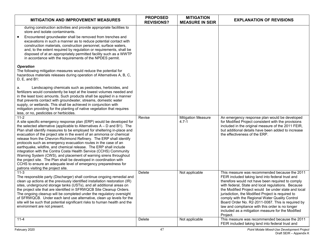| <b>MITIGATION AND IMPROVEMENT MEASURES</b>                                                                                                                                                                                                                                                                                                                                                                                                                                                                                                                                                                                                                                                                                                                                                                                                             | <b>PROPOSED</b><br><b>REVISIONS?</b> | <b>MITIGATION</b><br><b>MEASURE IN SEIR</b> | <b>EXPLANATION OF REVISIONS</b>                                                                                                                                                                                                                                                                                                                                                                                                                                                                                                                    |
|--------------------------------------------------------------------------------------------------------------------------------------------------------------------------------------------------------------------------------------------------------------------------------------------------------------------------------------------------------------------------------------------------------------------------------------------------------------------------------------------------------------------------------------------------------------------------------------------------------------------------------------------------------------------------------------------------------------------------------------------------------------------------------------------------------------------------------------------------------|--------------------------------------|---------------------------------------------|----------------------------------------------------------------------------------------------------------------------------------------------------------------------------------------------------------------------------------------------------------------------------------------------------------------------------------------------------------------------------------------------------------------------------------------------------------------------------------------------------------------------------------------------------|
| during construction activities and provide appropriate facilities to<br>store and isolate contaminants.<br>Encountered groundwater shall be removed from trenches and<br>excavations in such a manner as to reduce potential contact with<br>construction materials, construction personnel, surface waters,<br>and, to the extent required by regulation or requirements, shall be<br>disposed of at an appropriately permitted facility such as a WWTP<br>in accordance with the requirements of the NPDES permit.                                                                                                                                                                                                                                                                                                                                   |                                      |                                             |                                                                                                                                                                                                                                                                                                                                                                                                                                                                                                                                                    |
| <b>Operation</b><br>The following mitigation measures would reduce the potential for<br>hazardous materials releases during operation of Alternatives A, B, C,<br>$D, E, and B1$ :                                                                                                                                                                                                                                                                                                                                                                                                                                                                                                                                                                                                                                                                     |                                      |                                             |                                                                                                                                                                                                                                                                                                                                                                                                                                                                                                                                                    |
| Landscaping chemicals such as pesticides, herbicides, and<br>a.<br>fertilizers would consistently be kept at the lowest volumes needed and<br>in the least toxic amounts. Such products shall be applied in a manner<br>that prevents contact with groundwater, streams, domestic water<br>supply, or wetlands. This shall be achieved in conjunction with<br>mitigation providing for the planting of native vegetation that requires<br>less, or no, pesticides or herbicides.                                                                                                                                                                                                                                                                                                                                                                       |                                      |                                             |                                                                                                                                                                                                                                                                                                                                                                                                                                                                                                                                                    |
| $11 - 2$<br>A site specific emergency response plan (ERP) would be developed for<br>the selected alternative (applicable to Alternatives $A - D$ and B1). The<br>Plan shall identify measures to be employed for sheltering in-place and<br>evacuation of the project site in the event of an ammonia or chemical<br>release from the Chevron-Richmond Refinery. The ERP shall identify<br>protocols such as emergency evacuation routes in the case of an<br>earthquake, wildfire, and chemical release. The ERP shall include<br>integration with the Contra Costa Health Service (CCHS) Community<br>Warning System (CWS), and placement of warning sirens throughout<br>the project site. The Plan shall be developed in coordination with<br>CCHS to ensure an adequate level of emergency preparedness for<br>patrons visiting the project site. | Revise                               | <b>Mitigation Measure</b><br>$4.7 - 1$      | An emergency response plan would be developed<br>for Modified Project consistent with the provisions<br>included in the original measure of the 2011 FEIR,<br>but additional details have been added to increase<br>the effectiveness of the ERP.                                                                                                                                                                                                                                                                                                  |
| $11 - 3$<br>The responsible party (Discharger) shall continue ongoing remedial and<br>clean up actions at the previously identified installation restoration (IR)<br>sites, underground storage tanks (USTs), and all additional areas on<br>the project site that are identified in SFRWQCB Site Cleanup Orders.<br>The ongoing cleanup will be completed under the regulatory oversight<br>of SFRWQCB. Under each land use alternative, clean up levels for the<br>site will be such that potential significant risks to human health and the<br>environment are not present.                                                                                                                                                                                                                                                                        | Delete                               | Not applicable                              | This measure was recommended because the 2011<br>FEIR included taking land into federal trust and<br>therefore would not have been required to comply<br>with federal, State and local regulations. Because<br>the Modified Project would be under state and local<br>jurisdiction, the Modified Project is required to<br>comply with the Regional Water Quality Control<br>Board Order No. R2-2011-0087. This is required by<br>law and compliance with this order is no longer<br>included as a mitigation measure for the Modified<br>Project. |
| $11 - 4$                                                                                                                                                                                                                                                                                                                                                                                                                                                                                                                                                                                                                                                                                                                                                                                                                                               | Delete                               | Not applicable                              | This measure was recommended because the 2011<br>FEIR included taking land into federal trust and                                                                                                                                                                                                                                                                                                                                                                                                                                                  |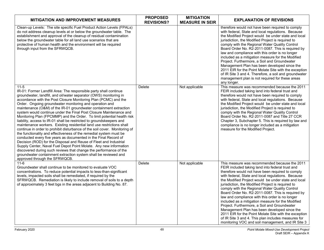| <b>MITIGATION AND IMPROVEMENT MEASURES</b>                                                                                                                                                                                                                                                                                                                                                                                                                                                                                                                                                                                                                                                                                                                                                                                                                                                                                                                                                                                                                                                                                                                                                      | <b>PROPOSED</b><br><b>REVISIONS?</b> | <b>MITIGATION</b><br><b>MEASURE IN SEIR</b> | <b>EXPLANATION OF REVISIONS</b>                                                                                                                                                                                                                                                                                                                                                                                                                                                                                                                                                                                                                                                                                                                                                                             |
|-------------------------------------------------------------------------------------------------------------------------------------------------------------------------------------------------------------------------------------------------------------------------------------------------------------------------------------------------------------------------------------------------------------------------------------------------------------------------------------------------------------------------------------------------------------------------------------------------------------------------------------------------------------------------------------------------------------------------------------------------------------------------------------------------------------------------------------------------------------------------------------------------------------------------------------------------------------------------------------------------------------------------------------------------------------------------------------------------------------------------------------------------------------------------------------------------|--------------------------------------|---------------------------------------------|-------------------------------------------------------------------------------------------------------------------------------------------------------------------------------------------------------------------------------------------------------------------------------------------------------------------------------------------------------------------------------------------------------------------------------------------------------------------------------------------------------------------------------------------------------------------------------------------------------------------------------------------------------------------------------------------------------------------------------------------------------------------------------------------------------------|
| Clean-up Levels: The site specific Fuel Product Action Levels (FPALs)<br>do not address cleanup levels at or below the groundwater table. The<br>establishment and approval of the cleanup of residual contamination<br>below the groundwater table for all land use scenarios that are<br>protective of human health and the environment will be required<br>through input from the SFRWQCB.                                                                                                                                                                                                                                                                                                                                                                                                                                                                                                                                                                                                                                                                                                                                                                                                   |                                      |                                             | therefore would not have been required to comply<br>with federal, State and local regulations. Because<br>the Modified Project would be under state and local<br>jurisdiction, the Modified Project is required to<br>comply with the Regional Water Quality Control<br>Board Order No. R2-2011-0087. This is required by<br>law and compliance with this order is no longer<br>included as a mitigation measure for the Modified<br>Project. Furthermore, a Soil and Groundwater<br>Management Plan has been developed since the<br>2011 EIR for the Point Molate Site with the exception<br>of IR Site 3 and 4. Therefore, a soil and groundwater<br>management plan is not required for these areas<br>any longer.                                                                                       |
| $11-5$<br>IR-01: Former Landfill Area: The responsible party shall continue<br>groundwater, landfill, and oil/water separator (OWS) monitoring in<br>accordance with the Post Closure Monitoring Plan (PCMC) and the<br>Order. Ongoing groundwater monitoring and operation and<br>maintenance (O&M) of the IR-01 groundwater containment extraction<br>system would continue under the Final Post Closure Maintenance and<br>Monitoring Plan (FPCMMP) and the Order. To limit potential health risk<br>liability, access to IR-01 shall be restricted to groundskeepers and<br>maintenance workers. Existing residential land use restrictions shall<br>continue in order to prohibit disturbance of the soil cover. Monitoring of<br>the functionality and effectiveness of the remedial system must be<br>conducted every five years as documented in the Final Record of<br>Decision (ROD) for the Disposal and Reuse of Fleet and Industrial<br>Supply Center, Naval Fuel Depot Point Molate. Any new information<br>discovered during such reviews that change the performance of the<br>groundwater containment extraction system shall be reviewed and<br>approved through the SFRWQCB. | Delete                               | Not applicable                              | This measure was recommended because the 2011<br>FEIR included taking land into federal trust and<br>therefore would not have been required to comply<br>with federal, State and local regulations. Because<br>the Modified Project would be under state and local<br>jurisdiction, the Modified Project is required to<br>comply with the Regional Water Quality Control<br>Board Order No. R2-2011-0087 and Title 27 CCR<br>Chapter 3, Subchapter 5. This is required by law and<br>compliance is no longer included as a mitigation<br>measure for the Modified Project.                                                                                                                                                                                                                                 |
| $11 - 6$<br>Groundwater shall continue to be monitored to evaluate VOC<br>concentrations. To reduce potential impacts to less-than-significant<br>levels, impacted soils shall be remediated, if required by the<br>SFRWQCB. Remediation is likely to include removal of soils to a depth<br>of approximately 3 feet bgs in the areas adjacent to Building No. 87.                                                                                                                                                                                                                                                                                                                                                                                                                                                                                                                                                                                                                                                                                                                                                                                                                              | Delete                               | Not applicable                              | This measure was recommended because the 2011<br>FEIR included taking land into federal trust and<br>therefore would not have been required to comply<br>with federal, State and local regulations. Because<br>the Modified Project would be under state and local<br>jurisdiction, the Modified Project is required to<br>comply with the Regional Water Quality Control<br>Board Order No. R2-2011-0087. This is required by<br>law and compliance with this order is no longer<br>included as a mitigation measure for the Modified<br>Project. Furthermore, a Soil and Groundwater<br>Management Plan has been developed since the<br>2011 EIR for the Point Molate Site with the exception<br>of IR Site 3 and 4. This plan includes measures for<br>monitoring VOC and soil management, and IR Site 3 |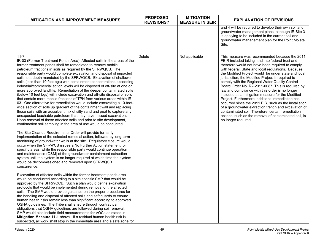| <b>MITIGATION AND IMPROVEMENT MEASURES</b>                                                                                                                                                                                                                                                                                                                                                                                                                                                                                                                                                                                                                                                                                                                                                                                                                                                                                                                                                                                                                                                                                                                                                                                                                                                                                                                                                                                                                                                                                                                                                                                                                                                                                                                                            | <b>PROPOSED</b><br><b>REVISIONS?</b> | <b>MITIGATION</b><br><b>MEASURE IN SEIR</b> | <b>EXPLANATION OF REVISIONS</b>                                                                                                                                                                                                                                                                                                                                                                                                                                                                                                                                                                                                                                                                                                                                                                                                                  |
|---------------------------------------------------------------------------------------------------------------------------------------------------------------------------------------------------------------------------------------------------------------------------------------------------------------------------------------------------------------------------------------------------------------------------------------------------------------------------------------------------------------------------------------------------------------------------------------------------------------------------------------------------------------------------------------------------------------------------------------------------------------------------------------------------------------------------------------------------------------------------------------------------------------------------------------------------------------------------------------------------------------------------------------------------------------------------------------------------------------------------------------------------------------------------------------------------------------------------------------------------------------------------------------------------------------------------------------------------------------------------------------------------------------------------------------------------------------------------------------------------------------------------------------------------------------------------------------------------------------------------------------------------------------------------------------------------------------------------------------------------------------------------------------|--------------------------------------|---------------------------------------------|--------------------------------------------------------------------------------------------------------------------------------------------------------------------------------------------------------------------------------------------------------------------------------------------------------------------------------------------------------------------------------------------------------------------------------------------------------------------------------------------------------------------------------------------------------------------------------------------------------------------------------------------------------------------------------------------------------------------------------------------------------------------------------------------------------------------------------------------------|
|                                                                                                                                                                                                                                                                                                                                                                                                                                                                                                                                                                                                                                                                                                                                                                                                                                                                                                                                                                                                                                                                                                                                                                                                                                                                                                                                                                                                                                                                                                                                                                                                                                                                                                                                                                                       |                                      |                                             | and 4 will be required to develop their own soil and<br>groundwater management plans, although IR Site 3<br>is applying to be included in the current soil and<br>groundwater management plan for the Point Molate<br>Site.                                                                                                                                                                                                                                                                                                                                                                                                                                                                                                                                                                                                                      |
| $11 - 7$<br>IR-03 (Former Treatment Ponds Area): Affected soils in the areas of the<br>former treatment ponds shall be remediated to remove mobile<br>petroleum fractions in soils as required by the SFRWQCB. The<br>responsible party would complete excavation and disposal of impacted<br>soils to a depth mandated by the SFRWQCB. Excavation of shallower<br>soils (less than 10 feet bgs) with containment concentrations exceeding<br>industrial/commercial action levels will be disposed of off-site at one or<br>more approved landfills. Remediation of the deeper contaminated soils<br>(below 10 feet bgs) will include excavation and off-site disposal of soils<br>that contain more mobile fractions of TPH from various areas within IR-<br>03. One alternative for remediation would include excavating a 10-foot-<br>wide section of soils up gradient of the containment wall and replacing<br>those soils with an adsorbent mix of silty sand and peat to capture any<br>unexpected leachable petroleum that may have missed excavation.<br>Upon removal of these affected soils and prior to site development,<br>confirmation soil sampling in the area of use would be conducted.<br>The Site Cleanup Requirements Order will provide for early<br>implementation of the selected remedial action, followed by long-term<br>monitoring of groundwater wells at the site. Regulatory closure would<br>occur when the SFRWCB issues a No Further Action statement for<br>specific areas, while the responsible party would continue operation<br>and maintenance (O&M) of the groundwater containment extraction<br>system until the system is no longer required at which time the system<br>would be decommissioned and removed upon SFRWQCB<br>concurrence. | Delete                               | Not applicable                              | This measure was recommended because the 2011<br>FEIR included taking land into federal trust and<br>therefore would not have been required to comply<br>with federal, State and local regulations. Because<br>the Modified Project would be under state and local<br>jurisdiction, the Modified Project is required to<br>comply with the Regional Water Quality Control<br>Board Order No. R2-2011-0087. This is required by<br>law and compliance with this order is no longer<br>included as a mitigation measure for the Modified<br>Project. Furthermore, additional remediation has<br>occurred since the 2011 EIR, such as the installation<br>of a groundwater extraction trench and excavation of<br>contaminated soil. Therefore, certain remediation<br>actions, such as the removal of contaminated soil, is<br>no longer required. |
| Excavation of affected soils within the former treatment ponds area<br>would be conducted according to a site specific SMP that would be<br>approved by the SFRWQCB. Such a plan would define excavation<br>protocols that would be implemented during removal of the affected<br>soils. The SMP would provide guidance on the proper procedures for<br>the handling and disposal of affected soils and safeguards to ensure<br>human health risks remain less than significant according to approved                                                                                                                                                                                                                                                                                                                                                                                                                                                                                                                                                                                                                                                                                                                                                                                                                                                                                                                                                                                                                                                                                                                                                                                                                                                                                 |                                      |                                             |                                                                                                                                                                                                                                                                                                                                                                                                                                                                                                                                                                                                                                                                                                                                                                                                                                                  |
| OSHA guidelines. The Tribe shall ensure through contractual<br>obligations that OSHA guidelines are followed during soil removal.<br>SMP would also include field measurements for VOCs as stated in<br>Mitigation Measure 11-1 above. If a residual human health risk is<br>suspected, all work shall stop in the immediate area and a safe zone for                                                                                                                                                                                                                                                                                                                                                                                                                                                                                                                                                                                                                                                                                                                                                                                                                                                                                                                                                                                                                                                                                                                                                                                                                                                                                                                                                                                                                                 |                                      |                                             |                                                                                                                                                                                                                                                                                                                                                                                                                                                                                                                                                                                                                                                                                                                                                                                                                                                  |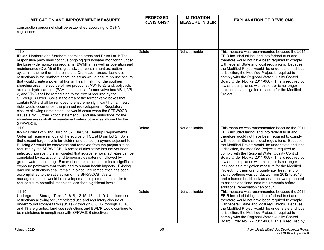| <b>MITIGATION AND IMPROVEMENT MEASURES</b>                                                                                                                                                                                                                                                                                                                                                                                                                                                                                                                                                                                                                                                                                                                                                                                                                                                                                                                                                                                                                                                                                                                                | <b>PROPOSED</b><br><b>REVISIONS?</b> | <b>MITIGATION</b><br><b>MEASURE IN SEIR</b> | <b>EXPLANATION OF REVISIONS</b>                                                                                                                                                                                                                                                                                                                                                                                                                                                                                                                                                                                                                                                                                                                                                       |
|---------------------------------------------------------------------------------------------------------------------------------------------------------------------------------------------------------------------------------------------------------------------------------------------------------------------------------------------------------------------------------------------------------------------------------------------------------------------------------------------------------------------------------------------------------------------------------------------------------------------------------------------------------------------------------------------------------------------------------------------------------------------------------------------------------------------------------------------------------------------------------------------------------------------------------------------------------------------------------------------------------------------------------------------------------------------------------------------------------------------------------------------------------------------------|--------------------------------------|---------------------------------------------|---------------------------------------------------------------------------------------------------------------------------------------------------------------------------------------------------------------------------------------------------------------------------------------------------------------------------------------------------------------------------------------------------------------------------------------------------------------------------------------------------------------------------------------------------------------------------------------------------------------------------------------------------------------------------------------------------------------------------------------------------------------------------------------|
| construction personnel shall be established according to OSHA<br>regulations.                                                                                                                                                                                                                                                                                                                                                                                                                                                                                                                                                                                                                                                                                                                                                                                                                                                                                                                                                                                                                                                                                             |                                      |                                             |                                                                                                                                                                                                                                                                                                                                                                                                                                                                                                                                                                                                                                                                                                                                                                                       |
| $11 - 8$<br>IR-04: Northern and Southern shoreline areas and Drum Lot 1: The<br>responsible party shall continue ongoing groundwater monitoring under<br>the base wide monitoring programs (BWMPs), as well as operation and<br>maintenance (O & M) of the groundwater containment extraction<br>system in the northern shoreline and Drum Lot 1 areas. Land use<br>restrictions in the northern shoreline areas would ensure no use occurs<br>that would create a potential human health risk. For the southern<br>shoreline area, the source of free product at MW-10-23 and, polycyclic<br>aromatic hydrocarbons (PAH) impacts near former valve box VB-1, VB-<br>2, and VB-3 shall be remediated to the extent required by the<br>SFRWQCB Order. Soils in the area of the former valve boxes that<br>contain PAHs shall be removed to ensure no significant human health<br>risks would occur under the planned redevelopment. Regulatory<br>closure allowing unrestricted use would occur when the SFRWQCB<br>issues a No Further Action statement. Land use restrictions for the<br>shoreline areas shall be maintained unless otherwise allowed by the<br>SFRWQCB. | Delete                               | Not applicable                              | This measure was recommended because the 2011<br>FEIR included taking land into federal trust and<br>therefore would not have been required to comply<br>with federal, State and local regulations. Because<br>the Modified Project would be under state and local<br>jurisdiction, the Modified Project is required to<br>comply with the Regional Water Quality Control<br>Board Order No. R2-2011-0087. This is required by<br>law and compliance with this order is no longer<br>included as a mitigation measure for the Modified<br>Project.                                                                                                                                                                                                                                    |
| $11 - 9$<br>IR-04: Drum Lot 2 and Building 87: The Site Cleanup Requirements<br>Order will require removal of the source of TCE at Drum Lot 2. Soils<br>that exceed target levels for dieldrin and benzo (a) pyrene adjacent to<br>Building 87 would be excavated and removed from the project site as<br>required by the SFRWQCB. A remedial alternative has not yet been<br>selected; however, it is anticipated that source removal activities can be<br>completed by excavation and temporary dewatering, followed by<br>groundwater monitoring. Excavation is expected to eliminate significant<br>exposure pathways that could lead to human health impacts. Existing<br>land use restrictions shall remain in place until remediation has been<br>accomplished to the satisfaction of the SFRWQCB. A site<br>management plan would be developed and implemented in order to<br>reduce future potential impacts to less-than-significant levels.                                                                                                                                                                                                                    | Delete                               | Not applicable                              | This measure was recommended because the 2011<br>FEIR included taking land into federal trust and<br>therefore would not have been required to comply<br>with federal, State and local regulations. Because<br>the Modified Project would be under state and local<br>jurisdiction, the Modified Project is required to<br>comply with the Regional Water Quality Control<br>Board Order No. R2-2011-0087. This is required by<br>law and compliance with this order is no longer<br>included as a mitigation measure for the Modified<br>Project. Furthermore, groundwater treatment for<br>trichloroethene was conducted from 2012 to 2013<br>and a human health risk assessment was prepared<br>to assess additional data requirements before<br>additional remediation can occur. |
| $11 - 10$<br>Underground Storage Tanks 2 -6, 8, 12-15, 18 and 19: Until land use<br>restrictions allowing for unrestricted use and regulatory closure of<br>underground storage tanks (USTs) 2 through 6, 8, 12 through 15, 18,<br>and 19 are granted, land use restrictions and BWMP would continue to<br>be maintained in compliance with SFRWQCB directives.                                                                                                                                                                                                                                                                                                                                                                                                                                                                                                                                                                                                                                                                                                                                                                                                           | Delete                               | Not applicable                              | This measure was recommended because the 2011<br>FEIR included taking land into federal trust and<br>therefore would not have been required to comply<br>with federal, State and local regulations. Because<br>the Modified Project would be under state and local<br>jurisdiction, the Modified Project is required to<br>comply with the Regional Water Quality Control<br>Board Order No. R2-2011-0087. This is required by                                                                                                                                                                                                                                                                                                                                                        |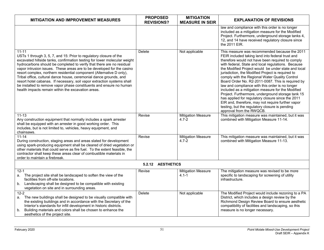| <b>MITIGATION AND IMPROVEMENT MEASURES</b>                                                                                                                                                                                                                                                                                                                                                                                                                                                                                                                                                                                                                            | <b>PROPOSED</b><br><b>REVISIONS?</b> | <b>MITIGATION</b><br><b>MEASURE IN SEIR</b> | <b>EXPLANATION OF REVISIONS</b>                                                                                                                                                                                                                                                                                                                                                                                                                                                                                                                                                                                                                                                                                                                                                     |  |  |
|-----------------------------------------------------------------------------------------------------------------------------------------------------------------------------------------------------------------------------------------------------------------------------------------------------------------------------------------------------------------------------------------------------------------------------------------------------------------------------------------------------------------------------------------------------------------------------------------------------------------------------------------------------------------------|--------------------------------------|---------------------------------------------|-------------------------------------------------------------------------------------------------------------------------------------------------------------------------------------------------------------------------------------------------------------------------------------------------------------------------------------------------------------------------------------------------------------------------------------------------------------------------------------------------------------------------------------------------------------------------------------------------------------------------------------------------------------------------------------------------------------------------------------------------------------------------------------|--|--|
|                                                                                                                                                                                                                                                                                                                                                                                                                                                                                                                                                                                                                                                                       |                                      |                                             | law and compliance with this order is no longer<br>included as a mitigation measure for the Modified<br>Project. Furthermore, underground storage tanks 4,<br>12, and 14 have received regulatory closure since<br>the 2011 EIR.                                                                                                                                                                                                                                                                                                                                                                                                                                                                                                                                                    |  |  |
| $11 - 11$<br>USTs 1 through 3, 5, 7, and 15: Prior to regulatory closure of the<br>excavated hillside tanks, confirmation testing for lower molecular weight<br>hydrocarbons should be completed to verify that there are no residual<br>vapor intrusion issues. These areas are to be developed for the casino<br>resort complex, northern residential component (Alternative D only),<br>Tribal office, cultural dance house, ceremonial dance grounds, and<br>resort hotel cabanas. If necessary, soil vapor extraction systems shall<br>be installed to remove vapor phase constituents and ensure no human<br>health impacts remain within the excavation areas. | Delete                               | Not applicable                              | This measure was recommended because the 2011<br>FEIR included taking land into federal trust and<br>therefore would not have been required to comply<br>with federal, State and local regulations. Because<br>the Modified Project would be under state and local<br>jurisdiction, the Modified Project is required to<br>comply with the Regional Water Quality Control<br>Board Order No. R2-2011-0087. This is required by<br>law and compliance with this order is no longer<br>included as a mitigation measure for the Modified<br>Project. Furthermore, underground storage tank 15<br>has applied for regulatory closure since the 2011<br>EIR and, therefore, may not require further vapor<br>testing, but the regulatory closure is pending<br>approval from the RWQCB. |  |  |
| $11 - 13$<br>Any construction equipment that normally includes a spark arrester<br>shall be equipped with an arrester in good working order. This<br>includes, but is not limited to, vehicles, heavy equipment, and<br>chainsaws.                                                                                                                                                                                                                                                                                                                                                                                                                                    | Revise                               | <b>Mitigation Measure</b><br>$4.7 - 2$      | This mitigation measure was maintained, but it was<br>combined with Mitigation Measure 11-14.                                                                                                                                                                                                                                                                                                                                                                                                                                                                                                                                                                                                                                                                                       |  |  |
| $11 - 14$<br>During construction, staging areas and areas slated for development<br>using spark-producing equipment shall be cleared of dried vegetation or<br>other materials that could serve as fire fuel. To the extent feasible, the<br>contractor shall keep these areas clear of combustible materials in<br>order to maintain a firebreak.                                                                                                                                                                                                                                                                                                                    | Revise                               | <b>Mitigation Measure</b><br>$4.7 - 2$      | This mitigation measure was maintained, but it was<br>combined with Mitigation Measure 11-13.                                                                                                                                                                                                                                                                                                                                                                                                                                                                                                                                                                                                                                                                                       |  |  |
| 5.2.12 AESTHETICS                                                                                                                                                                                                                                                                                                                                                                                                                                                                                                                                                                                                                                                     |                                      |                                             |                                                                                                                                                                                                                                                                                                                                                                                                                                                                                                                                                                                                                                                                                                                                                                                     |  |  |
| $12 - 1$<br>a. The project site shall be landscaped to soften the view of the<br>facilities from off-site locations.<br>b. Landscaping shall be designed to be compatible with existing<br>vegetation on site and in surrounding areas.                                                                                                                                                                                                                                                                                                                                                                                                                               | Revise                               | <b>Mitigation Measure</b><br>$4.1 - 1$      | The mitigation measure was revised to be more<br>specific to landscaping for screening of utility<br>infrastructure.                                                                                                                                                                                                                                                                                                                                                                                                                                                                                                                                                                                                                                                                |  |  |
| $12 - 2$<br>The new buildings shall be designed to be visually compatible with<br>а.<br>the existing buildings and in accordance with the Secretary of the<br>Interior's standards for infill development in historic districts.<br>Building materials and colors shall be chosen to enhance the<br>b.<br>aesthetics of the project site.                                                                                                                                                                                                                                                                                                                             | Delete                               | Not applicable                              | The Modified Project would include rezoning to a PA<br>District, which includes a design review by the<br>Richmond Design Review Board to ensure aesthetic<br>compatibility of facilities and landscaping, so this<br>measure is no longer necessary.                                                                                                                                                                                                                                                                                                                                                                                                                                                                                                                               |  |  |